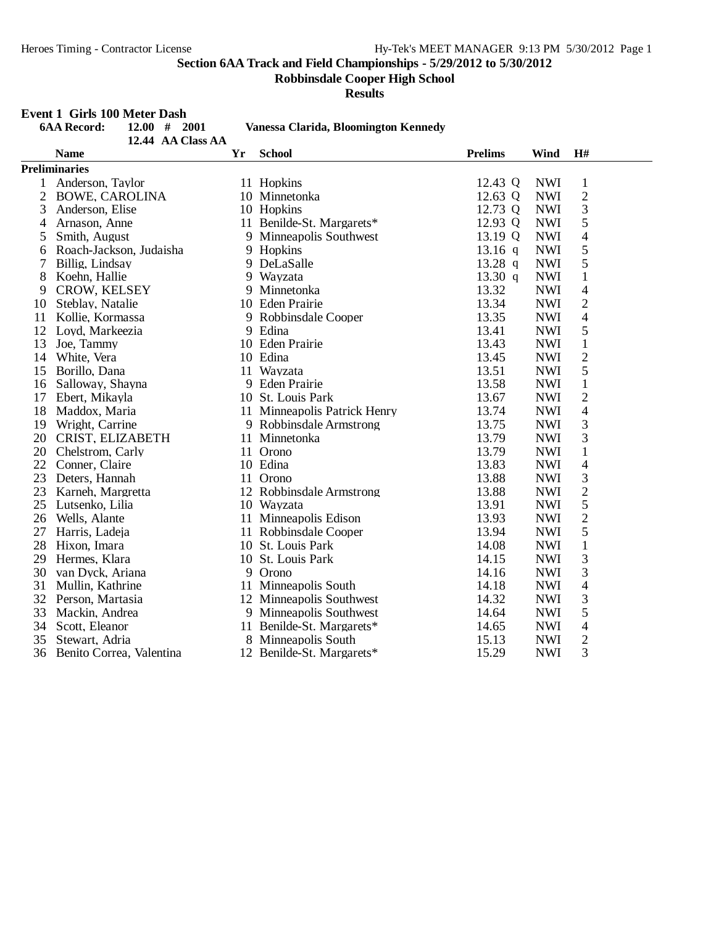**Robbinsdale Cooper High School**

**Results**

#### **Event 1 Girls 100 Meter Dash**

|    | <b>6AA Record:</b><br>12.00#<br>2001 |  |                   |    | Vanessa Clarida, Bloomington Kennedy |                |            |                          |
|----|--------------------------------------|--|-------------------|----|--------------------------------------|----------------|------------|--------------------------|
|    |                                      |  | 12.44 AA Class AA |    |                                      |                |            |                          |
|    | <b>Name</b>                          |  |                   | Yr | <b>School</b>                        | <b>Prelims</b> | Wind       | H#                       |
|    | <b>Preliminaries</b>                 |  |                   |    |                                      |                |            |                          |
|    | Anderson, Taylor                     |  |                   |    | 11 Hopkins                           | 12.43 Q        | <b>NWI</b> | $\mathbf{1}$             |
| 2  | <b>BOWE, CAROLINA</b>                |  |                   |    | 10 Minnetonka                        | 12.63 Q        | <b>NWI</b> | $\overline{c}$           |
| 3  | Anderson, Elise                      |  |                   |    | 10 Hopkins                           | 12.73 Q        | <b>NWI</b> | 3                        |
| 4  | Arnason, Anne                        |  |                   |    | 11 Benilde-St. Margarets*            | 12.93 Q        | <b>NWI</b> | 5                        |
| 5  | Smith, August                        |  |                   | 9  | Minneapolis Southwest                | 13.19 Q        | <b>NWI</b> | 4                        |
| 6  | Roach-Jackson, Judaisha              |  |                   |    | 9 Hopkins                            | $13.16$ q      | <b>NWI</b> | 5                        |
| 7  | Billig, Lindsay                      |  |                   |    | 9 DeLaSalle                          | 13.28 $q$      | <b>NWI</b> | 5                        |
| 8  | Koehn, Hallie                        |  |                   | 9  | Wayzata                              | 13.30 $q$      | <b>NWI</b> | $\mathbf{1}$             |
| 9  | <b>CROW, KELSEY</b>                  |  |                   | 9  | Minnetonka                           | 13.32          | <b>NWI</b> | 4                        |
| 10 | Steblay, Natalie                     |  |                   |    | 10 Eden Prairie                      | 13.34          | <b>NWI</b> | $\overline{2}$           |
| 11 | Kollie, Kormassa                     |  |                   |    | 9 Robbinsdale Cooper                 | 13.35          | <b>NWI</b> | $\overline{\mathcal{L}}$ |
| 12 | Loyd, Markeezia                      |  |                   |    | 9 Edina                              | 13.41          | <b>NWI</b> | 5                        |
| 13 | Joe, Tammy                           |  |                   |    | 10 Eden Prairie                      | 13.43          | <b>NWI</b> | $\mathbf 1$              |
| 14 | White, Vera                          |  |                   |    | 10 Edina                             | 13.45          | <b>NWI</b> | $\overline{c}$           |
| 15 | Borillo, Dana                        |  |                   |    | 11 Wayzata                           | 13.51          | <b>NWI</b> | 5                        |
| 16 | Salloway, Shayna                     |  |                   |    | 9 Eden Prairie                       | 13.58          | <b>NWI</b> | $\mathbf{1}$             |
| 17 | Ebert, Mikayla                       |  |                   |    | 10 St. Louis Park                    | 13.67          | <b>NWI</b> | $\overline{c}$           |
| 18 | Maddox, Maria                        |  |                   |    | 11 Minneapolis Patrick Henry         | 13.74          | <b>NWI</b> | $\overline{4}$           |
| 19 | Wright, Carrine                      |  |                   |    | 9 Robbinsdale Armstrong              | 13.75          | <b>NWI</b> | 3                        |
| 20 | CRIST, ELIZABETH                     |  |                   |    | 11 Minnetonka                        | 13.79          | <b>NWI</b> | 3                        |
| 20 | Chelstrom, Carly                     |  |                   |    | 11 Orono                             | 13.79          | <b>NWI</b> | $\mathbf{1}$             |
| 22 | Conner, Claire                       |  |                   |    | 10 Edina                             | 13.83          | <b>NWI</b> | 4                        |
| 23 | Deters, Hannah                       |  |                   |    | 11 Orono                             | 13.88          | <b>NWI</b> | 3                        |
| 23 | Karneh, Margretta                    |  |                   |    | 12 Robbinsdale Armstrong             | 13.88          | <b>NWI</b> | $\overline{c}$           |
| 25 | Lutsenko, Lilia                      |  |                   |    | 10 Wayzata                           | 13.91          | <b>NWI</b> | 5                        |
| 26 | Wells, Alante                        |  |                   |    | 11 Minneapolis Edison                | 13.93          | <b>NWI</b> | $\overline{c}$           |
| 27 | Harris, Ladeja                       |  |                   |    | 11 Robbinsdale Cooper                | 13.94          | <b>NWI</b> | 5                        |
| 28 | Hixon, Imara                         |  |                   |    | 10 St. Louis Park                    | 14.08          | <b>NWI</b> | $\mathbf{1}$             |
| 29 | Hermes, Klara                        |  |                   |    | 10 St. Louis Park                    | 14.15          | <b>NWI</b> | 3                        |
| 30 | van Dyck, Ariana                     |  |                   |    | 9 Orono                              | 14.16          | <b>NWI</b> | 3                        |
| 31 | Mullin, Kathrine                     |  |                   |    | 11 Minneapolis South                 | 14.18          | <b>NWI</b> | 4                        |
| 32 | Person, Martasia                     |  |                   |    | 12 Minneapolis Southwest             | 14.32          | <b>NWI</b> | 3                        |
| 33 | Mackin, Andrea                       |  |                   | 9  | Minneapolis Southwest                | 14.64          | <b>NWI</b> | 5                        |
| 34 | Scott, Eleanor                       |  |                   |    | 11 Benilde-St. Margarets*            | 14.65          | <b>NWI</b> | 4                        |
| 35 | Stewart, Adria                       |  |                   | 8  | Minneapolis South                    | 15.13          | <b>NWI</b> | $\overline{2}$           |
| 36 | Benito Correa, Valentina             |  |                   |    | 12 Benilde-St. Margarets*            | 15.29          | <b>NWI</b> | 3                        |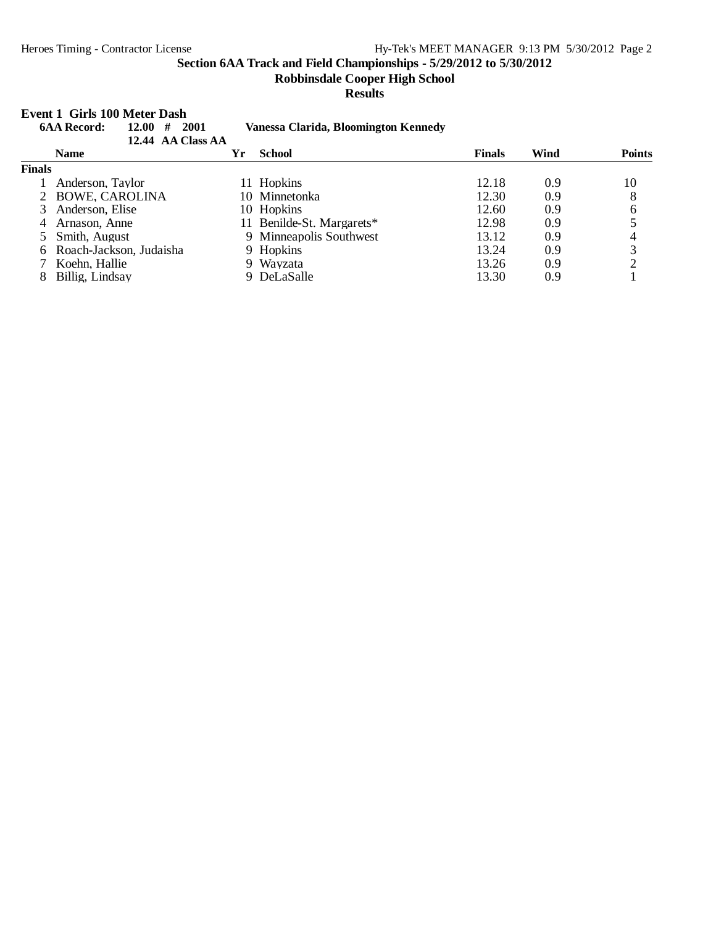**Event 1 Girls 100 Meter Dash**

**Section 6AA Track and Field Championships - 5/29/2012 to 5/30/2012**

**Robbinsdale Cooper High School**

#### **Results**

#### **6AA Record: 12.00 # 2001 Vanessa Clarida, Bloomington Kennedy 12.44 AA Class AA Name Yr School Finals Wind Points Finals** 1 Anderson, Taylor 11 Hopkins 12.18 0.9 10<br>2 BOWE, CAROLINA 10 Minnetonka 12.30 0.9 8 2 BOWE, CAROLINA 10 Minnetonka 12.30 0.9 8<br>3 Anderson, Elise 10 Hopkins 12.60 0.9 6 3 Anderson, Elise 10 Hopkins 12.60 0.9 6<br>4 Arnason, Anne 11 Benilde-St. Margarets\* 12.98 0.9 5 11 Benilde-St. Margarets\* 12.98 0.9 5<br>
9 Minneapolis Southwest 13.12 0.9 4 5 Smith, August 9 Minneapolis Southwest 13.12 0.9 4<br>6 Roach-Jackson, Judaisha 9 Hopkins 13.24 0.9 3 6 Roach-Jackson, Judaisha 9 Hopkins 13.24 0.9 3<br>
7 Koehn, Hallie 9 Wayzata 13.26 0.9 2 7 Koehn, Hallie 9 Wayzata 13.26 0.9 2 8 Billig, Lindsay 9 DeLaSalle 13.30 0.9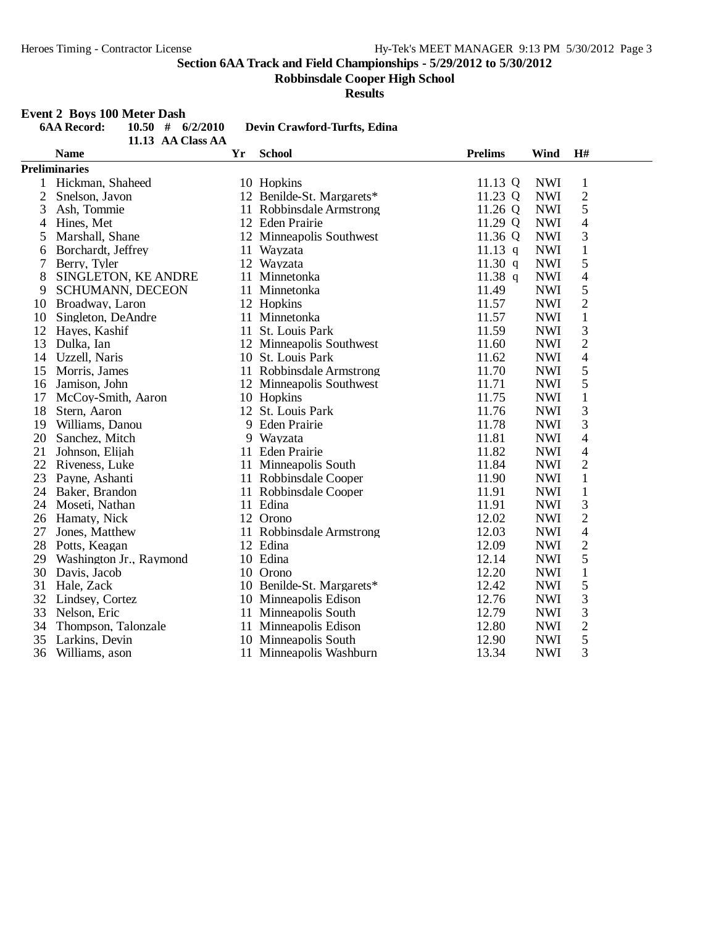**Robbinsdale Cooper High School**

**Results**

## **Event 2 Boys 100 Meter Dash**

|                | <b>6AA Record:</b><br>$10.50$ #<br>6/2/2010<br>Devin Crawford-Turfts, Edina<br>11.13 AA Class AA |    |                           |                |            |                |  |  |  |  |
|----------------|--------------------------------------------------------------------------------------------------|----|---------------------------|----------------|------------|----------------|--|--|--|--|
|                | <b>Name</b>                                                                                      | Yr | <b>School</b>             | <b>Prelims</b> | Wind       | H#             |  |  |  |  |
|                | <b>Preliminaries</b>                                                                             |    |                           |                |            |                |  |  |  |  |
| 1              | Hickman, Shaheed                                                                                 |    | 10 Hopkins                | 11.13 Q        | <b>NWI</b> | $\mathbf{1}$   |  |  |  |  |
| $\overline{2}$ | Snelson, Javon                                                                                   |    | 12 Benilde-St. Margarets* | 11.23 Q        | <b>NWI</b> | $\overline{c}$ |  |  |  |  |
| 3              | Ash, Tommie                                                                                      |    | 11 Robbinsdale Armstrong  | 11.26 Q        | <b>NWI</b> | 5              |  |  |  |  |
| 4              | Hines, Met                                                                                       |    | 12 Eden Prairie           | 11.29 Q        | <b>NWI</b> | $\overline{4}$ |  |  |  |  |
| 5              | Marshall, Shane                                                                                  |    | 12 Minneapolis Southwest  | 11.36 Q        | <b>NWI</b> | 3              |  |  |  |  |
| 6              | Borchardt, Jeffrey                                                                               |    | 11 Wayzata                | $11.13$ q      | <b>NWI</b> | $\mathbf{1}$   |  |  |  |  |
| 7              | Berry, Tyler                                                                                     |    | 12 Wayzata                | 11.30 $q$      | <b>NWI</b> | 5              |  |  |  |  |
| 8              | SINGLETON, KE ANDRE                                                                              | 11 | Minnetonka                | $11.38$ q      | <b>NWI</b> | $\overline{4}$ |  |  |  |  |
| 9              | <b>SCHUMANN, DECEON</b>                                                                          |    | 11 Minnetonka             | 11.49          | <b>NWI</b> | $\mathfrak s$  |  |  |  |  |
| 10             | Broadway, Laron                                                                                  |    | 12 Hopkins                | 11.57          | <b>NWI</b> | $\overline{2}$ |  |  |  |  |
| 10             | Singleton, DeAndre                                                                               |    | 11 Minnetonka             | 11.57          | <b>NWI</b> | $\mathbf{1}$   |  |  |  |  |
| 12             | Hayes, Kashif                                                                                    | 11 | St. Louis Park            | 11.59          | <b>NWI</b> | 3              |  |  |  |  |
| 13             | Dulka, Ian                                                                                       |    | 12 Minneapolis Southwest  | 11.60          | <b>NWI</b> | $\overline{2}$ |  |  |  |  |
| 14             | Uzzell, Naris                                                                                    |    | 10 St. Louis Park         | 11.62          | <b>NWI</b> | $\overline{4}$ |  |  |  |  |
| 15             | Morris, James                                                                                    |    | 11 Robbinsdale Armstrong  | 11.70          | <b>NWI</b> | 5              |  |  |  |  |
| 16             | Jamison, John                                                                                    |    | 12 Minneapolis Southwest  | 11.71          | <b>NWI</b> | 5              |  |  |  |  |
| 17             | McCoy-Smith, Aaron                                                                               |    | 10 Hopkins                | 11.75          | <b>NWI</b> | $\mathbf{1}$   |  |  |  |  |
| 18             | Stern, Aaron                                                                                     |    | 12 St. Louis Park         | 11.76          | <b>NWI</b> | 3              |  |  |  |  |
| 19             | Williams, Danou                                                                                  |    | 9 Eden Prairie            | 11.78          | <b>NWI</b> | 3              |  |  |  |  |
| 20             | Sanchez, Mitch                                                                                   |    | 9 Wayzata                 | 11.81          | <b>NWI</b> | $\overline{4}$ |  |  |  |  |
| 21             | Johnson, Elijah                                                                                  |    | 11 Eden Prairie           | 11.82          | <b>NWI</b> | 4              |  |  |  |  |
| 22             | Riveness, Luke                                                                                   |    | 11 Minneapolis South      | 11.84          | <b>NWI</b> | $\overline{c}$ |  |  |  |  |
| 23             | Payne, Ashanti                                                                                   |    | 11 Robbinsdale Cooper     | 11.90          | <b>NWI</b> | $\mathbf{1}$   |  |  |  |  |
| 24             | Baker, Brandon                                                                                   |    | 11 Robbinsdale Cooper     | 11.91          | <b>NWI</b> | $\mathbf{1}$   |  |  |  |  |
| 24             | Moseti, Nathan                                                                                   |    | 11 Edina                  | 11.91          | <b>NWI</b> | 3              |  |  |  |  |
| 26             | Hamaty, Nick                                                                                     |    | 12 Orono                  | 12.02          | <b>NWI</b> | $\frac{2}{4}$  |  |  |  |  |
| 27             | Jones, Matthew                                                                                   |    | 11 Robbinsdale Armstrong  | 12.03          | <b>NWI</b> |                |  |  |  |  |
| 28             | Potts, Keagan                                                                                    |    | 12 Edina                  | 12.09          | <b>NWI</b> | $\overline{c}$ |  |  |  |  |
| 29             | Washington Jr., Raymond                                                                          |    | 10 Edina                  | 12.14          | <b>NWI</b> | 5              |  |  |  |  |
| 30             | Davis, Jacob                                                                                     |    | 10 Orono                  | 12.20          | <b>NWI</b> | $\mathbf{1}$   |  |  |  |  |
| 31             | Hale, Zack                                                                                       |    | 10 Benilde-St. Margarets* | 12.42          | <b>NWI</b> | 5              |  |  |  |  |
| 32             | Lindsey, Cortez                                                                                  |    | 10 Minneapolis Edison     | 12.76          | <b>NWI</b> | 3              |  |  |  |  |
| 33             | Nelson, Eric                                                                                     |    | 11 Minneapolis South      | 12.79          | <b>NWI</b> | 3              |  |  |  |  |
| 34             | Thompson, Talonzale                                                                              |    | 11 Minneapolis Edison     | 12.80          | <b>NWI</b> | $\overline{2}$ |  |  |  |  |
| 35             | Larkins, Devin                                                                                   |    | 10 Minneapolis South      | 12.90          | <b>NWI</b> | 5              |  |  |  |  |
| 36             | Williams, ason                                                                                   |    | 11 Minneapolis Washburn   | 13.34          | <b>NWI</b> | 3              |  |  |  |  |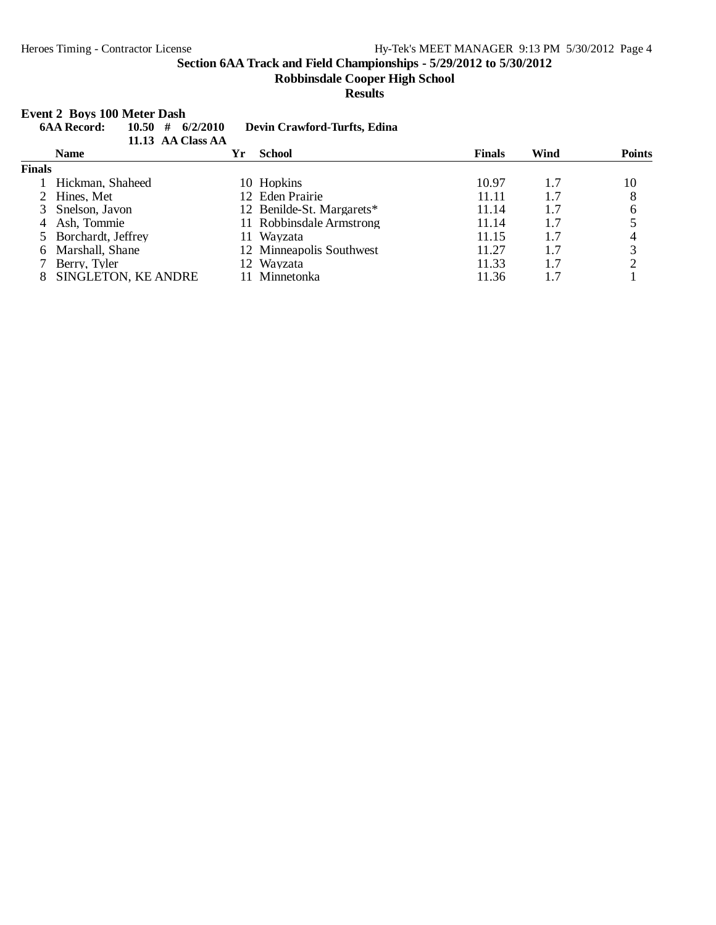**Robbinsdale Cooper High School**

**Results**

#### **Event 2 Boys 100 Meter Dash**

| 10.50<br><b>6AA Record:</b><br># |    |                               |                                                                                                                                                                                |      |               |
|----------------------------------|----|-------------------------------|--------------------------------------------------------------------------------------------------------------------------------------------------------------------------------|------|---------------|
| <b>Name</b>                      | Yr | <b>School</b>                 | <b>Finals</b>                                                                                                                                                                  | Wind | <b>Points</b> |
| <b>Finals</b>                    |    |                               |                                                                                                                                                                                |      |               |
| Hickman, Shaheed                 |    |                               | 10.97                                                                                                                                                                          | 1.7  | 10            |
| 2 Hines, Met                     |    |                               | 11.11                                                                                                                                                                          | 1.7  | 8             |
| 3 Snelson, Javon                 |    |                               | 11.14                                                                                                                                                                          | 1.7  | 6             |
| Ash, Tommie                      |    |                               | 11.14                                                                                                                                                                          | 1.7  |               |
| 5 Borchardt, Jeffrey             |    |                               | 11.15                                                                                                                                                                          | 1.7  | 4             |
| Marshall, Shane                  |    |                               | 11.27                                                                                                                                                                          | 1.7  | 3             |
| Berry, Tyler                     |    |                               | 11.33                                                                                                                                                                          | 1.7  |               |
| SINGLETON, KE ANDRE              |    | <b>Minnetonka</b>             | 11.36                                                                                                                                                                          |      |               |
|                                  |    | 6/2/2010<br>11.13 AA Class AA | Devin Crawford-Turfts, Edina<br>10 Hopkins<br>12 Eden Prairie<br>12 Benilde-St. Margarets*<br>11 Robbinsdale Armstrong<br>11 Wavzata<br>12 Minneapolis Southwest<br>12 Wayzata |      |               |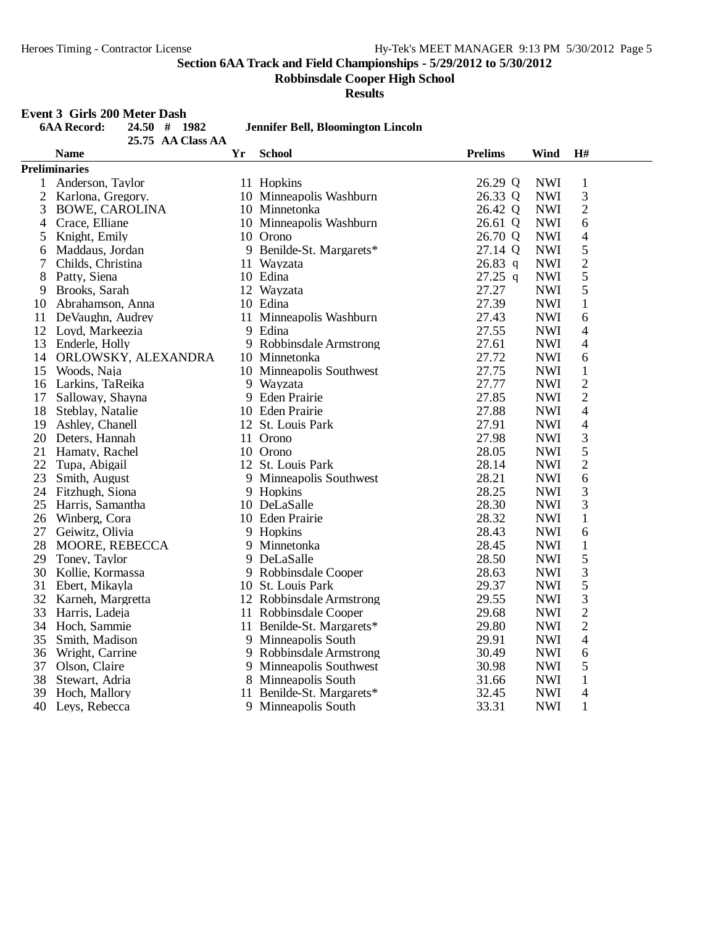**Robbinsdale Cooper High School**

**Results**

## **Event 3 Girls 200 Meter Dash**

|                | <b>6AA Record:</b>    | 24.50 # 1982        |    | <b>Jennifer Bell, Bloomington Lincoln</b> |                |            |                |  |  |
|----------------|-----------------------|---------------------|----|-------------------------------------------|----------------|------------|----------------|--|--|
|                |                       | 25.75 AA Class AA   |    |                                           |                |            |                |  |  |
|                | <b>Name</b>           |                     | Yr | <b>School</b>                             | <b>Prelims</b> | Wind       | H#             |  |  |
|                | <b>Preliminaries</b>  |                     |    |                                           |                |            |                |  |  |
| $\mathbf{1}$   | Anderson, Taylor      |                     |    | 11 Hopkins                                | 26.29 Q        | <b>NWI</b> | $\mathbf{1}$   |  |  |
| $\overline{2}$ | Karlona, Gregory.     |                     |    | 10 Minneapolis Washburn                   | 26.33 Q        | <b>NWI</b> | 3              |  |  |
| 3              | <b>BOWE, CAROLINA</b> |                     |    | 10 Minnetonka                             | 26.42 Q        | <b>NWI</b> | $\sqrt{2}$     |  |  |
| 4              | Crace, Elliane        |                     |    | 10 Minneapolis Washburn                   | 26.61 Q        | <b>NWI</b> | 6              |  |  |
| 5              | Knight, Emily         |                     |    | 10 Orono                                  | 26.70 Q        | <b>NWI</b> | $\overline{4}$ |  |  |
| 6              | Maddaus, Jordan       |                     |    | 9 Benilde-St. Margarets*                  | 27.14 Q        | <b>NWI</b> | 5              |  |  |
| 7              | Childs, Christina     |                     |    | 11 Wayzata                                | $26.83$ q      | <b>NWI</b> | $\overline{c}$ |  |  |
| 8              | Patty, Siena          |                     |    | 10 Edina                                  | $27.25$ q      | <b>NWI</b> | 5              |  |  |
| 9              | Brooks, Sarah         |                     |    | 12 Wayzata                                | 27.27          | <b>NWI</b> | 5              |  |  |
| 10             | Abrahamson, Anna      |                     |    | 10 Edina                                  | 27.39          | <b>NWI</b> | $\mathbf{1}$   |  |  |
| 11             | DeVaughn, Audrey      |                     |    | 11 Minneapolis Washburn                   | 27.43          | <b>NWI</b> | 6              |  |  |
| 12             | Loyd, Markeezia       |                     |    | 9 Edina                                   | 27.55          | <b>NWI</b> | 4              |  |  |
| 13             | Enderle, Holly        |                     |    | 9 Robbinsdale Armstrong                   | 27.61          | <b>NWI</b> | $\overline{4}$ |  |  |
| 14             |                       | ORLOWSKY, ALEXANDRA |    | 10 Minnetonka                             | 27.72          | <b>NWI</b> | 6              |  |  |
| 15             | Woods, Naja           |                     |    | 10 Minneapolis Southwest                  | 27.75          | <b>NWI</b> | $\mathbf{1}$   |  |  |
| 16             | Larkins, TaReika      |                     |    | 9 Wayzata                                 | 27.77          | <b>NWI</b> | $\overline{c}$ |  |  |
| 17             | Salloway, Shayna      |                     |    | 9 Eden Prairie                            | 27.85          | <b>NWI</b> | $\overline{2}$ |  |  |
| 18             | Steblay, Natalie      |                     |    | 10 Eden Prairie                           | 27.88          | <b>NWI</b> | $\overline{4}$ |  |  |
| 19             | Ashley, Chanell       |                     |    | 12 St. Louis Park                         | 27.91          | <b>NWI</b> | $\overline{4}$ |  |  |
| 20             | Deters, Hannah        |                     |    | 11 Orono                                  | 27.98          | <b>NWI</b> | 3              |  |  |
| 21             | Hamaty, Rachel        |                     |    | 10 Orono                                  | 28.05          | <b>NWI</b> | 5              |  |  |
| 22             | Tupa, Abigail         |                     |    | 12 St. Louis Park                         | 28.14          | <b>NWI</b> | 2              |  |  |
| 23             | Smith, August         |                     |    | 9 Minneapolis Southwest                   | 28.21          | <b>NWI</b> | 6              |  |  |
|                | 24 Fitzhugh, Siona    |                     |    | 9 Hopkins                                 | 28.25          | <b>NWI</b> | $\mathfrak{Z}$ |  |  |
| 25             | Harris, Samantha      |                     |    | 10 DeLaSalle                              | 28.30          | <b>NWI</b> | 3              |  |  |
| 26             | Winberg, Cora         |                     |    | 10 Eden Prairie                           | 28.32          | <b>NWI</b> | $\mathbf{1}$   |  |  |
| 27             | Geiwitz, Olivia       |                     |    | 9 Hopkins                                 | 28.43          | <b>NWI</b> | 6              |  |  |
| 28             | MOORE, REBECCA        |                     |    | 9 Minnetonka                              | 28.45          | <b>NWI</b> | $\mathbf{1}$   |  |  |
| 29             | Toney, Taylor         |                     |    | 9 DeLaSalle                               | 28.50          | <b>NWI</b> | 5              |  |  |
| 30             | Kollie, Kormassa      |                     |    | 9 Robbinsdale Cooper                      | 28.63          | <b>NWI</b> | 3              |  |  |
| 31             | Ebert, Mikayla        |                     |    | 10 St. Louis Park                         | 29.37          | <b>NWI</b> | 5              |  |  |
| 32             | Karneh, Margretta     |                     |    | 12 Robbinsdale Armstrong                  | 29.55          | <b>NWI</b> | $\mathfrak{Z}$ |  |  |
| 33             | Harris, Ladeja        |                     | 11 | Robbinsdale Cooper                        | 29.68          | <b>NWI</b> | $\sqrt{2}$     |  |  |
| 34             | Hoch, Sammie          |                     |    | 11 Benilde-St. Margarets*                 | 29.80          | <b>NWI</b> | $\overline{2}$ |  |  |
| 35             | Smith, Madison        |                     |    | 9 Minneapolis South                       | 29.91          | <b>NWI</b> | $\overline{4}$ |  |  |
| 36             | Wright, Carrine       |                     |    | 9 Robbinsdale Armstrong                   | 30.49          | <b>NWI</b> | 6              |  |  |
| 37             | Olson, Claire         |                     |    | 9 Minneapolis Southwest                   | 30.98          | <b>NWI</b> | 5              |  |  |
| 38             | Stewart, Adria        |                     |    | 8 Minneapolis South                       | 31.66          | <b>NWI</b> | $\mathbf{1}$   |  |  |
| 39             | Hoch, Mallory         |                     |    | 11 Benilde-St. Margarets*                 | 32.45          | <b>NWI</b> | 4              |  |  |
| 40             | Leys, Rebecca         |                     |    | 9 Minneapolis South                       | 33.31          | <b>NWI</b> | $\mathbf{1}$   |  |  |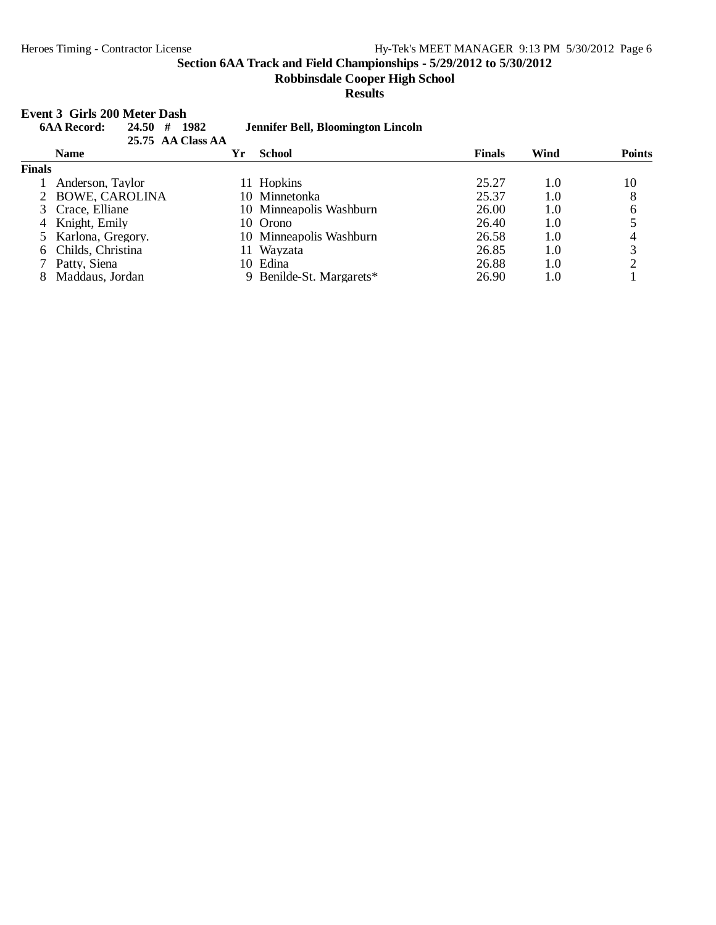**Robbinsdale Cooper High School**

**Results**

## **Event 3 Girls 200 Meter Dash**<br>64 A Record: 24.50 # 1982

|               | етн элив 200 тип там                     |    |                                    |               |      |               |  |  |  |
|---------------|------------------------------------------|----|------------------------------------|---------------|------|---------------|--|--|--|
|               | <b>6AA Record:</b><br>1982<br>24.50<br># |    | Jennifer Bell, Bloomington Lincoln |               |      |               |  |  |  |
|               | 25.75 AA Class AA                        |    |                                    |               |      |               |  |  |  |
|               | <b>Name</b>                              | Yr | <b>School</b>                      | <b>Finals</b> | Wind | <b>Points</b> |  |  |  |
| <b>Finals</b> |                                          |    |                                    |               |      |               |  |  |  |
|               | Anderson, Taylor                         |    | 11 Hopkins                         | 25.27         | 1.0  | 10            |  |  |  |
|               | 2 BOWE, CAROLINA                         |    | 10 Minnetonka                      | 25.37         | 1.0  | 8             |  |  |  |
|               | 3 Crace, Elliane                         |    | 10 Minneapolis Washburn            | 26.00         | 1.0  | 6             |  |  |  |
| 4             | Knight, Emily                            |    | 10 Orono                           | 26.40         | 1.0  |               |  |  |  |
|               | 5 Karlona, Gregory.                      |    | 10 Minneapolis Washburn            | 26.58         | 1.0  | 4             |  |  |  |
| 6.            | Childs, Christina                        | 11 | Wayzata                            | 26.85         | 1.0  | 3             |  |  |  |
|               | Patty, Siena                             | 10 | Edina                              | 26.88         | 1.0  |               |  |  |  |
| 8             | Maddaus, Jordan                          |    | 9 Benilde-St. Margarets*           | 26.90         | 1.0  |               |  |  |  |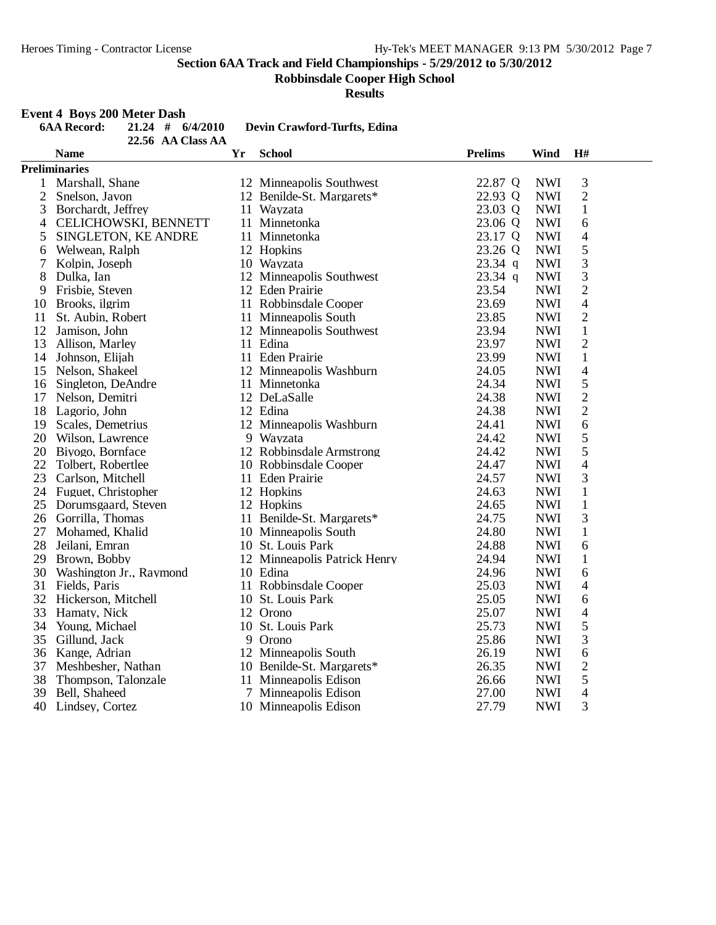**Robbinsdale Cooper High School**

**Results**

## **Event 4 Boys 200 Meter Dash**

|                | <b>6AA Record:</b>         | $21.24$ # $6/4/2010$ |           | Devin Crawford-Turfts, Edina |                |            |                |  |
|----------------|----------------------------|----------------------|-----------|------------------------------|----------------|------------|----------------|--|
|                |                            | 22.56 AA Class AA    |           |                              |                |            |                |  |
|                | <b>Name</b>                |                      | <b>Yr</b> | <b>School</b>                | <b>Prelims</b> | Wind       | H#             |  |
|                | <b>Preliminaries</b>       |                      |           |                              |                |            |                |  |
| $\mathbf{1}$   | Marshall, Shane            |                      |           | 12 Minneapolis Southwest     | 22.87 Q        | <b>NWI</b> | 3              |  |
| $\overline{2}$ | Snelson, Javon             |                      |           | 12 Benilde-St. Margarets*    | 22.93 Q        | <b>NWI</b> | $\overline{2}$ |  |
| 3              | Borchardt, Jeffrey         |                      |           | 11 Wayzata                   | 23.03 Q        | <b>NWI</b> | $\mathbf{1}$   |  |
| $\overline{4}$ | CELICHOWSKI, BENNETT       |                      |           | 11 Minnetonka                | 23.06 Q        | <b>NWI</b> | 6              |  |
| 5              | SINGLETON, KE ANDRE        |                      |           | 11 Minnetonka                | 23.17 Q        | <b>NWI</b> | 4              |  |
| 6              | Welwean, Ralph             |                      |           | 12 Hopkins                   | 23.26 Q        | <b>NWI</b> | 5              |  |
| 7              | Kolpin, Joseph             |                      |           | 10 Wayzata                   | $23.34$ q      | <b>NWI</b> | 3              |  |
| 8              | Dulka, Ian                 |                      |           | 12 Minneapolis Southwest     | $23.34$ q      | <b>NWI</b> | 3              |  |
| 9              | Frisbie, Steven            |                      |           | 12 Eden Prairie              | 23.54          | <b>NWI</b> | $\overline{2}$ |  |
|                | 10 Brooks, ilgrim          |                      |           | 11 Robbinsdale Cooper        | 23.69          | <b>NWI</b> | $\overline{4}$ |  |
| 11             | St. Aubin, Robert          |                      |           | 11 Minneapolis South         | 23.85          | <b>NWI</b> | $\overline{2}$ |  |
| 12             | Jamison, John              |                      |           | 12 Minneapolis Southwest     | 23.94          | <b>NWI</b> | $\mathbf{1}$   |  |
| 13             | Allison, Marley            |                      |           | 11 Edina                     | 23.97          | <b>NWI</b> | $\overline{c}$ |  |
|                | 14 Johnson, Elijah         |                      |           | 11 Eden Prairie              | 23.99          | <b>NWI</b> | $\mathbf 1$    |  |
|                | 15 Nelson, Shakeel         |                      |           | 12 Minneapolis Washburn      | 24.05          | <b>NWI</b> | $\overline{4}$ |  |
| 16             | Singleton, DeAndre         |                      |           | 11 Minnetonka                | 24.34          | <b>NWI</b> | 5              |  |
| 17             | Nelson, Demitri            |                      |           | 12 DeLaSalle                 | 24.38          | <b>NWI</b> | $\overline{c}$ |  |
|                | 18 Lagorio, John           |                      |           | 12 Edina                     | 24.38          | <b>NWI</b> | $\overline{2}$ |  |
| 19             | Scales, Demetrius          |                      |           | 12 Minneapolis Washburn      | 24.41          | <b>NWI</b> | 6              |  |
|                | 20 Wilson, Lawrence        |                      |           | 9 Wavzata                    | 24.42          | <b>NWI</b> | 5              |  |
|                | 20 Biyogo, Bornface        |                      |           | 12 Robbinsdale Armstrong     | 24.42          | <b>NWI</b> | 5              |  |
| 22             | Tolbert, Robertlee         |                      |           | 10 Robbinsdale Cooper        | 24.47          | <b>NWI</b> | $\overline{4}$ |  |
| 23             | Carlson, Mitchell          |                      |           | 11 Eden Prairie              | 24.57          | <b>NWI</b> | 3              |  |
|                | 24 Fuguet, Christopher     |                      |           | 12 Hopkins                   | 24.63          | <b>NWI</b> | $\mathbf{1}$   |  |
|                | 25 Dorumsgaard, Steven     |                      |           | 12 Hopkins                   | 24.65          | <b>NWI</b> | $\,1$          |  |
|                | 26 Gorrilla, Thomas        |                      |           | 11 Benilde-St. Margarets*    | 24.75          | <b>NWI</b> | 3              |  |
| 27             | Mohamed, Khalid            |                      |           | 10 Minneapolis South         | 24.80          | <b>NWI</b> | $\mathbf 1$    |  |
|                | 28 Jeilani, Emran          |                      |           | 10 St. Louis Park            | 24.88          | <b>NWI</b> | 6              |  |
| 29             | Brown, Bobby               |                      |           | 12 Minneapolis Patrick Henry | 24.94          | <b>NWI</b> | $\mathbf{1}$   |  |
|                | 30 Washington Jr., Raymond |                      |           | 10 Edina                     | 24.96          | <b>NWI</b> | 6              |  |
| 31             | Fields, Paris              |                      |           | 11 Robbinsdale Cooper        | 25.03          | <b>NWI</b> | $\overline{4}$ |  |
|                | 32 Hickerson, Mitchell     |                      |           | 10 St. Louis Park            | 25.05          | <b>NWI</b> | 6              |  |
| 33             | Hamaty, Nick               |                      |           | 12 Orono                     | 25.07          | <b>NWI</b> | $\overline{4}$ |  |
| 34             | Young, Michael             |                      |           | 10 St. Louis Park            | 25.73          | <b>NWI</b> | 5              |  |
| 35             | Gillund, Jack              |                      |           | 9 Orono                      | 25.86          | <b>NWI</b> | 3              |  |
| 36             | Kange, Adrian              |                      |           | 12 Minneapolis South         | 26.19          | <b>NWI</b> | 6              |  |
| 37             | Meshbesher, Nathan         |                      |           | 10 Benilde-St. Margarets*    | 26.35          | <b>NWI</b> | $\overline{2}$ |  |
| 38             | Thompson, Talonzale        |                      |           | 11 Minneapolis Edison        | 26.66          | <b>NWI</b> | 5              |  |
| 39             | Bell, Shaheed              |                      |           | 7 Minneapolis Edison         | 27.00          | <b>NWI</b> | $\overline{4}$ |  |
| 40             | Lindsey, Cortez            |                      |           | 10 Minneapolis Edison        | 27.79          | <b>NWI</b> | $\overline{3}$ |  |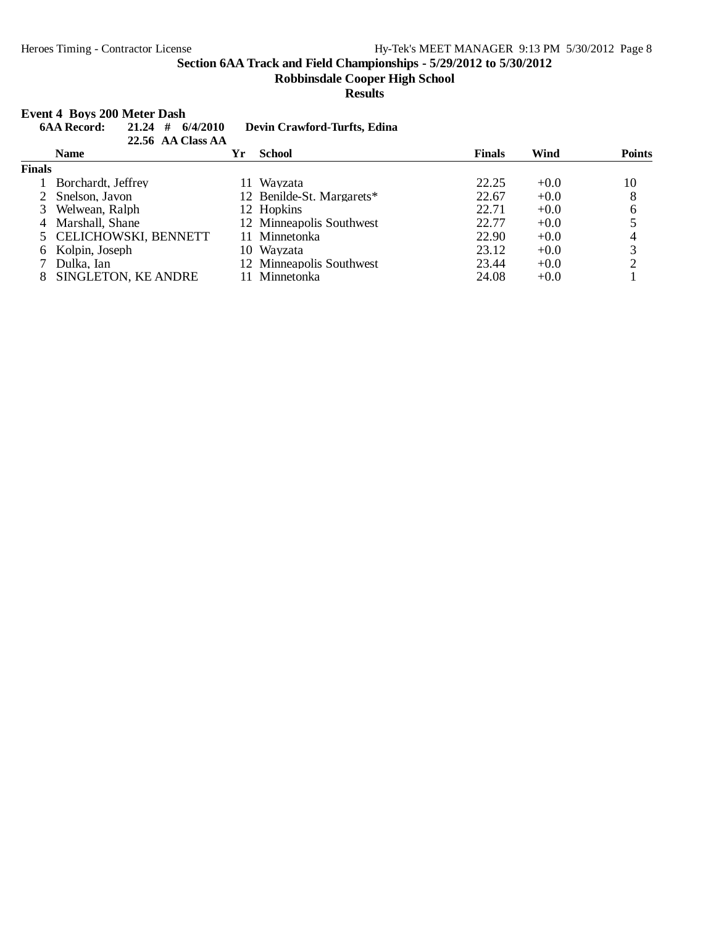**Robbinsdale Cooper High School**

**Results**

#### **Event 4 Boys 200 Meter Dash**

|               | #<br><b>6AA Record:</b><br>6/4/2010<br>21.24<br>22.56 AA Class AA |     | Devin Crawford-Turfts, Edina |               |        |               |
|---------------|-------------------------------------------------------------------|-----|------------------------------|---------------|--------|---------------|
|               | <b>Name</b>                                                       | Yr  | <b>School</b>                | <b>Finals</b> | Wind   | <b>Points</b> |
| <b>Finals</b> |                                                                   |     |                              |               |        |               |
|               | Borchardt, Jeffrey                                                | 11. | Wayzata                      | 22.25         | $+0.0$ | 10            |
|               | Snelson, Javon                                                    |     | 12 Benilde-St. Margarets*    | 22.67         | $+0.0$ | 8             |
|               | Welwean, Ralph                                                    |     | 12 Hopkins                   | 22.71         | $+0.0$ | 6             |
| 4             | Marshall, Shane                                                   |     | 12 Minneapolis Southwest     | 22.77         | $+0.0$ |               |
|               | 5 CELICHOWSKI, BENNETT                                            |     | 11 Minnetonka                | 22.90         | $+0.0$ | 4             |
| 6             | Kolpin, Joseph                                                    |     | 10 Wayzata                   | 23.12         | $+0.0$ | 3             |
|               | Dulka, Ian                                                        |     | 12 Minneapolis Southwest     | 23.44         | $+0.0$ | っ             |
|               | SINGLETON, KE ANDRE                                               | 11  | Minnetonka                   | 24.08         | $+0.0$ |               |
|               |                                                                   |     |                              |               |        |               |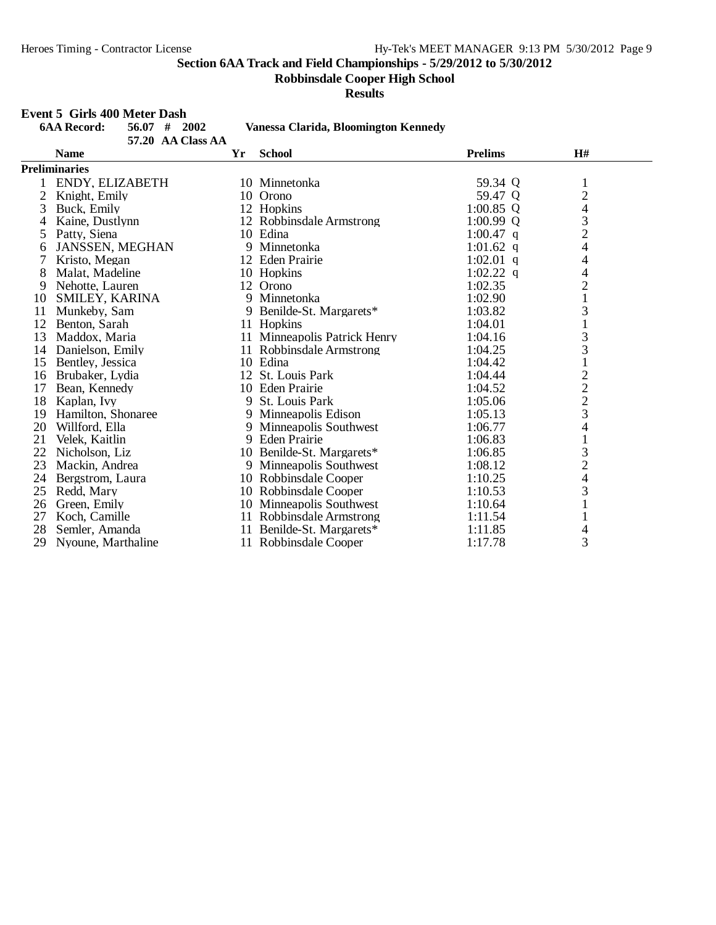**Robbinsdale Cooper High School**

**Results**

## **Event 5 Girls 400 Meter Dash**

|    | <b>6AA Record:</b><br>#<br>56.07<br>2002<br>57.20 AA Class AA |    | Vanessa Clarida, Bloomington Kennedy |                |                                |  |
|----|---------------------------------------------------------------|----|--------------------------------------|----------------|--------------------------------|--|
|    | <b>Name</b>                                                   | Yr | <b>School</b>                        | <b>Prelims</b> | H#                             |  |
|    | <b>Preliminaries</b>                                          |    |                                      |                |                                |  |
|    | ENDY, ELIZABETH                                               |    | 10 Minnetonka                        | 59.34 Q        | 1                              |  |
| 2  | Knight, Emily                                                 |    | 10 Orono                             | 59.47 Q        | $\overline{c}$                 |  |
| 3  | Buck, Emily                                                   |    | 12 Hopkins                           | $1:00.85$ Q    | 4                              |  |
| 4  | Kaine, Dustlynn                                               |    | 12 Robbinsdale Armstrong             | $1:00.99$ Q    | 3                              |  |
| 5  | Patty, Siena                                                  |    | 10 Edina                             | 1:00.47 q      | $\overline{c}$                 |  |
| 6  | JANSSEN, MEGHAN                                               |    | 9 Minnetonka                         | 1:01.62 q      | 4                              |  |
| 7  | Kristo, Megan                                                 |    | 12 Eden Prairie                      | $1:02.01$ q    | 4                              |  |
| 8  | Malat, Madeline                                               |    | 10 Hopkins                           | $1:02.22$ q    | 4                              |  |
| 9  | Nehotte, Lauren                                               |    | 12 Orono                             | 1:02.35        |                                |  |
| 10 | SMILEY, KARINA                                                |    | 9 Minnetonka                         | 1:02.90        | $\frac{2}{1}$                  |  |
| 11 | Munkeby, Sam                                                  | 9  | Benilde-St. Margarets*               | 1:03.82        | 3                              |  |
| 12 | Benton, Sarah                                                 |    | 11 Hopkins                           | 1:04.01        | $\mathbf{1}$                   |  |
| 13 | Maddox, Maria                                                 |    | 11 Minneapolis Patrick Henry         | 1:04.16        |                                |  |
| 14 | Danielson, Emily                                              |    | 11 Robbinsdale Armstrong             | 1:04.25        | $\frac{3}{3}$                  |  |
| 15 | Bentley, Jessica                                              |    | 10 Edina                             | 1:04.42        | $\mathbf 1$                    |  |
| 16 | Brubaker, Lydia                                               |    | 12 St. Louis Park                    | 1:04.44        |                                |  |
| 17 | Bean, Kennedy                                                 |    | 10 Eden Prairie                      | 1:04.52        | $\frac{2}{2}$<br>$\frac{2}{3}$ |  |
| 18 | Kaplan, Ivy                                                   |    | 9 St. Louis Park                     | 1:05.06        |                                |  |
| 19 | Hamilton, Shonaree                                            |    | 9 Minneapolis Edison                 | 1:05.13        |                                |  |
| 20 | Willford, Ella                                                |    | 9 Minneapolis Southwest              | 1:06.77        | $\overline{4}$                 |  |
| 21 | Velek, Kaitlin                                                |    | 9 Eden Prairie                       | 1:06.83        |                                |  |
| 22 | Nicholson, Liz                                                |    | 10 Benilde-St. Margarets*            | 1:06.85        | 3                              |  |
| 23 | Mackin, Andrea                                                |    | 9 Minneapolis Southwest              | 1:08.12        |                                |  |
| 24 | Bergstrom, Laura                                              |    | 10 Robbinsdale Cooper                | 1:10.25        | $\frac{2}{4}$                  |  |
| 25 | Redd, Mary                                                    |    | 10 Robbinsdale Cooper                | 1:10.53        | 3                              |  |
| 26 | Green, Emily                                                  |    | 10 Minneapolis Southwest             | 1:10.64        | $\mathbf{1}$                   |  |
| 27 | Koch, Camille                                                 |    | 11 Robbinsdale Armstrong             | 1:11.54        |                                |  |
| 28 | Semler, Amanda                                                |    | 11 Benilde-St. Margarets*            | 1:11.85        | 4                              |  |
| 29 | Nyoune, Marthaline                                            |    | 11 Robbinsdale Cooper                | 1:17.78        | 3                              |  |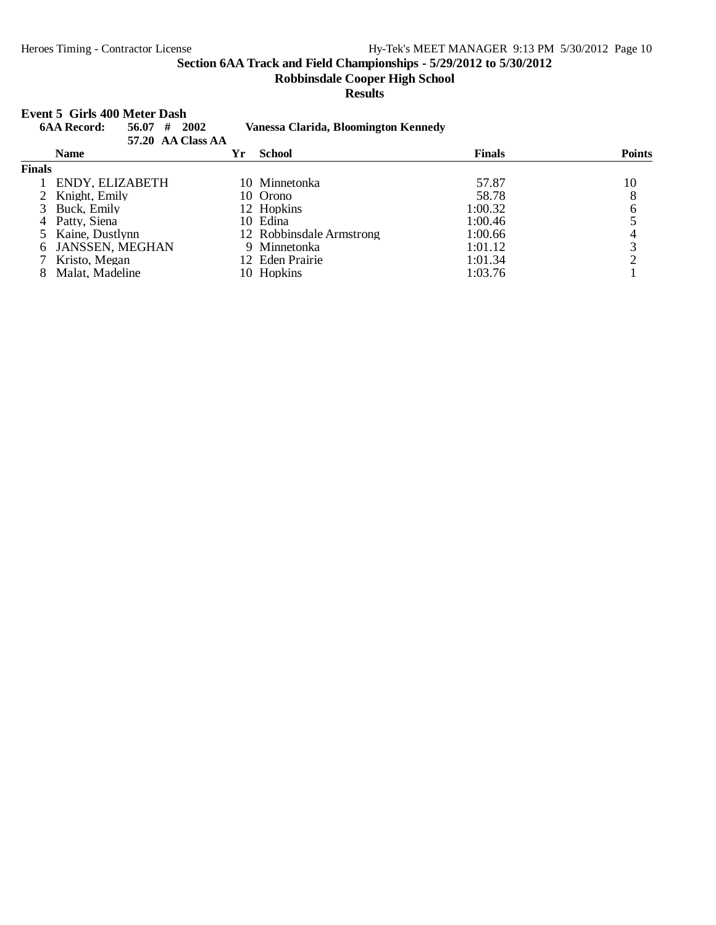**Robbinsdale Cooper High School**

#### **Results**

#### **Event 5 Girls 400 Meter Dash**

| <b>6AA Record:</b><br>56.07 | #<br>2002 |                                                         |                                                                                                      |                                                                  |
|-----------------------------|-----------|---------------------------------------------------------|------------------------------------------------------------------------------------------------------|------------------------------------------------------------------|
| <b>Name</b>                 | Үr        | <b>School</b>                                           | <b>Finals</b>                                                                                        | <b>Points</b>                                                    |
| <b>Finals</b>               |           |                                                         |                                                                                                      |                                                                  |
|                             |           |                                                         | 57.87                                                                                                | 10                                                               |
| 2 Knight, Emily             |           |                                                         | 58.78                                                                                                | 8                                                                |
| 3 Buck, Emily               |           |                                                         | 1:00.32                                                                                              |                                                                  |
| Patty, Siena                |           |                                                         | 1:00.46                                                                                              |                                                                  |
| 5 Kaine, Dustlynn           |           |                                                         | 1:00.66                                                                                              |                                                                  |
|                             |           |                                                         | 1:01.12                                                                                              | 3                                                                |
| Kristo, Megan               |           |                                                         | 1:01.34                                                                                              |                                                                  |
| Malat, Madeline             |           |                                                         | 1:03.76                                                                                              |                                                                  |
|                             |           | 57.20 AA Class AA<br>ENDY, ELIZABETH<br>JANSSEN, MEGHAN | 10 Minnetonka<br>10 Orono<br>12 Hopkins<br>10 Edina<br>9 Minnetonka<br>12 Eden Prairie<br>10 Hopkins | Vanessa Clarida, Bloomington Kennedy<br>12 Robbinsdale Armstrong |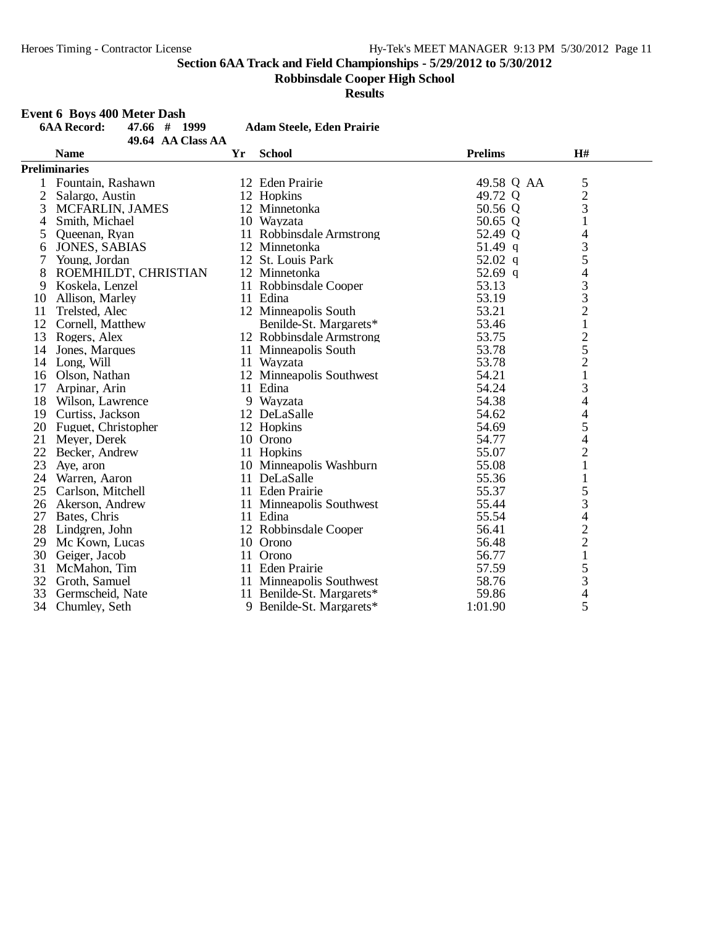**Robbinsdale Cooper High School**

**Results**

## **Event 6 Boys 400 Meter Dash**

|                | <b>6AA Record:</b><br>47.66 # 1999 |    | <b>Adam Steele, Eden Prairie</b> |                |                          |  |
|----------------|------------------------------------|----|----------------------------------|----------------|--------------------------|--|
|                | 49.64 AA Class AA                  |    |                                  |                |                          |  |
|                | <b>Name</b>                        | Yr | <b>School</b>                    | <b>Prelims</b> | H#                       |  |
|                | <b>Preliminaries</b>               |    |                                  |                |                          |  |
|                | Fountain, Rashawn                  |    | 12 Eden Prairie                  | 49.58 Q AA     | 5                        |  |
| $\overline{2}$ | Salargo, Austin                    |    | 12 Hopkins                       | 49.72 Q        | $\overline{c}$           |  |
| 3              | MCFARLIN, JAMES                    |    | 12 Minnetonka                    | 50.56 Q        | 3                        |  |
| 4              | Smith, Michael                     |    | 10 Wayzata                       | 50.65 Q        | $\mathbf{1}$             |  |
| 5              | Queenan, Ryan                      |    | 11 Robbinsdale Armstrong         | 52.49 Q        | 4                        |  |
| 6              | <b>JONES, SABIAS</b>               |    | 12 Minnetonka                    | $51.49$ q      | 3                        |  |
| 7              | Young, Jordan                      |    | 12 St. Louis Park                | $52.02$ q      | 5                        |  |
| 8              | ROEMHILDT, CHRISTIAN               |    | 12 Minnetonka                    | 52.69 q        | $\overline{\mathcal{L}}$ |  |
| 9              | Koskela, Lenzel                    |    | 11 Robbinsdale Cooper            | 53.13          |                          |  |
| 10             | Allison, Marley                    |    | 11 Edina                         | 53.19          | $\frac{3}{3}$            |  |
| 11             | Trelsted, Alec                     |    | 12 Minneapolis South             | 53.21          |                          |  |
|                | 12 Cornell, Matthew                |    | Benilde-St. Margarets*           | 53.46          | $\frac{2}{1}$            |  |
|                | 13 Rogers, Alex                    |    | 12 Robbinsdale Armstrong         | 53.75          |                          |  |
| 14             | Jones, Marques                     |    | 11 Minneapolis South             | 53.78          | $\frac{2}{5}$            |  |
| 14             | Long, Will                         |    | 11 Wayzata                       | 53.78          | $\overline{c}$           |  |
| 16             | Olson, Nathan                      |    | 12 Minneapolis Southwest         | 54.21          | $\mathbf{1}$             |  |
| 17             | Arpinar, Arin                      |    | 11 Edina                         | 54.24          | 3                        |  |
| 18             | Wilson, Lawrence                   |    | 9 Wayzata                        | 54.38          | 4                        |  |
| 19             | Curtiss, Jackson                   |    | 12 DeLaSalle                     | 54.62          |                          |  |
| 20             | Fuguet, Christopher                |    | 12 Hopkins                       | 54.69          | $rac{4}{5}$              |  |
| 21             | Meyer, Derek                       |    | 10 Orono                         | 54.77          | $\overline{4}$           |  |
| 22             | Becker, Andrew                     |    | 11 Hopkins                       | 55.07          | $\overline{c}$           |  |
| 23             | Aye, aron                          |    | 10 Minneapolis Washburn          | 55.08          | $\mathbf{1}$             |  |
| 24             | Warren, Aaron                      |    | 11 DeLaSalle                     | 55.36          | $\mathbf{1}$             |  |
| 25             | Carlson, Mitchell                  |    | 11 Eden Prairie                  | 55.37          | 5                        |  |
|                | 26 Akerson, Andrew                 |    | 11 Minneapolis Southwest         | 55.44          | 3                        |  |
| 27             | Bates, Chris                       |    | 11 Edina                         | 55.54          | 4                        |  |
|                | 28 Lindgren, John                  |    | 12 Robbinsdale Cooper            | 56.41          | $\frac{2}{2}$            |  |
| 29             | Mc Kown, Lucas                     |    | 10 Orono                         | 56.48          |                          |  |
|                | 30 Geiger, Jacob                   |    | 11 Orono                         | 56.77          | $\,1$                    |  |
| 31             | McMahon, Tim                       |    | 11 Eden Prairie                  | 57.59          | $\frac{5}{3}$            |  |
|                | 32 Groth, Samuel                   |    | 11 Minneapolis Southwest         | 58.76          |                          |  |
| 33             | Germscheid, Nate                   |    | 11 Benilde-St. Margarets*        | 59.86          | $\overline{\mathcal{L}}$ |  |
| 34             | Chumley, Seth                      |    | 9 Benilde-St. Margarets*         | 1:01.90        | 5                        |  |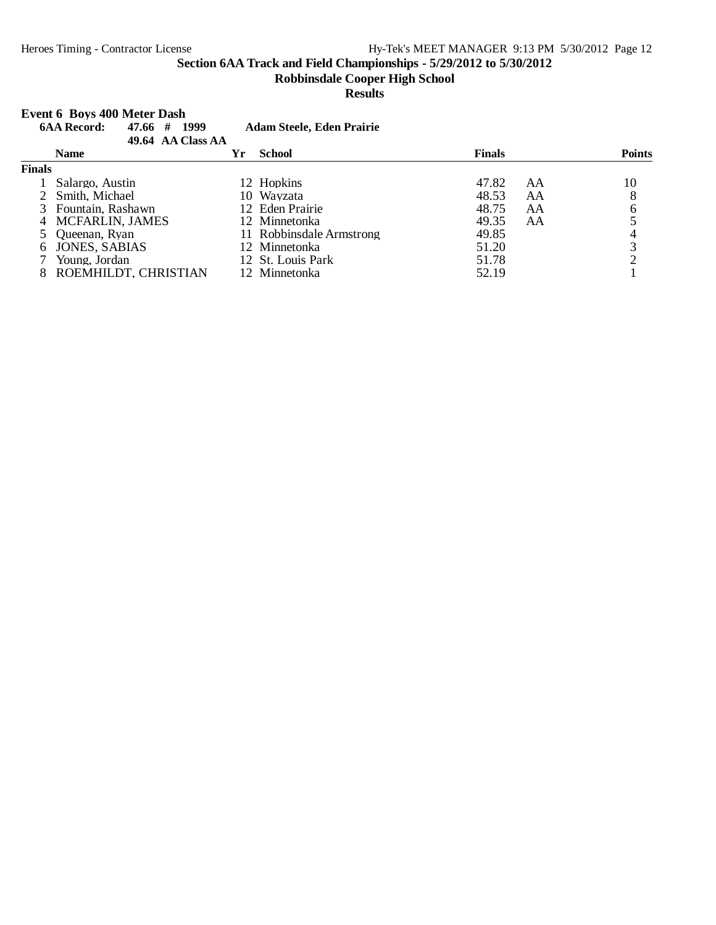#### **Robbinsdale Cooper High School**

**Results**

#### **Event 6 Boys 400 Meter Dash**

|               | <b>6AA Record:</b><br>47.66 #<br>1999<br>49.64 AA Class AA |    | <b>Adam Steele, Eden Prairie</b> |               |    |               |
|---------------|------------------------------------------------------------|----|----------------------------------|---------------|----|---------------|
|               | <b>Name</b>                                                | Yr | <b>School</b>                    | <b>Finals</b> |    | <b>Points</b> |
| <b>Finals</b> |                                                            |    |                                  |               |    |               |
|               | Salargo, Austin                                            |    | 12 Hopkins                       | 47.82         | AA | 10            |
|               | Smith, Michael                                             |    | 10 Wayzata                       | 48.53         | AA | 8             |
|               | 3 Fountain, Rashawn                                        |    | 12 Eden Prairie                  | 48.75         | AA | 6             |
| 4             | <b>MCFARLIN, JAMES</b>                                     |    | 12 Minnetonka                    | 49.35         | AA |               |
|               | Oueenan. Rvan                                              |    | 11 Robbinsdale Armstrong         | 49.85         |    |               |
| 6             | <b>JONES, SABIAS</b>                                       |    | 12 Minnetonka                    | 51.20         |    | 3             |
|               | Young, Jordan                                              |    | 12 St. Louis Park                | 51.78         |    |               |
|               | ROEMHILDT, CHRISTIAN                                       |    | 12 Minnetonka                    | 52.19         |    |               |
|               |                                                            |    |                                  |               |    |               |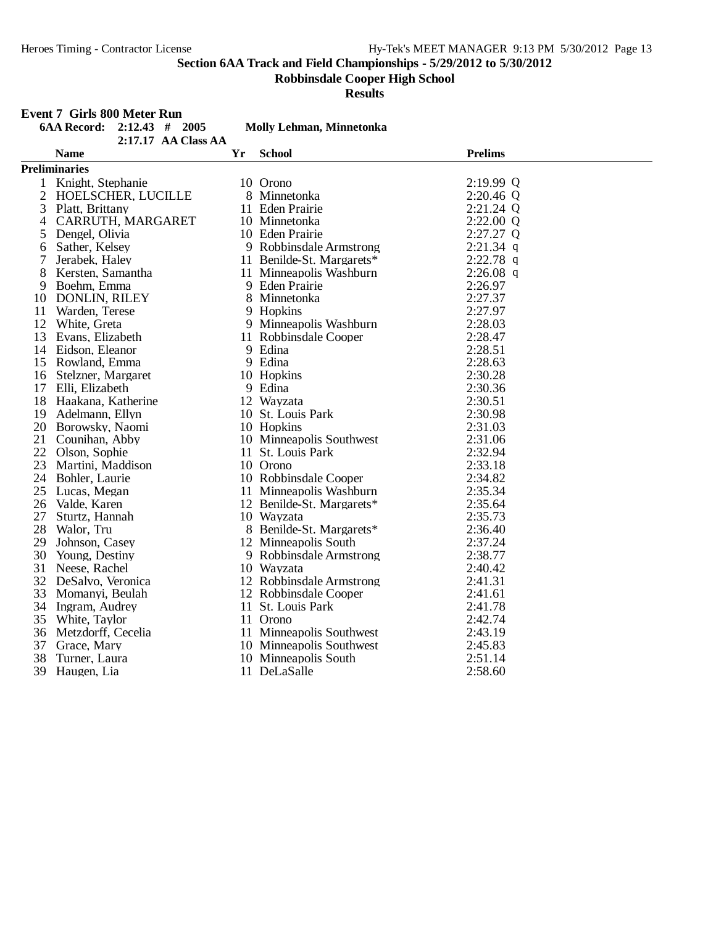**Robbinsdale Cooper High School**

**Results**

## **Event 7 Girls 800 Meter Run**

|                | <b>6AA Record:</b>    | $2:12.43$ # 2005      |    | Molly Lehman, Minnetonka  |                |
|----------------|-----------------------|-----------------------|----|---------------------------|----------------|
|                |                       | $2:17.17$ AA Class AA |    |                           |                |
|                | <b>Name</b>           |                       | Yr | <b>School</b>             | <b>Prelims</b> |
|                | <b>Preliminaries</b>  |                       |    |                           |                |
| $\mathbf{1}$   | Knight, Stephanie     |                       |    | 10 Orono                  | 2:19.99 Q      |
| $\overline{2}$ | HOELSCHER, LUCILLE    |                       |    | 8 Minnetonka              | $2:20.46$ Q    |
| 3              | Platt, Brittany       |                       |    | 11 Eden Prairie           | $2:21.24$ Q    |
| 4              | CARRUTH, MARGARET     |                       |    | 10 Minnetonka             | 2:22.00 Q      |
| 5              | Dengel, Olivia        |                       |    | 10 Eden Prairie           | 2:27.27 Q      |
| 6              | Sather, Kelsey        |                       |    | 9 Robbinsdale Armstrong   | $2:21.34$ q    |
| 7              | Jerabek, Haley        |                       |    | 11 Benilde-St. Margarets* | $2:22.78$ q    |
| 8              | Kersten, Samantha     |                       |    | 11 Minneapolis Washburn   | $2:26.08$ q    |
| 9              | Boehm, Emma           |                       |    | 9 Eden Prairie            | 2:26.97        |
| 10             | <b>DONLIN, RILEY</b>  |                       |    | 8 Minnetonka              | 2:27.37        |
| 11             | Warden, Terese        |                       |    | 9 Hopkins                 | 2:27.97        |
|                | 12 White, Greta       |                       |    | 9 Minneapolis Washburn    | 2:28.03        |
|                | 13 Evans, Elizabeth   |                       |    | 11 Robbinsdale Cooper     | 2:28.47        |
|                | 14 Eidson, Eleanor    |                       |    | 9 Edina                   | 2:28.51        |
|                | 15 Rowland, Emma      |                       |    | 9 Edina                   | 2:28.63        |
|                | 16 Stelzner, Margaret |                       |    | 10 Hopkins                | 2:30.28        |
|                | 17 Elli, Elizabeth    |                       |    | 9 Edina                   | 2:30.36        |
|                | 18 Haakana, Katherine |                       |    | 12 Wayzata                | 2:30.51        |
|                | 19 Adelmann, Ellyn    |                       |    | 10 St. Louis Park         | 2:30.98        |
|                | 20 Borowsky, Naomi    |                       |    | 10 Hopkins                | 2:31.03        |
|                | 21 Counihan, Abby     |                       |    | 10 Minneapolis Southwest  | 2:31.06        |
|                | 22 Olson, Sophie      |                       |    | 11 St. Louis Park         | 2:32.94        |
|                | 23 Martini, Maddison  |                       |    | 10 Orono                  | 2:33.18        |
|                | 24 Bohler, Laurie     |                       |    | 10 Robbinsdale Cooper     | 2:34.82        |
|                | 25 Lucas, Megan       |                       |    | 11 Minneapolis Washburn   | 2:35.34        |
| 26             | Valde, Karen          |                       |    | 12 Benilde-St. Margarets* | 2:35.64        |
| 27             | Sturtz, Hannah        |                       |    | 10 Wayzata                | 2:35.73        |
| 28             | Walor, Tru            |                       |    | 8 Benilde-St. Margarets*  | 2:36.40        |
| 29             | Johnson, Casey        |                       |    | 12 Minneapolis South      | 2:37.24        |
| 30             | Young, Destiny        |                       |    | 9 Robbinsdale Armstrong   | 2:38.77        |
| 31             | Neese, Rachel         |                       |    | 10 Wayzata                | 2:40.42        |
|                | 32 DeSalvo, Veronica  |                       |    | 12 Robbinsdale Armstrong  | 2:41.31        |
| 33             | Momanyi, Beulah       |                       |    | 12 Robbinsdale Cooper     | 2:41.61        |
|                | 34 Ingram, Audrey     |                       |    | 11 St. Louis Park         | 2:41.78        |
|                | 35 White, Taylor      |                       |    | 11 Orono                  | 2:42.74        |
|                | 36 Metzdorff, Cecelia |                       |    | 11 Minneapolis Southwest  | 2:43.19        |
| 37             | Grace, Mary           |                       |    | 10 Minneapolis Southwest  | 2:45.83        |
| 38             | Turner, Laura         |                       |    | 10 Minneapolis South      | 2:51.14        |
| 39             | Haugen, Lia           |                       |    | 11 DeLaSalle              | 2:58.60        |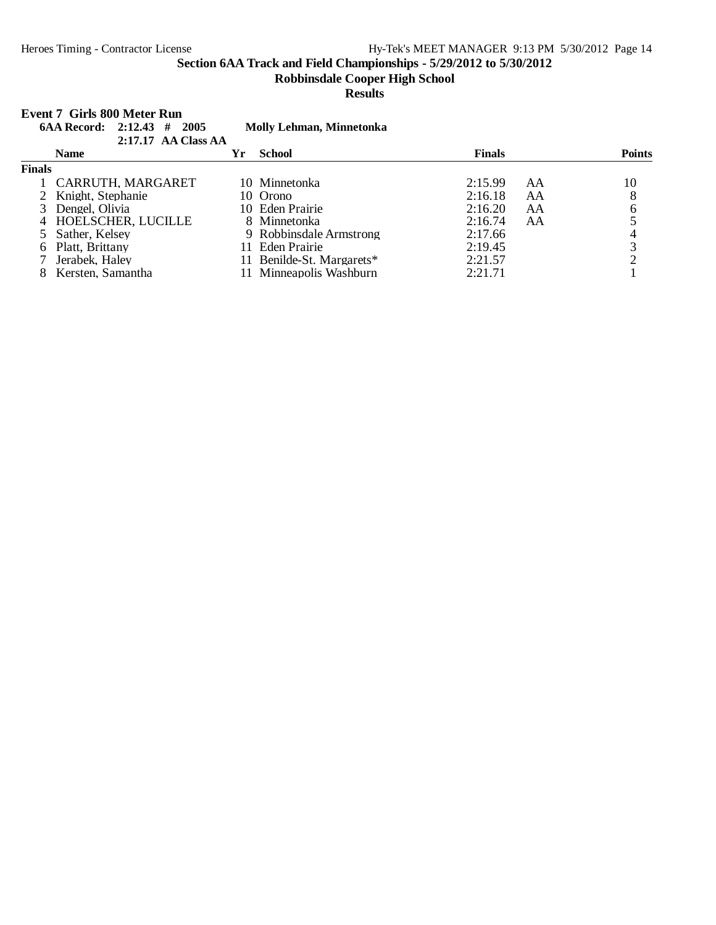#### **Robbinsdale Cooper High School**

#### **Results**

#### **Event 7 Girls 800 Meter Run**

|               | 6AA Record: $2:12.43$ # | 2005<br>2:17.17 AA Class AA |    | <b>Molly Lehman, Minnetonka</b> |               |    |               |
|---------------|-------------------------|-----------------------------|----|---------------------------------|---------------|----|---------------|
|               | <b>Name</b>             |                             | Yr | <b>School</b>                   | <b>Finals</b> |    | <b>Points</b> |
| <b>Finals</b> |                         |                             |    |                                 |               |    |               |
|               |                         | 1 CARRUTH, MARGARET         |    | 10 Minnetonka                   | 2:15.99       | AA | 10            |
|               | 2 Knight, Stephanie     |                             |    | 10 Orono                        | 2:16.18       | AA | 8             |
|               | Dengel, Olivia          |                             |    | 10 Eden Prairie                 | 2:16.20       | AA | 6             |
|               |                         | 4 HOELSCHER, LUCILLE        |    | 8 Minnetonka                    | 2:16.74       | AA |               |
|               | 5 Sather, Kelsey        |                             |    | 9 Robbinsdale Armstrong         | 2:17.66       |    | 4             |
|               | 6 Platt, Brittany       |                             |    | 11 Eden Prairie                 | 2:19.45       |    | 3             |
|               | Jerabek, Haley          |                             |    | 11 Benilde-St. Margarets*       | 2:21.57       |    |               |
|               | Kersten, Samantha       |                             |    | 11 Minneapolis Washburn         | 2:21.71       |    |               |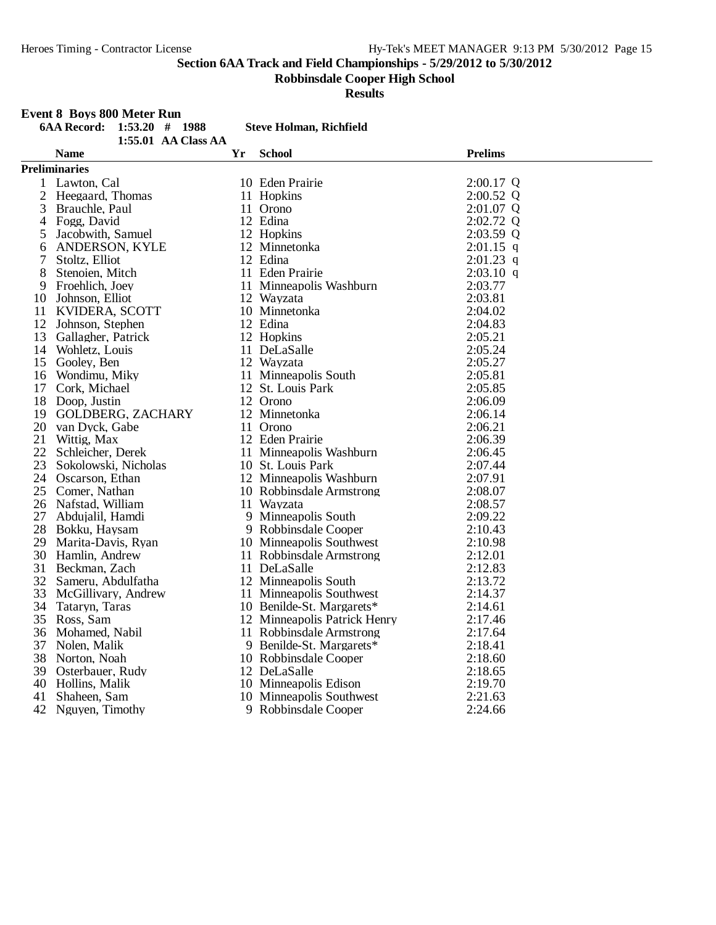**Robbinsdale Cooper High School**

#### **Event 8 Boys 800 Meter Run**

|                | RODDINGUALE COOPER FILGH SCHOOL<br><b>Results</b>                                                  |    |                                |                |  |  |  |
|----------------|----------------------------------------------------------------------------------------------------|----|--------------------------------|----------------|--|--|--|
|                | <b>Event 8 Boys 800 Meter Run</b><br><b>6AA Record:</b><br>$1:53.20$ # 1988<br>1:55.01 AA Class AA |    | <b>Steve Holman, Richfield</b> |                |  |  |  |
|                | <b>Name</b>                                                                                        | Yr | <b>School</b>                  | <b>Prelims</b> |  |  |  |
|                | <b>Preliminaries</b>                                                                               |    |                                |                |  |  |  |
|                | 1 Lawton, Cal                                                                                      |    | 10 Eden Prairie                | $2:00.17$ Q    |  |  |  |
| $\overline{2}$ | Heegaard, Thomas                                                                                   |    | 11 Hopkins                     | 2:00.52 Q      |  |  |  |
| 3              | Brauchle, Paul                                                                                     |    | 11 Orono                       | 2:01.07 Q      |  |  |  |
|                | 4 Fogg, David                                                                                      |    | 12 Edina                       | 2:02.72 Q      |  |  |  |
| 5              | Jacobwith, Samuel                                                                                  |    | 12 Hopkins                     | 2:03.59 Q      |  |  |  |
| 6              | ANDERSON, KYLE                                                                                     |    | 12 Minnetonka                  | $2:01.15$ q    |  |  |  |
| $\tau$         | Stoltz, Elliot                                                                                     |    | 12 Edina                       | $2:01.23$ q    |  |  |  |
| 8              | Stenoien, Mitch                                                                                    |    | 11 Eden Prairie                | $2:03.10$ q    |  |  |  |
| 9              | Froehlich, Joey                                                                                    |    | 11 Minneapolis Washburn        | 2:03.77        |  |  |  |
|                | 10 Johnson, Elliot                                                                                 |    | 12 Wayzata                     | 2:03.81        |  |  |  |
|                | 11 KVIDERA, SCOTT                                                                                  |    | 10 Minnetonka                  | 2:04.02        |  |  |  |
|                | 12 Johnson, Stephen                                                                                |    | 12 Edina                       | 2:04.83        |  |  |  |
|                | 13 Gallagher, Patrick                                                                              |    | 12 Hopkins                     | 2:05.21        |  |  |  |
|                | 14 Wohletz, Louis                                                                                  |    | 11 DeLaSalle                   | 2:05.24        |  |  |  |
|                | 15 Gooley, Ben                                                                                     |    | 12 Wayzata                     | 2:05.27        |  |  |  |
|                | 16 Wondimu, Miky                                                                                   |    | 11 Minneapolis South           | 2:05.81        |  |  |  |
|                | 17 Cork, Michael                                                                                   |    | 12 St. Louis Park              | 2:05.85        |  |  |  |
|                | 18 Doop, Justin                                                                                    |    | 12 Orono                       | 2:06.09        |  |  |  |
|                | 19 GOLDBERG, ZACHARY                                                                               |    | 12 Minnetonka                  | 2:06.14        |  |  |  |
|                | 20 van Dyck, Gabe                                                                                  |    | 11 Orono                       | 2:06.21        |  |  |  |
| 21             | Wittig, Max                                                                                        |    | 12 Eden Prairie                | 2:06.39        |  |  |  |
|                | 22 Schleicher, Derek                                                                               |    | 11 Minneapolis Washburn        | 2:06.45        |  |  |  |
| 23             | Sokolowski, Nicholas                                                                               |    | 10 St. Louis Park              | 2:07.44        |  |  |  |
|                | 24 Oscarson, Ethan                                                                                 |    | 12 Minneapolis Washburn        | 2:07.91        |  |  |  |
|                | 25 Comer, Nathan                                                                                   |    | 10 Robbinsdale Armstrong       | 2:08.07        |  |  |  |
|                | 26 Nafstad, William                                                                                |    | 11 Wayzata                     | 2:08.57        |  |  |  |
|                | 27 Abdujalil, Hamdi                                                                                |    | 9 Minneapolis South            | 2:09.22        |  |  |  |
|                | 28 Bokku, Haysam                                                                                   |    | 9 Robbinsdale Cooper           | 2:10.43        |  |  |  |
|                | 29 Marita-Davis, Ryan                                                                              |    | 10 Minneapolis Southwest       | 2:10.98        |  |  |  |
|                | 30 Hamlin, Andrew                                                                                  |    | 11 Robbinsdale Armstrong       | 2:12.01        |  |  |  |
|                | 31 Beckman, Zach                                                                                   |    | 11 DeLaSalle                   | 2:12.83        |  |  |  |
|                | 32 Sameru, Abdulfatha                                                                              |    | 12 Minneapolis South           | 2:13.72        |  |  |  |
| 33             | McGillivary, Andrew                                                                                |    | 11 Minneapolis Southwest       | 2:14.37        |  |  |  |
| 34             | Tataryn, Taras                                                                                     |    | 10 Benilde-St. Margarets*      | 2:14.61        |  |  |  |
| 35             | Ross, Sam                                                                                          |    | 12 Minneapolis Patrick Henry   | 2:17.46        |  |  |  |
| 36             | Mohamed, Nabil                                                                                     |    | 11 Robbinsdale Armstrong       | 2:17.64        |  |  |  |
| 37             | Nolen, Malik                                                                                       |    | 9 Benilde-St. Margarets*       | 2:18.41        |  |  |  |
| 38             | Norton, Noah                                                                                       |    | 10 Robbinsdale Cooper          | 2:18.60        |  |  |  |
| 39             | Osterbauer, Rudy                                                                                   |    | 12 DeLaSalle                   | 2:18.65        |  |  |  |
| 40             | Hollins, Malik                                                                                     |    | 10 Minneapolis Edison          | 2:19.70        |  |  |  |
| 41             | Shaheen, Sam                                                                                       |    | 10 Minneapolis Southwest       | 2:21.63        |  |  |  |
| 42             | Nguyen, Timothy                                                                                    |    | 9 Robbinsdale Cooper           | 2:24.66        |  |  |  |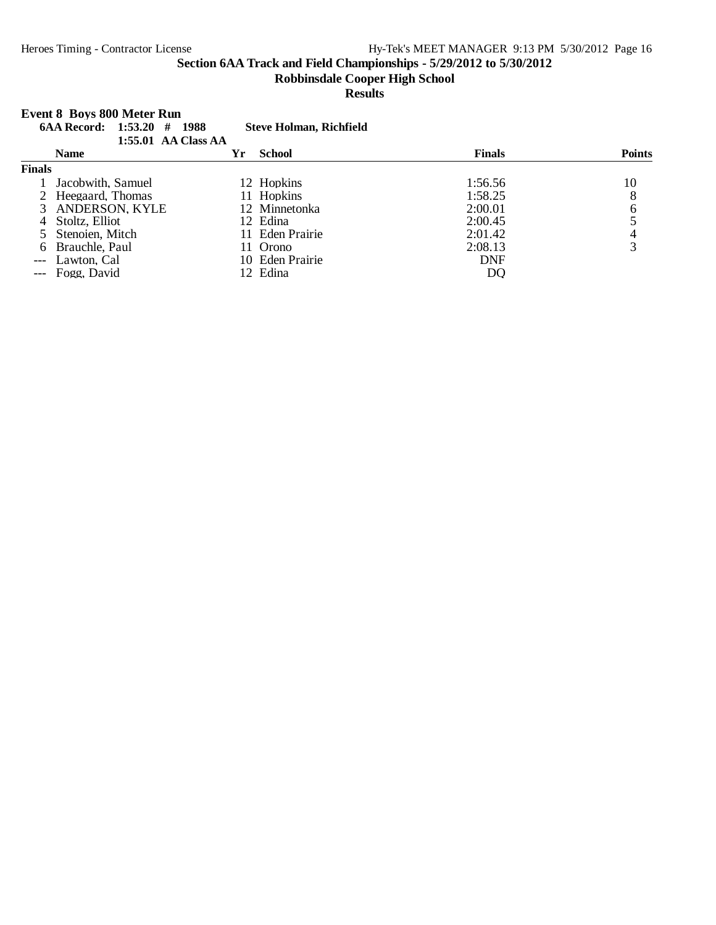#### **Robbinsdale Cooper High School**

## **Results**

|               | <b>Event 8 Boys 800 Meter Run</b><br><b>6AA Record:</b> 1:53.20 | -1988<br>#          | <b>Steve Holman, Richfield</b> |               |               |
|---------------|-----------------------------------------------------------------|---------------------|--------------------------------|---------------|---------------|
|               |                                                                 | 1:55.01 AA Class AA |                                |               |               |
|               | <b>Name</b>                                                     | Yr                  | <b>School</b>                  | <b>Finals</b> | <b>Points</b> |
| <b>Finals</b> |                                                                 |                     |                                |               |               |
|               | Jacobwith, Samuel                                               |                     | 12 Hopkins                     | 1:56.56       | 10            |
|               | 2 Heegaard. Thomas                                              |                     | 11 Hopkins                     | 1:58.25       | 8             |
|               | 3 ANDERSON, KYLE                                                |                     | 12 Minnetonka                  | 2:00.01       | 6             |
| 4             | Stoltz, Elliot                                                  |                     | 12 Edina                       | 2:00.45       |               |
|               | 5 Stenoien, Mitch                                               |                     | 11 Eden Prairie                | 2:01.42       | 4             |
|               | 6 Brauchle, Paul                                                |                     | Orono                          | 2:08.13       | 3             |
|               | Lawton, Cal                                                     |                     | 10 Eden Prairie                | <b>DNF</b>    |               |
|               | Fogg, David                                                     |                     | 12 Edina                       | DQ            |               |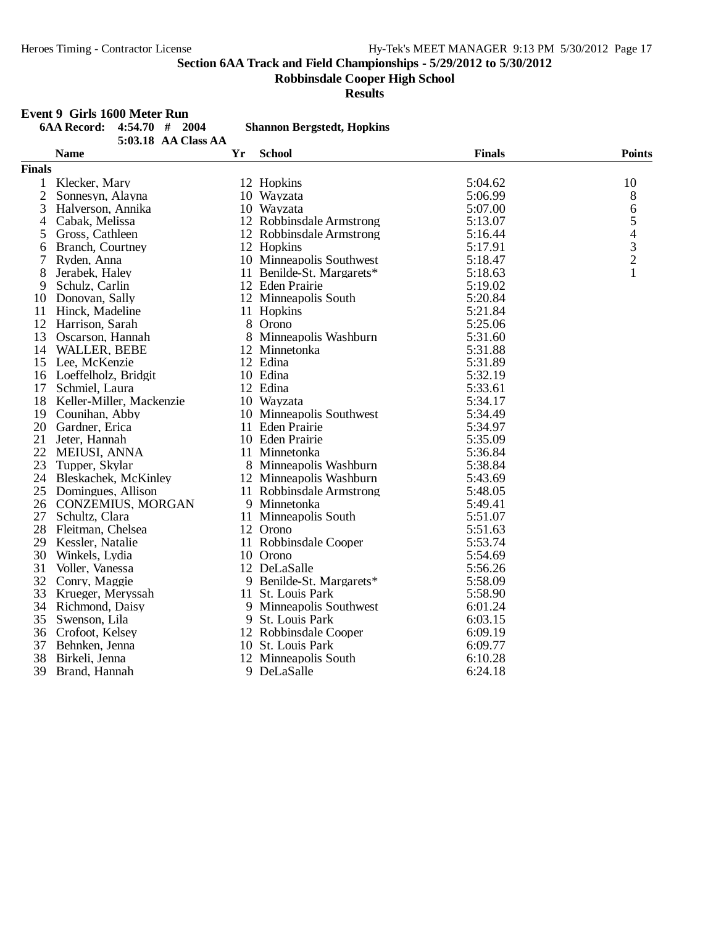**Robbinsdale Cooper High School**

**Results**

#### **Event 9 Girls 1600 Meter Run**

| Event 9 Girls 1600 Meter Run           |    |                                   |               |                          |
|----------------------------------------|----|-----------------------------------|---------------|--------------------------|
| <b>6AA Record:</b><br>$4:54.70$ # 2004 |    | <b>Shannon Bergstedt, Hopkins</b> |               |                          |
| 5:03.18 AA Class AA                    |    |                                   |               |                          |
| <b>Name</b>                            | Yr | <b>School</b>                     | <b>Finals</b> | <b>Points</b>            |
| <b>Finals</b>                          |    |                                   |               |                          |
| Klecker, Mary<br>1                     |    | 12 Hopkins                        | 5:04.62       | 10                       |
| $\overline{c}$<br>Sonnesyn, Alayna     |    | 10 Wayzata                        | 5:06.99       | $8\phantom{1}$           |
| 3<br>Halverson, Annika                 |    | 10 Wayzata                        | 5:07.00       | $\sqrt{6}$               |
| Cabak, Melissa<br>4                    |    | 12 Robbinsdale Armstrong          | 5:13.07       | 5                        |
| Gross, Cathleen<br>5                   |    | 12 Robbinsdale Armstrong          | 5:16.44       | $\overline{\mathcal{L}}$ |
| Branch, Courtney<br>6                  |    | 12 Hopkins                        | 5:17.91       | $\frac{3}{2}$            |
| 7<br>Ryden, Anna                       |    | 10 Minneapolis Southwest          | 5:18.47       |                          |
| 8<br>Jerabek, Haley                    |    | 11 Benilde-St. Margarets*         | 5:18.63       | $\mathbf{1}$             |
| 9<br>Schulz, Carlin                    |    | 12 Eden Prairie                   | 5:19.02       |                          |
| Donovan, Sally<br>10                   |    | 12 Minneapolis South              | 5:20.84       |                          |
| 11 Hinck, Madeline                     |    | 11 Hopkins                        | 5:21.84       |                          |
| 12<br>Harrison, Sarah                  |    | 8 Orono                           | 5:25.06       |                          |
| 13<br>Oscarson, Hannah                 |    | 8 Minneapolis Washburn            | 5:31.60       |                          |
| 14 WALLER, BEBE                        |    | 12 Minnetonka                     | 5:31.88       |                          |
| 15<br>Lee, McKenzie                    |    | 12 Edina                          | 5:31.89       |                          |
| 16 Loeffelholz, Bridgit                |    | 10 Edina                          | 5:32.19       |                          |
| 17<br>Schmiel, Laura                   |    | 12 Edina                          | 5:33.61       |                          |
| 18<br>Keller-Miller, Mackenzie         |    | 10 Wayzata                        | 5:34.17       |                          |
| 19 Counihan, Abby                      |    | 10 Minneapolis Southwest          | 5:34.49       |                          |
| 20 Gardner, Erica                      |    | 11 Eden Prairie                   | 5:34.97       |                          |
| 21<br>Jeter, Hannah                    |    | 10 Eden Prairie                   | 5:35.09       |                          |
| 22<br>MEIUSI, ANNA                     |    | 11 Minnetonka                     | 5:36.84       |                          |
| 23<br>Tupper, Skylar                   |    | 8 Minneapolis Washburn            | 5:38.84       |                          |
| 24 Bleskachek, McKinley                |    | 12 Minneapolis Washburn           | 5:43.69       |                          |
| 25 Domingues, Allison                  |    | 11 Robbinsdale Armstrong          | 5:48.05       |                          |
| 26 CONZEMIUS, MORGAN                   |    | 9 Minnetonka                      | 5:49.41       |                          |
| 27<br>Schultz, Clara                   |    | 11 Minneapolis South              | 5:51.07       |                          |
| 28<br>Fleitman, Chelsea                |    | 12 Orono                          | 5:51.63       |                          |
| 29<br>Kessler, Natalie                 |    | 11 Robbinsdale Cooper             | 5:53.74       |                          |
| 30<br>Winkels, Lydia                   |    | 10 Orono                          | 5:54.69       |                          |
| 31<br>Voller, Vanessa                  |    | 12 DeLaSalle                      | 5:56.26       |                          |
| 32<br>Conry, Maggie                    |    | 9 Benilde-St. Margarets*          | 5:58.09       |                          |
| 33<br>Krueger, Meryssah                |    | 11 St. Louis Park                 | 5:58.90       |                          |
| 34<br>Richmond, Daisy                  |    | 9 Minneapolis Southwest           | 6:01.24       |                          |
| 35<br>Swenson, Lila                    |    | 9 St. Louis Park                  | 6:03.15       |                          |
| 36 Crofoot, Kelsey                     |    | 12 Robbinsdale Cooper             | 6:09.19       |                          |
| 37<br>Behnken, Jenna                   |    | 10 St. Louis Park                 | 6:09.77       |                          |
| 38<br>Birkeli, Jenna                   |    | 12 Minneapolis South              | 6:10.28       |                          |
| 39<br>Brand, Hannah                    |    | 9 DeLaSalle                       | 6:24.18       |                          |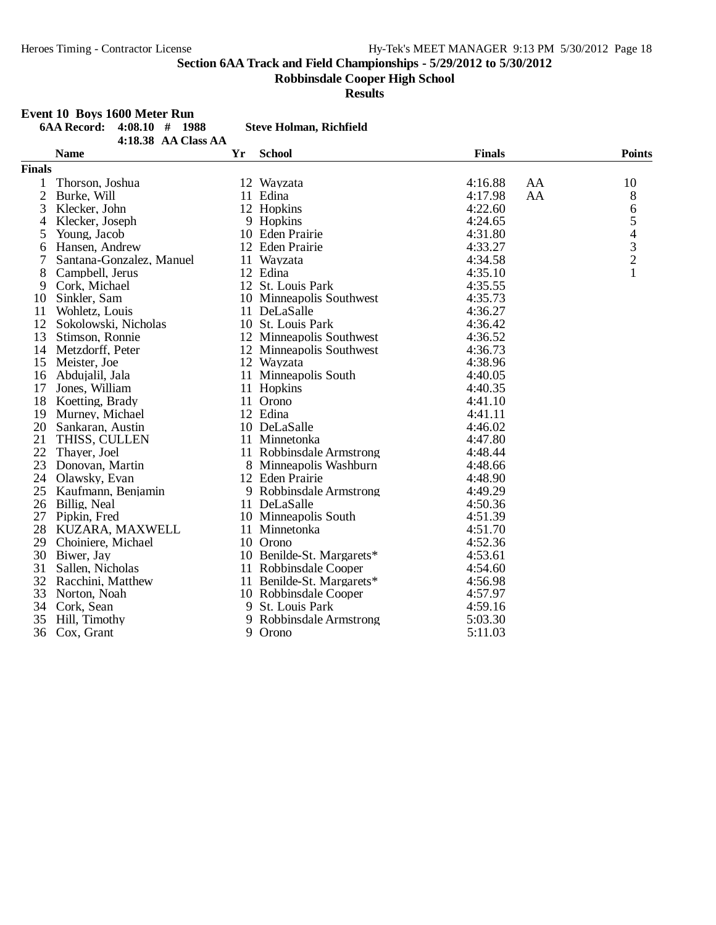**Robbinsdale Cooper High School**

**Results**

## **Event 10 Boys 1600 Meter Run**

|               | EVENT TO DOYS TOOO MEED KUIL<br><b>6AA Record:</b><br>$4:08.10$ # 1988 |    | <b>Steve Holman, Richfield</b> |               |                                                 |  |
|---------------|------------------------------------------------------------------------|----|--------------------------------|---------------|-------------------------------------------------|--|
|               | 4:18.38 AA Class AA                                                    |    |                                |               |                                                 |  |
|               | <b>Name</b>                                                            | Yr | <b>School</b>                  | <b>Finals</b> | <b>Points</b>                                   |  |
| <b>Finals</b> |                                                                        |    |                                |               |                                                 |  |
| 1             | Thorson, Joshua                                                        |    | 12 Wayzata                     | 4:16.88       | AA<br>10                                        |  |
| $\mathbf{2}$  | Burke, Will                                                            |    | 11 Edina                       | 4:17.98       | 8<br>AA                                         |  |
| 3             | Klecker, John                                                          |    | 12 Hopkins                     | 4:22.60       | $\sqrt{6}$                                      |  |
| 4             | Klecker, Joseph                                                        |    | 9 Hopkins                      | 4:24.65       | 5                                               |  |
| 5             | Young, Jacob                                                           |    | 10 Eden Prairie                | 4:31.80       |                                                 |  |
| 6             | Hansen, Andrew                                                         |    | 12 Eden Prairie                | 4:33.27       | $\begin{array}{c} 4 \\ 3 \\ 2 \\ 1 \end{array}$ |  |
| 7             | Santana-Gonzalez, Manuel                                               |    | 11 Wayzata                     | 4:34.58       |                                                 |  |
| 8             | Campbell, Jerus                                                        |    | 12 Edina                       | 4:35.10       |                                                 |  |
| 9             | Cork, Michael                                                          |    | 12 St. Louis Park              | 4:35.55       |                                                 |  |
| 10            | Sinkler, Sam                                                           |    | 10 Minneapolis Southwest       | 4:35.73       |                                                 |  |
| 11            | Wohletz, Louis                                                         |    | 11 DeLaSalle                   | 4:36.27       |                                                 |  |
| 12            | Sokolowski, Nicholas                                                   |    | 10 St. Louis Park              | 4:36.42       |                                                 |  |
| 13            | Stimson, Ronnie                                                        |    | 12 Minneapolis Southwest       | 4:36.52       |                                                 |  |
| 14            | Metzdorff, Peter                                                       |    | 12 Minneapolis Southwest       | 4:36.73       |                                                 |  |
| 15            | Meister, Joe                                                           |    | 12 Wayzata                     | 4:38.96       |                                                 |  |
| 16            | Abdujalil, Jala                                                        |    | 11 Minneapolis South           | 4:40.05       |                                                 |  |
| 17            | Jones, William                                                         |    | 11 Hopkins                     | 4:40.35       |                                                 |  |
| 18            | Koetting, Brady                                                        |    | 11 Orono                       | 4:41.10       |                                                 |  |
| 19            | Murney, Michael                                                        |    | 12 Edina                       | 4:41.11       |                                                 |  |
| 20            | Sankaran, Austin                                                       |    | 10 DeLaSalle                   | 4:46.02       |                                                 |  |
| 21            | THISS, CULLEN                                                          |    | 11 Minnetonka                  | 4:47.80       |                                                 |  |
| 22            | Thayer, Joel                                                           |    | 11 Robbinsdale Armstrong       | 4:48.44       |                                                 |  |
| 23            | Donovan, Martin                                                        |    | 8 Minneapolis Washburn         | 4:48.66       |                                                 |  |
| 24            | Olawsky, Evan                                                          |    | 12 Eden Prairie                | 4:48.90       |                                                 |  |
| 25            | Kaufmann, Benjamin                                                     |    | 9 Robbinsdale Armstrong        | 4:49.29       |                                                 |  |
| 26            | Billig, Neal                                                           |    | 11 DeLaSalle                   | 4:50.36       |                                                 |  |
| 27            | Pipkin, Fred                                                           |    | 10 Minneapolis South           | 4:51.39       |                                                 |  |
| 28            | KUZARA, MAXWELL                                                        |    | 11 Minnetonka                  | 4:51.70       |                                                 |  |
| 29            | Choiniere, Michael                                                     |    | 10 Orono                       | 4:52.36       |                                                 |  |
| 30            | Biwer, Jay                                                             |    | 10 Benilde-St. Margarets*      | 4:53.61       |                                                 |  |
| 31            | Sallen, Nicholas                                                       |    | 11 Robbinsdale Cooper          | 4:54.60       |                                                 |  |
| 32            | Racchini, Matthew                                                      |    | 11 Benilde-St. Margarets*      | 4:56.98       |                                                 |  |
| 33            | Norton, Noah                                                           |    | 10 Robbinsdale Cooper          | 4:57.97       |                                                 |  |
| 34            | Cork, Sean                                                             |    | 9 St. Louis Park               | 4:59.16       |                                                 |  |
| 35            | Hill, Timothy                                                          | 9  | Robbinsdale Armstrong          | 5:03.30       |                                                 |  |
| 36            | Cox, Grant                                                             |    | 9 Orono                        | 5:11.03       |                                                 |  |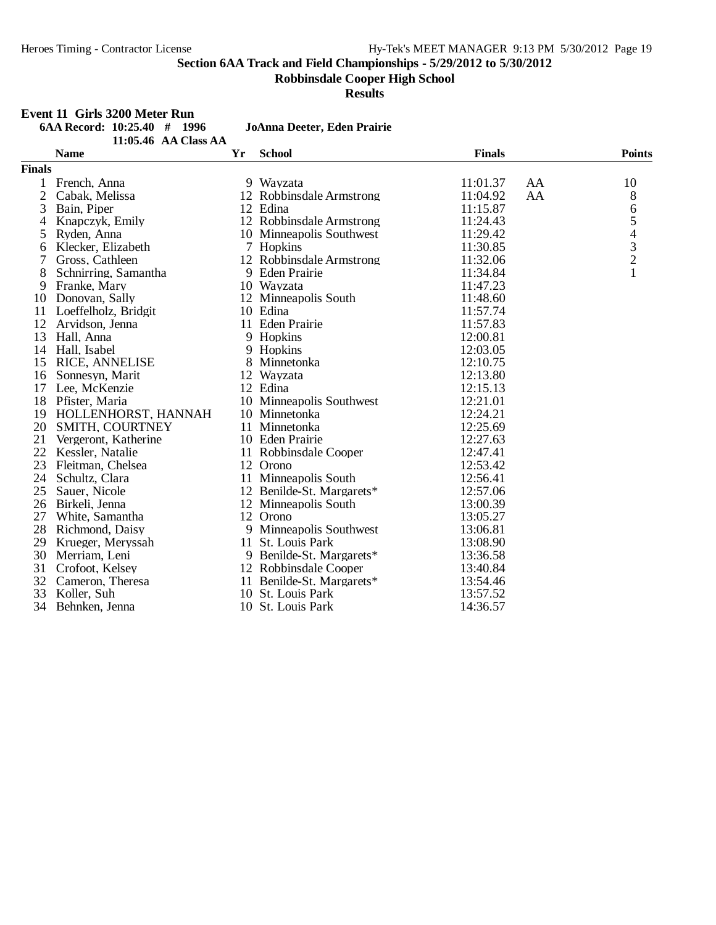**Robbinsdale Cooper High School**

**Results**

## **Event 11 Girls 3200 Meter Run**<br>6AA Record: 10:25.40 # 1996

|               | $6AA$ Record: $10:25.40$ # 1996<br>11:05.46 AA Class AA |    | JoAnna Deeter, Eden Prairie |               |    |               |
|---------------|---------------------------------------------------------|----|-----------------------------|---------------|----|---------------|
|               | <b>Name</b>                                             | Yr | <b>School</b>               | <b>Finals</b> |    | <b>Points</b> |
| <b>Finals</b> |                                                         |    |                             |               |    |               |
| 1             | French, Anna                                            |    | 9 Wayzata                   | 11:01.37      | AA | 10            |
| 2             | Cabak, Melissa                                          |    | 12 Robbinsdale Armstrong    | 11:04.92      | AA | $\,8\,$       |
| 3             | Bain, Piper                                             |    | 12 Edina                    | 11:15.87      |    | 6             |
| 4             | Knapczyk, Emily                                         |    | 12 Robbinsdale Armstrong    | 11:24.43      |    | 5             |
| 5             | Ryden, Anna                                             |    | 10 Minneapolis Southwest    | 11:29.42      |    |               |
| 6             | Klecker, Elizabeth                                      |    | 7 Hopkins                   | 11:30.85      |    | $\frac{4}{3}$ |
| 7             | Gross, Cathleen                                         |    | 12 Robbinsdale Armstrong    | 11:32.06      |    |               |
| 8             | Schnirring, Samantha                                    |    | 9 Eden Prairie              | 11:34.84      |    | $\mathbf{1}$  |
| 9             | Franke, Mary                                            |    | 10 Wayzata                  | 11:47.23      |    |               |
| 10            | Donovan, Sally                                          |    | 12 Minneapolis South        | 11:48.60      |    |               |
| 11            | Loeffelholz, Bridgit                                    |    | 10 Edina                    | 11:57.74      |    |               |
| 12            | Arvidson, Jenna                                         |    | 11 Eden Prairie             | 11:57.83      |    |               |
| 13            | Hall, Anna                                              |    | 9 Hopkins                   | 12:00.81      |    |               |
| 14            | Hall, Isabel                                            |    | 9 Hopkins                   | 12:03.05      |    |               |
| 15            | <b>RICE, ANNELISE</b>                                   |    | 8 Minnetonka                | 12:10.75      |    |               |
| 16            | Sonnesyn, Marit                                         |    | 12 Wayzata                  | 12:13.80      |    |               |
| 17            | Lee, McKenzie                                           |    | 12 Edina                    | 12:15.13      |    |               |
| 18            | Pfister, Maria                                          |    | 10 Minneapolis Southwest    | 12:21.01      |    |               |
| 19            | HOLLENHORST, HANNAH                                     |    | 10 Minnetonka               | 12:24.21      |    |               |
| 20            | SMITH, COURTNEY                                         |    | 11 Minnetonka               | 12:25.69      |    |               |
| 21            | Vergeront, Katherine                                    |    | 10 Eden Prairie             | 12:27.63      |    |               |
| 22            | Kessler, Natalie                                        |    | 11 Robbinsdale Cooper       | 12:47.41      |    |               |
| 23            | Fleitman, Chelsea                                       |    | 12 Orono                    | 12:53.42      |    |               |
| 24            | Schultz, Clara                                          |    | 11 Minneapolis South        | 12:56.41      |    |               |
| 25            | Sauer, Nicole                                           |    | 12 Benilde-St. Margarets*   | 12:57.06      |    |               |
| 26            | Birkeli, Jenna                                          |    | 12 Minneapolis South        | 13:00.39      |    |               |
| 27            | White, Samantha                                         |    | 12 Orono                    | 13:05.27      |    |               |
| 28            | Richmond, Daisy                                         |    | 9 Minneapolis Southwest     | 13:06.81      |    |               |
| 29            | Krueger, Meryssah                                       |    | 11 St. Louis Park           | 13:08.90      |    |               |
| 30            | Merriam, Leni                                           |    | 9 Benilde-St. Margarets*    | 13:36.58      |    |               |
| 31            | Crofoot, Kelsey                                         |    | 12 Robbinsdale Cooper       | 13:40.84      |    |               |
| 32            | Cameron, Theresa                                        |    | 11 Benilde-St. Margarets*   | 13:54.46      |    |               |
| 33            | Koller, Suh                                             |    | 10 St. Louis Park           | 13:57.52      |    |               |
| 34            | Behnken, Jenna                                          |    | 10 St. Louis Park           | 14:36.57      |    |               |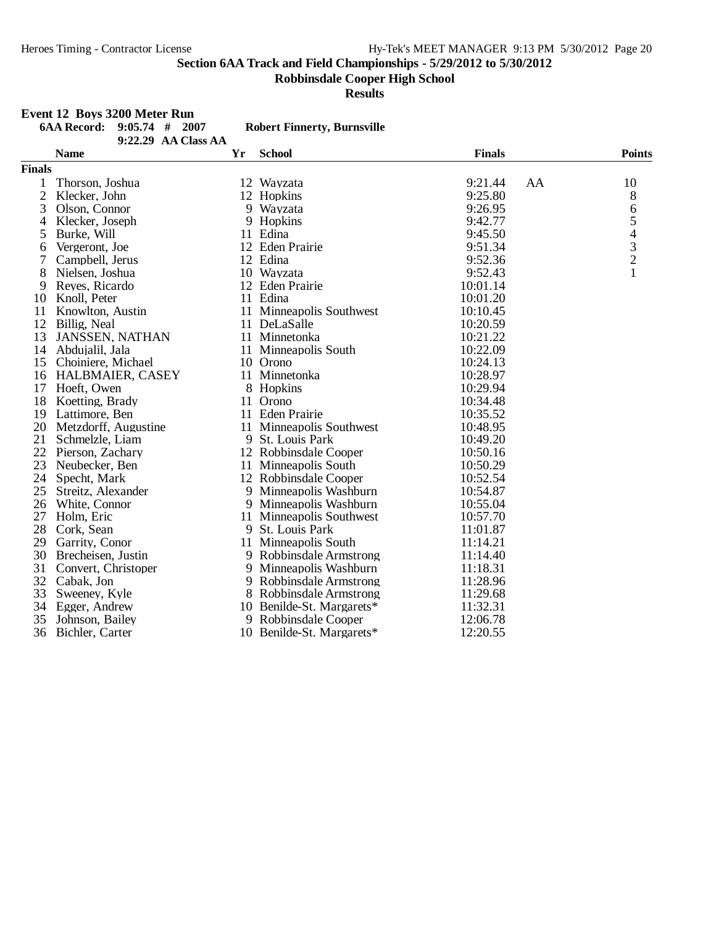**Robbinsdale Cooper High School**

**Results**

#### **Event 12 Boys 3200 Meter Run**

|                | <b>6AA Record:</b><br>2007<br>$9:05.74$ #<br>9:22.29 AA Class AA |    | <b>Robert Finnerty, Burnsville</b> |               |    |                          |
|----------------|------------------------------------------------------------------|----|------------------------------------|---------------|----|--------------------------|
|                | <b>Name</b>                                                      | Yr | <b>School</b>                      | <b>Finals</b> |    | <b>Points</b>            |
| <b>Finals</b>  |                                                                  |    |                                    |               |    |                          |
| 1              | Thorson, Joshua                                                  |    | 12 Wayzata                         | 9:21.44       | AA | 10                       |
| $\overline{2}$ | Klecker, John                                                    |    | 12 Hopkins                         | 9:25.80       |    | 8                        |
| 3              | Olson, Connor                                                    |    | 9 Wayzata                          | 9:26.95       |    | 6                        |
| 4              | Klecker, Joseph                                                  | 9  | Hopkins                            | 9:42.77       |    | 5                        |
| 5              | Burke, Will                                                      |    | 11 Edina                           | 9:45.50       |    | $\overline{\mathcal{A}}$ |
| 6              | Vergeront, Joe                                                   |    | 12 Eden Prairie                    | 9:51.34       |    |                          |
| 7              | Campbell, Jerus                                                  |    | 12 Edina                           | 9:52.36       |    | $\frac{3}{2}$            |
| 8              | Nielsen, Joshua                                                  |    | 10 Wayzata                         | 9:52.43       |    | $\mathbf{1}$             |
| 9              | Reyes, Ricardo                                                   |    | 12 Eden Prairie                    | 10:01.14      |    |                          |
| 10             | Knoll, Peter                                                     |    | 11 Edina                           | 10:01.20      |    |                          |
| 11             | Knowlton, Austin                                                 |    | 11 Minneapolis Southwest           | 10:10.45      |    |                          |
| 12             | Billig, Neal                                                     |    | 11 DeLaSalle                       | 10:20.59      |    |                          |
| 13             | <b>JANSSEN, NATHAN</b>                                           |    | 11 Minnetonka                      | 10:21.22      |    |                          |
| 14             | Abdujalil, Jala                                                  |    | 11 Minneapolis South               | 10:22.09      |    |                          |
| 15             | Choiniere, Michael                                               |    | 10 Orono                           | 10:24.13      |    |                          |
| 16             | <b>HALBMAIER, CASEY</b>                                          |    | 11 Minnetonka                      | 10:28.97      |    |                          |
| 17             | Hoeft, Owen                                                      |    | 8 Hopkins                          | 10:29.94      |    |                          |
| 18             | Koetting, Brady                                                  |    | 11 Orono                           | 10:34.48      |    |                          |
| 19             | Lattimore, Ben                                                   |    | 11 Eden Prairie                    | 10:35.52      |    |                          |
| 20             | Metzdorff, Augustine                                             |    | 11 Minneapolis Southwest           | 10:48.95      |    |                          |
| 21             | Schmelzle, Liam                                                  |    | 9 St. Louis Park                   | 10:49.20      |    |                          |
| 22             | Pierson, Zachary                                                 |    | 12 Robbinsdale Cooper              | 10:50.16      |    |                          |
| 23             | Neubecker, Ben                                                   |    | 11 Minneapolis South               | 10:50.29      |    |                          |
| 24             | Specht, Mark                                                     |    | 12 Robbinsdale Cooper              | 10:52.54      |    |                          |
| 25             | Streitz, Alexander                                               |    | 9 Minneapolis Washburn             | 10:54.87      |    |                          |
| 26             | White, Connor                                                    | 9  | Minneapolis Washburn               | 10:55.04      |    |                          |
| 27             | Holm, Eric                                                       |    | 11 Minneapolis Southwest           | 10:57.70      |    |                          |
| 28             | Cork, Sean                                                       | 9  | St. Louis Park                     | 11:01.87      |    |                          |
| 29             | Garrity, Conor                                                   |    | 11 Minneapolis South               | 11:14.21      |    |                          |
| 30             | Brecheisen, Justin                                               |    | 9 Robbinsdale Armstrong            | 11:14.40      |    |                          |
| 31             | Convert, Christoper                                              |    | 9 Minneapolis Washburn             | 11:18.31      |    |                          |
| 32             | Cabak, Jon                                                       |    | 9 Robbinsdale Armstrong            | 11:28.96      |    |                          |
| 33             | Sweeney, Kyle                                                    |    | 8 Robbinsdale Armstrong            | 11:29.68      |    |                          |
| 34             | Egger, Andrew                                                    |    | 10 Benilde-St. Margarets*          | 11:32.31      |    |                          |
| 35             | Johnson, Bailey                                                  |    | 9 Robbinsdale Cooper               | 12:06.78      |    |                          |
| 36             | Bichler, Carter                                                  |    | 10 Benilde-St. Margarets*          | 12:20.55      |    |                          |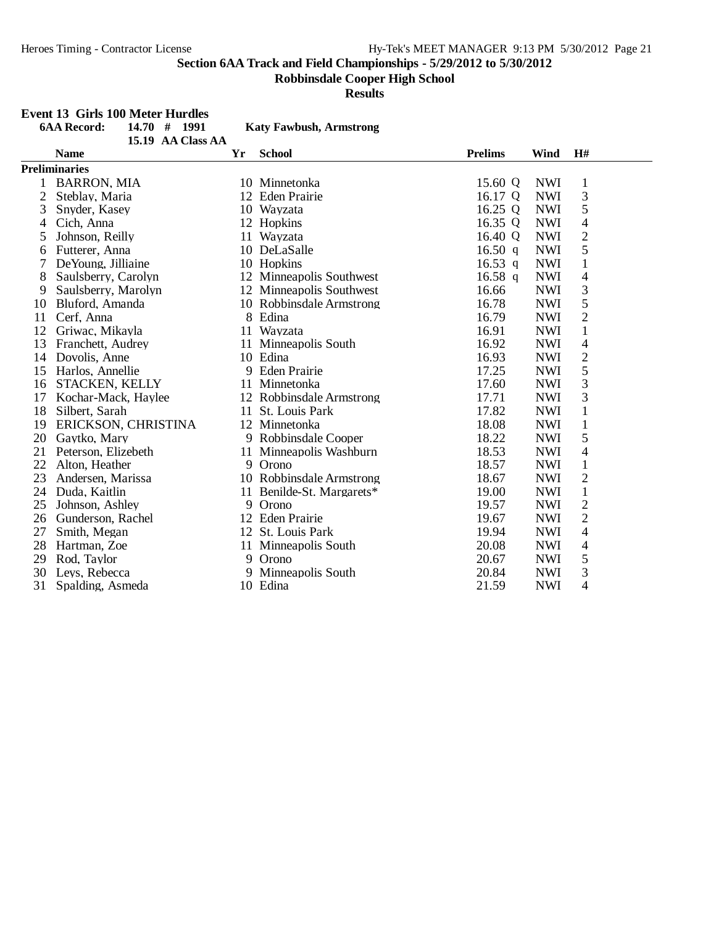**Robbinsdale Cooper High School**

**Results**

#### **Event 13 Girls 100 Meter Hurdles**

|                | <b>6AA Record:</b><br>14.70# | 1991 | <b>Katy Fawbush, Armstrong</b> |                |             |                          |  |
|----------------|------------------------------|------|--------------------------------|----------------|-------------|--------------------------|--|
|                | 15.19 AA Class AA            |      |                                |                |             |                          |  |
|                | <b>Name</b>                  | Yr   | <b>School</b>                  | <b>Prelims</b> | <b>Wind</b> | H#                       |  |
|                | <b>Preliminaries</b>         |      |                                |                |             |                          |  |
| 1              | <b>BARRON, MIA</b>           |      | 10 Minnetonka                  | 15.60 Q        | <b>NWI</b>  | 1                        |  |
| $\overline{c}$ | Steblay, Maria               |      | 12 Eden Prairie                | 16.17 Q        | <b>NWI</b>  | 3                        |  |
| 3              | Snyder, Kasey                |      | 10 Wayzata                     | 16.25 $Q$      | <b>NWI</b>  | 5                        |  |
| 4              | Cich, Anna                   |      | 12 Hopkins                     | 16.35 Q        | <b>NWI</b>  | $\overline{4}$           |  |
| 5              | Johnson, Reilly              |      | 11 Wayzata                     | 16.40 Q        | <b>NWI</b>  | $\overline{c}$           |  |
| 6              | Futterer, Anna               |      | 10 DeLaSalle                   | 16.50 q        | <b>NWI</b>  | 5                        |  |
|                | De Young, Jilliaine          |      | 10 Hopkins                     | $16.53$ q      | <b>NWI</b>  | $\mathbf{1}$             |  |
| 8              | Saulsberry, Carolyn          |      | 12 Minneapolis Southwest       | 16.58 q        | <b>NWI</b>  | 4                        |  |
| 9              | Saulsberry, Marolyn          |      | 12 Minneapolis Southwest       | 16.66          | <b>NWI</b>  | 3                        |  |
| 10             | Bluford, Amanda              |      | 10 Robbinsdale Armstrong       | 16.78          | <b>NWI</b>  | 5                        |  |
| 11             | Cerf, Anna                   | 8    | Edina                          | 16.79          | <b>NWI</b>  | $\overline{2}$           |  |
| 12             | Griwac, Mikayla              |      | 11 Wayzata                     | 16.91          | <b>NWI</b>  | $\mathbf{1}$             |  |
| 13             | Franchett, Audrey            |      | 11 Minneapolis South           | 16.92          | <b>NWI</b>  | 4                        |  |
| 14             | Dovolis, Anne                |      | 10 Edina                       | 16.93          | <b>NWI</b>  | $\overline{2}$           |  |
| 15             | Harlos, Annellie             |      | 9 Eden Prairie                 | 17.25          | <b>NWI</b>  | 5                        |  |
| 16             | <b>STACKEN, KELLY</b>        |      | 11 Minnetonka                  | 17.60          | <b>NWI</b>  | 3                        |  |
| 17             | Kochar-Mack, Haylee          |      | 12 Robbinsdale Armstrong       | 17.71          | <b>NWI</b>  | 3                        |  |
| 18             | Silbert, Sarah               |      | 11 St. Louis Park              | 17.82          | <b>NWI</b>  | $\mathbf{1}$             |  |
| 19             | ERICKSON, CHRISTINA          |      | 12 Minnetonka                  | 18.08          | <b>NWI</b>  | $\mathbf{1}$             |  |
| 20             | Gaytko, Mary                 | 9    | Robbinsdale Cooper             | 18.22          | <b>NWI</b>  | 5                        |  |
| 21             | Peterson, Elizebeth          |      | 11 Minneapolis Washburn        | 18.53          | <b>NWI</b>  | 4                        |  |
| 22             | Alton, Heather               |      | 9 Orono                        | 18.57          | <b>NWI</b>  | $\mathbf{1}$             |  |
| 23             | Andersen, Marissa            |      | 10 Robbinsdale Armstrong       | 18.67          | <b>NWI</b>  | $\overline{c}$           |  |
| 24             | Duda, Kaitlin                |      | 11 Benilde-St. Margarets*      | 19.00          | <b>NWI</b>  | $\mathbf{1}$             |  |
| 25             | Johnson, Ashley              | 9    | Orono                          | 19.57          | <b>NWI</b>  | $\overline{2}$           |  |
|                | 26 Gunderson, Rachel         |      | 12 Eden Prairie                | 19.67          | <b>NWI</b>  | $\overline{c}$           |  |
| 27             | Smith, Megan                 |      | 12 St. Louis Park              | 19.94          | <b>NWI</b>  | $\overline{\mathcal{L}}$ |  |
| 28             | Hartman, Zoe                 |      | 11 Minneapolis South           | 20.08          | <b>NWI</b>  | 4                        |  |
| 29             | Rod, Taylor                  | 9    | Orono                          | 20.67          | <b>NWI</b>  | 5                        |  |
| 30             | Leys, Rebecca                | 9    | Minneapolis South              | 20.84          | <b>NWI</b>  | 3                        |  |
| 31             | Spalding, Asmeda             |      | 10 Edina                       | 21.59          | <b>NWI</b>  | 4                        |  |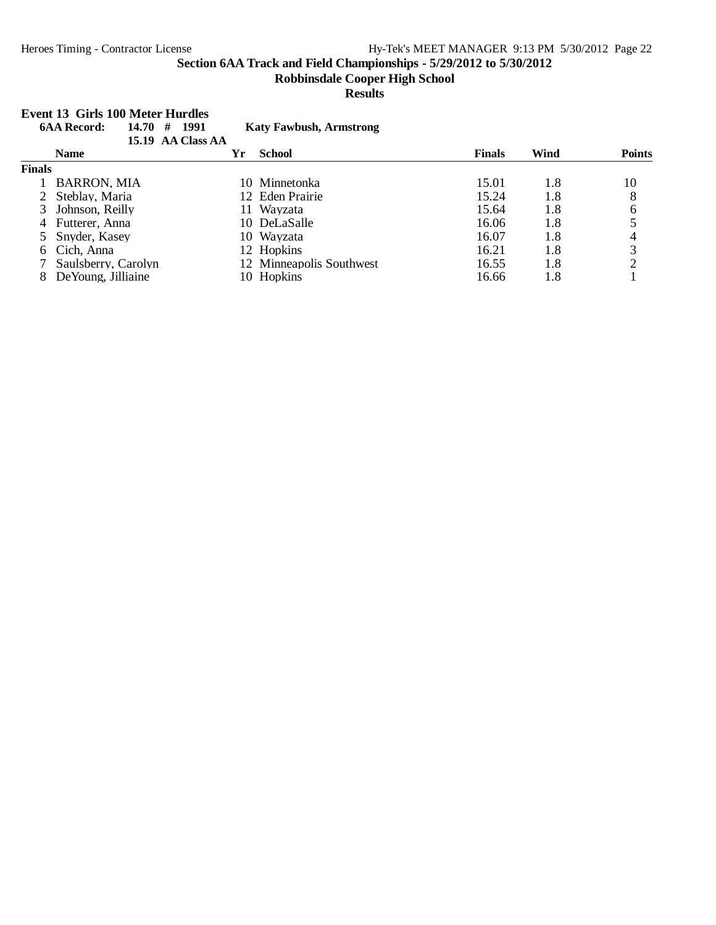**Event 13 Girls 100 Meter Hurdles**

#### **Section 6AA Track and Field Championships - 5/29/2012 to 5/30/2012**

#### **Robbinsdale Cooper High School**

#### **Results**

#### **6AA Record: 14.70 # 1991 Katy Fawbush, Armstrong 15.19 AA Class AA Name Yr School Finals Wind Points Finals** 1 BARRON, MIA 10 Minnetonka 15.01 1.8 10<br>2 Steblay, Maria 12 Eden Prairie 15.24 1.8 8 2 Steblay, Maria 12 Eden Prairie 15.24 1.8 8<br>3 Johnson, Reilly 11 Wayzata 15.64 1.8 6 13 Johnson, Reilly 11 Wayzata 15.64 1.8 6<br>
3 Tutterer, Anna 10 DeLaSalle 16.06 1.8 5 4 Futterer, Anna 10 DeLaSalle 16.06 1.8 5<br>5 Snyder, Kasey 10 Wayzata 16.07 1.8 4 5 Snyder, Kasey 10 Wayzata 16.07 1.8 4<br>6 Cich, Anna 12 Hopkins 16.21 1.8 3 6 Cich, Anna 12 Hopkins 16.21 1.8 3<br>
7 Saulsberry, Carolyn 12 Minneapolis Southwest 16.55 1.8 2 12 Minneapolis Southwest 16.55 1.8 2<br>10 Hopkins 16.66 1.8 1 8 DeYoung, Jilliaine 10 Hopkins 16.66 1.8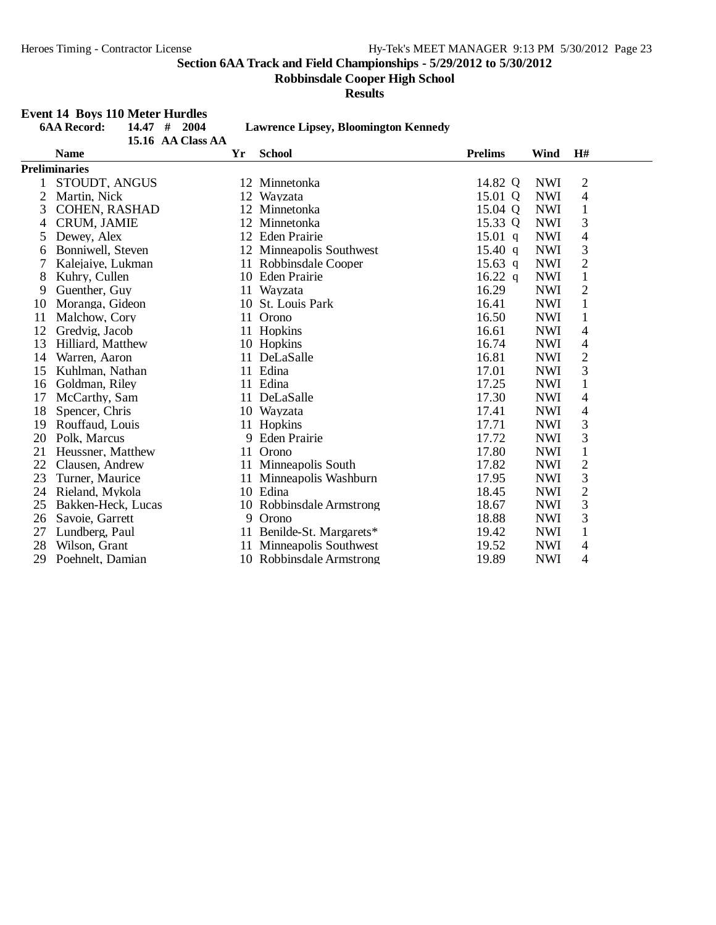**Robbinsdale Cooper High School**

**Results**

## **Event 14 Boys 110 Meter Hurdles**

|    | <b>6AA Record:</b><br>14.47 | #<br>2004         |    | <b>Lawrence Lipsey, Bloomington Kennedy</b> |                |            |                |  |
|----|-----------------------------|-------------------|----|---------------------------------------------|----------------|------------|----------------|--|
|    |                             | 15.16 AA Class AA |    |                                             |                |            |                |  |
|    | <b>Name</b>                 |                   | Yr | <b>School</b>                               | <b>Prelims</b> | Wind       | H#             |  |
|    | <b>Preliminaries</b>        |                   |    |                                             |                |            |                |  |
|    | STOUDT, ANGUS               |                   |    | 12 Minnetonka                               | 14.82 Q        | <b>NWI</b> | $\overline{c}$ |  |
| 2  | Martin, Nick                |                   |    | 12 Wayzata                                  | 15.01 Q        | <b>NWI</b> | 4              |  |
| 3  | COHEN, RASHAD               |                   |    | 12 Minnetonka                               | 15.04 Q        | <b>NWI</b> | $\mathbf{1}$   |  |
| 4  | <b>CRUM, JAMIE</b>          |                   |    | 12 Minnetonka                               | 15.33 Q        | <b>NWI</b> | 3              |  |
| 5  | Dewey, Alex                 |                   |    | 12 Eden Prairie                             | $15.01$ q      | <b>NWI</b> | $\overline{4}$ |  |
| 6  | Bonniwell, Steven           |                   |    | 12 Minneapolis Southwest                    | 15.40 q        | <b>NWI</b> | 3              |  |
| 7  | Kalejaiye, Lukman           |                   |    | 11 Robbinsdale Cooper                       | $15.63$ q      | <b>NWI</b> | $\sqrt{2}$     |  |
| 8  | Kuhry, Cullen               |                   |    | 10 Eden Prairie                             | $16.22$ q      | <b>NWI</b> | $\mathbf{1}$   |  |
| 9  | Guenther, Guy               |                   | 11 | Wayzata                                     | 16.29          | <b>NWI</b> | $\overline{2}$ |  |
| 10 | Moranga, Gideon             |                   |    | 10 St. Louis Park                           | 16.41          | <b>NWI</b> | $\mathbf{1}$   |  |
| 11 | Malchow, Cory               |                   | 11 | Orono                                       | 16.50          | <b>NWI</b> | $\mathbf{1}$   |  |
| 12 | Gredvig, Jacob              |                   | 11 | Hopkins                                     | 16.61          | <b>NWI</b> | $\overline{4}$ |  |
| 13 | Hilliard, Matthew           |                   |    | 10 Hopkins                                  | 16.74          | <b>NWI</b> | 4              |  |
| 14 | Warren, Aaron               |                   | 11 | DeLaSalle                                   | 16.81          | <b>NWI</b> | $\mathbf{2}$   |  |
| 15 | Kuhlman, Nathan             |                   | 11 | Edina                                       | 17.01          | <b>NWI</b> | 3              |  |
| 16 | Goldman, Riley              |                   | 11 | Edina                                       | 17.25          | <b>NWI</b> | $\mathbf{1}$   |  |
| 17 | McCarthy, Sam               |                   | 11 | DeLaSalle                                   | 17.30          | <b>NWI</b> | $\overline{4}$ |  |
| 18 | Spencer, Chris              |                   |    | 10 Wayzata                                  | 17.41          | <b>NWI</b> | 4              |  |
| 19 | Rouffaud, Louis             |                   | 11 | Hopkins                                     | 17.71          | <b>NWI</b> | 3              |  |
| 20 | Polk, Marcus                |                   | 9  | <b>Eden Prairie</b>                         | 17.72          | <b>NWI</b> | 3              |  |
| 21 | Heussner, Matthew           |                   | 11 | Orono                                       | 17.80          | <b>NWI</b> | $\mathbf{1}$   |  |
| 22 | Clausen, Andrew             |                   |    | 11 Minneapolis South                        | 17.82          | <b>NWI</b> | $\sqrt{2}$     |  |
| 23 | Turner, Maurice             |                   | 11 | Minneapolis Washburn                        | 17.95          | <b>NWI</b> | 3              |  |
| 24 | Rieland, Mykola             |                   |    | 10 Edina                                    | 18.45          | <b>NWI</b> | $\overline{c}$ |  |
| 25 | Bakken-Heck, Lucas          |                   |    | 10 Robbinsdale Armstrong                    | 18.67          | <b>NWI</b> | 3              |  |
| 26 | Savoie, Garrett             |                   | 9  | Orono                                       | 18.88          | <b>NWI</b> | 3              |  |
| 27 | Lundberg, Paul              |                   | 11 | Benilde-St. Margarets*                      | 19.42          | <b>NWI</b> | 1              |  |
| 28 | Wilson, Grant               |                   | 11 | Minneapolis Southwest                       | 19.52          | <b>NWI</b> | 4              |  |
| 29 | Poehnelt, Damian            |                   |    | 10 Robbinsdale Armstrong                    | 19.89          | <b>NWI</b> | 4              |  |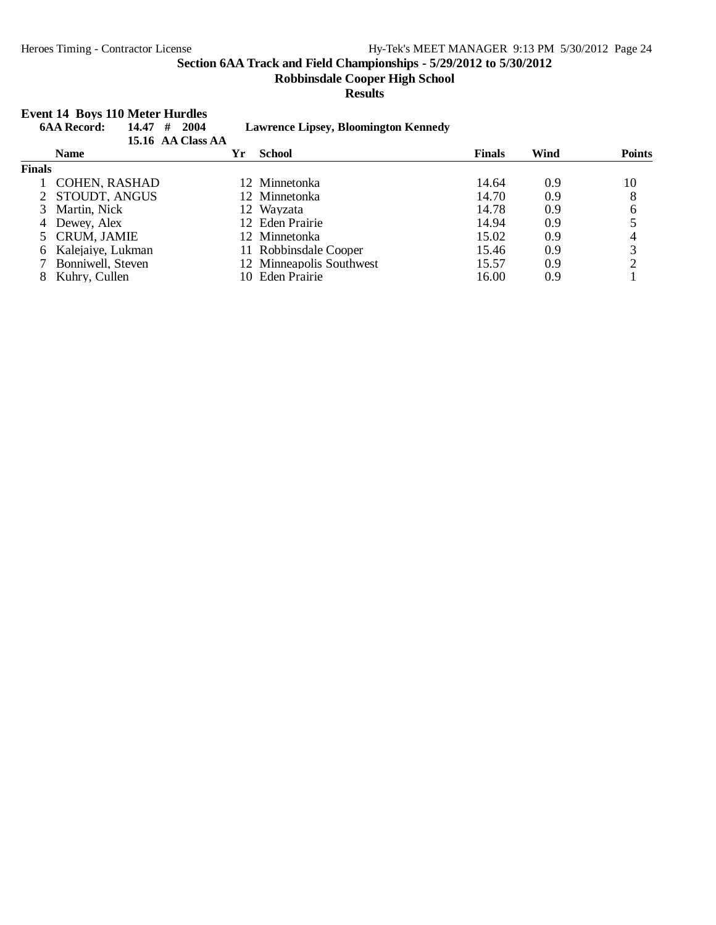**Robbinsdale Cooper High School**

#### **Results**

#### **Event 14 Boys 110 Meter Hurdles**

| 14.47<br><b>6AA Record:</b> |                      | #<br>2004<br>15.16 AA Class AA | <b>Lawrence Lipsey, Bloomington Kennedy</b> |               |      |               |
|-----------------------------|----------------------|--------------------------------|---------------------------------------------|---------------|------|---------------|
|                             | <b>Name</b>          | Yr                             | <b>School</b>                               | <b>Finals</b> | Wind | <b>Points</b> |
| <b>Finals</b>               |                      |                                |                                             |               |      |               |
|                             | <b>COHEN, RASHAD</b> |                                | 12 Minnetonka                               | 14.64         | 0.9  | 10            |
|                             | 2 STOUDT, ANGUS      |                                | 12 Minnetonka                               | 14.70         | 0.9  | 8             |
|                             | Martin, Nick         |                                | 12 Wayzata                                  | 14.78         | 0.9  | 6             |
|                             | 4 Dewey, Alex        |                                | 12 Eden Prairie                             | 14.94         | 0.9  |               |
|                             | 5 CRUM, JAMIE        |                                | 12 Minnetonka                               | 15.02         | 0.9  | 4             |
| 6.                          | Kalejaiye, Lukman    |                                | 11 Robbinsdale Cooper                       | 15.46         | 0.9  | 3             |
|                             | Bonniwell, Steven    |                                | 12 Minneapolis Southwest                    | 15.57         | 0.9  |               |
|                             | Kuhry, Cullen        | 10.                            | Eden Prairie                                | 16.00         | 0.9  |               |
|                             |                      |                                |                                             |               |      |               |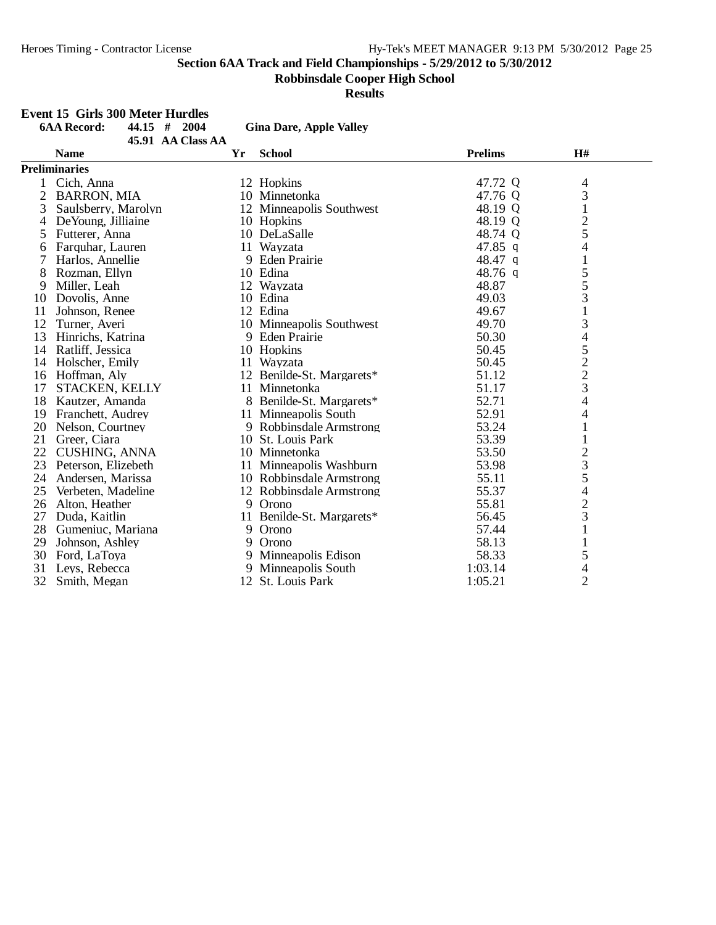**Robbinsdale Cooper High School**

**Results**

#### **Event 15 Girls 300 Meter Hurdles**

|              | <b>6AA Record:</b><br>$44.15$ #<br>2004 |    | <b>Gina Dare, Apple Valley</b> |                |                                            |  |
|--------------|-----------------------------------------|----|--------------------------------|----------------|--------------------------------------------|--|
|              | 45.91 AA Class AA                       |    |                                |                |                                            |  |
|              | <b>Name</b>                             | Yr | <b>School</b>                  | <b>Prelims</b> | H#                                         |  |
|              | <b>Preliminaries</b>                    |    |                                |                |                                            |  |
|              | 1 Cich, Anna                            |    | 12 Hopkins                     | 47.72 Q        | 4                                          |  |
| $\mathbf{2}$ | <b>BARRON, MIA</b>                      |    | 10 Minnetonka                  | 47.76 Q        | 3                                          |  |
| 3            | Saulsberry, Marolyn                     |    | 12 Minneapolis Southwest       | 48.19 Q        | $\mathbf{1}$                               |  |
| 4            | De Young, Jilliaine                     |    | 10 Hopkins                     | 48.19 Q        | 2                                          |  |
| 5            | Futterer, Anna                          |    | 10 DeLaSalle                   | 48.74 Q        | 5                                          |  |
| 6            | Farquhar, Lauren                        |    | 11 Wayzata                     | 47.85 q        | 4                                          |  |
| 7            | Harlos, Annellie                        |    | 9 Eden Prairie                 | 48.47 q        | $\mathbf{1}$                               |  |
| 8            | Rozman, Ellyn                           |    | 10 Edina                       | 48.76 q        | 5                                          |  |
| 9            | Miller, Leah                            |    | 12 Wayzata                     | 48.87          | 5                                          |  |
| 10           | Dovolis, Anne                           |    | 10 Edina                       | 49.03          | 3                                          |  |
| 11           | Johnson, Renee                          |    | 12 Edina                       | 49.67          |                                            |  |
| 12           | Turner, Averi                           |    | 10 Minneapolis Southwest       | 49.70          | 3                                          |  |
| 13           | Hinrichs, Katrina                       |    | 9 Eden Prairie                 | 50.30          | $\overline{\mathcal{L}}$                   |  |
| 14           | Ratliff, Jessica                        |    | 10 Hopkins                     | 50.45          |                                            |  |
| 14           | Holscher, Emily                         |    | 11 Wayzata                     | 50.45          | $\begin{array}{c} 5 \\ 2 \\ 3 \end{array}$ |  |
|              | 16 Hoffman, Aly                         |    | 12 Benilde-St. Margarets*      | 51.12          |                                            |  |
| 17           | STACKEN, KELLY                          |    | 11 Minnetonka                  | 51.17          |                                            |  |
| 18           | Kautzer, Amanda                         |    | 8 Benilde-St. Margarets*       | 52.71          | 4                                          |  |
| 19           | Franchett, Audrey                       |    | 11 Minneapolis South           | 52.91          | 4                                          |  |
| 20           | Nelson, Courtney                        |    | 9 Robbinsdale Armstrong        | 53.24          | $\mathbf{1}$                               |  |
| 21           | Greer, Ciara                            |    | 10 St. Louis Park              | 53.39          | $\mathbf{1}$                               |  |
| 22           | <b>CUSHING, ANNA</b>                    |    | 10 Minnetonka                  | 53.50          | $\overline{c}$                             |  |
| 23           | Peterson, Elizebeth                     |    | 11 Minneapolis Washburn        | 53.98          | $\overline{\mathbf{3}}$                    |  |
| 24           | Andersen, Marissa                       |    | 10 Robbinsdale Armstrong       | 55.11          | 5                                          |  |
| 25           | Verbeten, Madeline                      |    | 12 Robbinsdale Armstrong       | 55.37          | $\overline{4}$                             |  |
| 26           | Alton, Heather                          |    | 9 Orono                        | 55.81          | $\overline{c}$                             |  |
| 27           | Duda, Kaitlin                           | 11 | Benilde-St. Margarets*         | 56.45          | 3                                          |  |
| 28           | Gumeniuc, Mariana                       |    | 9 Orono                        | 57.44          | $\mathbf{1}$                               |  |
| 29           | Johnson, Ashley                         |    | 9 Orono                        | 58.13          |                                            |  |
| 30           | Ford, LaToya                            |    | 9 Minneapolis Edison           | 58.33          | 5                                          |  |
| 31           | Leys, Rebecca                           |    | 9 Minneapolis South            | 1:03.14        | 4                                          |  |
| 32           | Smith, Megan                            |    | 12 St. Louis Park              | 1:05.21        | $\overline{2}$                             |  |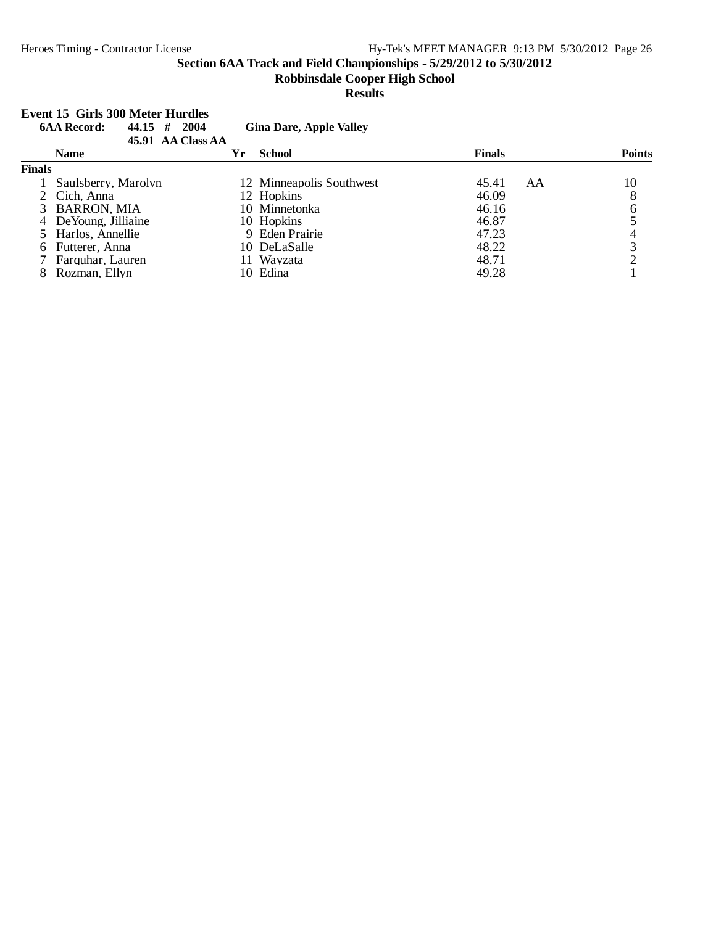**Robbinsdale Cooper High School**

#### **Results**

#### **Event 15 Girls 300 Meter Hurdles**

| <b>6AA Record:</b><br>44.15<br># | 2004 |                   |                                                                                                                                                                     |    |               |
|----------------------------------|------|-------------------|---------------------------------------------------------------------------------------------------------------------------------------------------------------------|----|---------------|
| <b>Name</b>                      | Yr   | <b>School</b>     | <b>Finals</b>                                                                                                                                                       |    | <b>Points</b> |
| <b>Finals</b>                    |      |                   |                                                                                                                                                                     |    |               |
| Saulsberry, Marolyn              |      |                   | 45.41                                                                                                                                                               | AA | 10            |
| 2 Cich, Anna                     |      |                   | 46.09                                                                                                                                                               |    | 8             |
| 3 BARRON, MIA                    |      |                   | 46.16                                                                                                                                                               |    | 6             |
| 4 DeYoung, Jilliaine             |      |                   | 46.87                                                                                                                                                               |    |               |
| 5 Harlos, Annellie               |      |                   | 47.23                                                                                                                                                               |    | 4             |
| 6 Futterer, Anna                 |      |                   | 48.22                                                                                                                                                               |    | 3             |
| 7 Farquhar, Lauren               |      |                   | 48.71                                                                                                                                                               |    |               |
| Rozman, Ellyn                    |      |                   | 49.28                                                                                                                                                               |    |               |
|                                  |      | 45.91 AA Class AA | <b>Gina Dare, Apple Valley</b><br>12 Minneapolis Southwest<br>12 Hopkins<br>10 Minnetonka<br>10 Hopkins<br>9 Eden Prairie<br>10 DeLaSalle<br>11 Wavzata<br>10 Edina |    |               |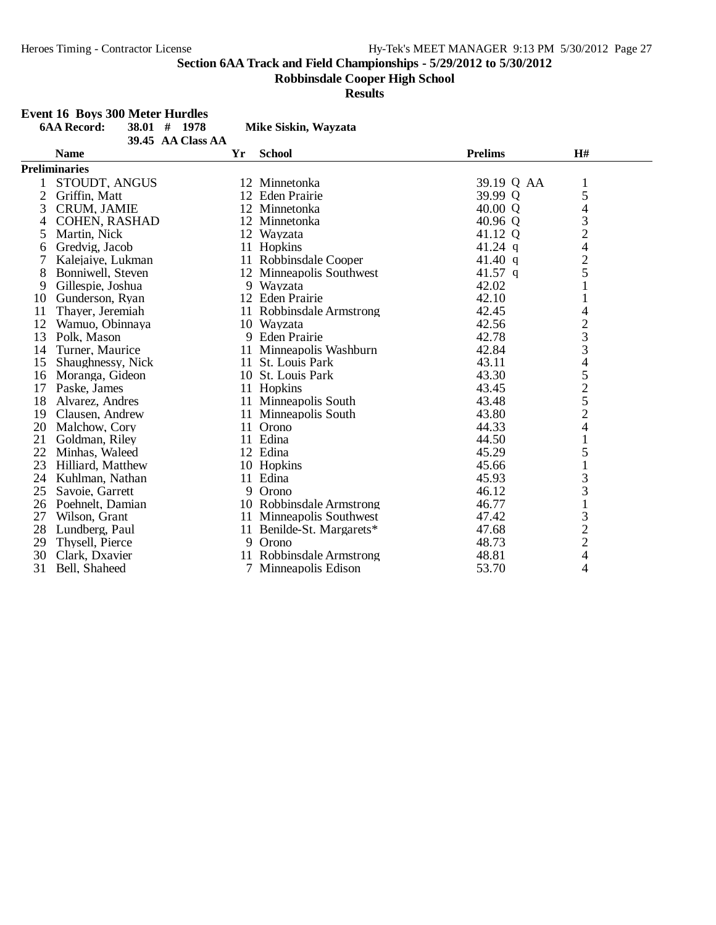**Robbinsdale Cooper High School**

**Results**

## **Event 16 Boys 300 Meter Hurdles**

|                | L'UEIL TO DOYS JUU IVIELEI TIMBUIES |                   |    |                           |                |                                                 |  |
|----------------|-------------------------------------|-------------------|----|---------------------------|----------------|-------------------------------------------------|--|
|                | <b>6AA Record:</b>                  | $38.01$ # 1978    |    | Mike Siskin, Wayzata      |                |                                                 |  |
|                |                                     | 39.45 AA Class AA |    |                           |                |                                                 |  |
|                | <b>Name</b>                         |                   | Yr | <b>School</b>             | <b>Prelims</b> | H#                                              |  |
|                | <b>Preliminaries</b>                |                   |    |                           |                |                                                 |  |
|                | STOUDT, ANGUS                       |                   |    | 12 Minnetonka             | 39.19 Q AA     | $\mathbf{1}$                                    |  |
| $\overline{2}$ | Griffin, Matt                       |                   |    | 12 Eden Prairie           | 39.99 Q        | 5                                               |  |
| 3              | <b>CRUM, JAMIE</b>                  |                   |    | 12 Minnetonka             | 40.00 $Q$      | 4                                               |  |
| 4              | <b>COHEN, RASHAD</b>                |                   |    | 12 Minnetonka             | 40.96 Q        | 3                                               |  |
| 5              | Martin, Nick                        |                   |    | 12 Wayzata                | 41.12 Q        |                                                 |  |
| 6              | Gredvig, Jacob                      |                   |    | 11 Hopkins                | $41.24$ q      | $\begin{array}{c} 2 \\ 4 \\ 2 \\ 5 \end{array}$ |  |
| 7              | Kalejaiye, Lukman                   |                   |    | 11 Robbinsdale Cooper     | 41.40 q        |                                                 |  |
| 8              | Bonniwell, Steven                   |                   |    | 12 Minneapolis Southwest  | 41.57 q        |                                                 |  |
| 9              | Gillespie, Joshua                   |                   |    | 9 Wayzata                 | 42.02          | $\mathbf{1}$                                    |  |
| 10             | Gunderson, Ryan                     |                   |    | 12 Eden Prairie           | 42.10          | $\mathbf{1}$                                    |  |
| 11             | Thayer, Jeremiah                    |                   |    | 11 Robbinsdale Armstrong  | 42.45          | 4                                               |  |
| 12             | Wamuo, Obinnaya                     |                   |    | 10 Wayzata                | 42.56          |                                                 |  |
| 13             | Polk, Mason                         |                   | 9  | <b>Eden Prairie</b>       | 42.78          | $\frac{2}{3}$                                   |  |
| 14             | Turner, Maurice                     |                   |    | 11 Minneapolis Washburn   | 42.84          |                                                 |  |
| 15             | Shaughnessy, Nick                   |                   |    | 11 St. Louis Park         | 43.11          |                                                 |  |
| 16             | Moranga, Gideon                     |                   |    | 10 St. Louis Park         | 43.30          | $\frac{4}{5}$ $\frac{5}{2}$ $\frac{5}{2}$       |  |
| 17             | Paske, James                        |                   |    | 11 Hopkins                | 43.45          |                                                 |  |
| 18             | Alvarez, Andres                     |                   |    | 11 Minneapolis South      | 43.48          |                                                 |  |
| 19             | Clausen, Andrew                     |                   |    | 11 Minneapolis South      | 43.80          |                                                 |  |
| 20             | Malchow, Cory                       |                   |    | 11 Orono                  | 44.33          | 4                                               |  |
| 21             | Goldman, Riley                      |                   |    | 11 Edina                  | 44.50          | $\mathbf{1}$                                    |  |
| 22             | Minhas, Waleed                      |                   |    | 12 Edina                  | 45.29          | 5                                               |  |
| 23             | Hilliard, Matthew                   |                   |    | 10 Hopkins                | 45.66          | $\mathbf{1}$                                    |  |
| 24             | Kuhlman, Nathan                     |                   |    | 11 Edina                  | 45.93          | 3                                               |  |
| 25             | Savoie, Garrett                     |                   | 9  | Orono                     | 46.12          | 3                                               |  |
| 26             | Poehnelt, Damian                    |                   |    | 10 Robbinsdale Armstrong  | 46.77          | $\mathbf{1}$                                    |  |
| 27             | Wilson, Grant                       |                   |    | 11 Minneapolis Southwest  | 47.42          |                                                 |  |
| 28             | Lundberg, Paul                      |                   |    | 11 Benilde-St. Margarets* | 47.68          | $\begin{array}{c} 3 \\ 2 \\ 2 \\ 4 \end{array}$ |  |
| 29             | Thysell, Pierce                     |                   |    | 9 Orono                   | 48.73          |                                                 |  |
| 30             | Clark, Dxavier                      |                   |    | 11 Robbinsdale Armstrong  | 48.81          |                                                 |  |
| 31             | Bell, Shaheed                       |                   |    | Minneapolis Edison        | 53.70          | 4                                               |  |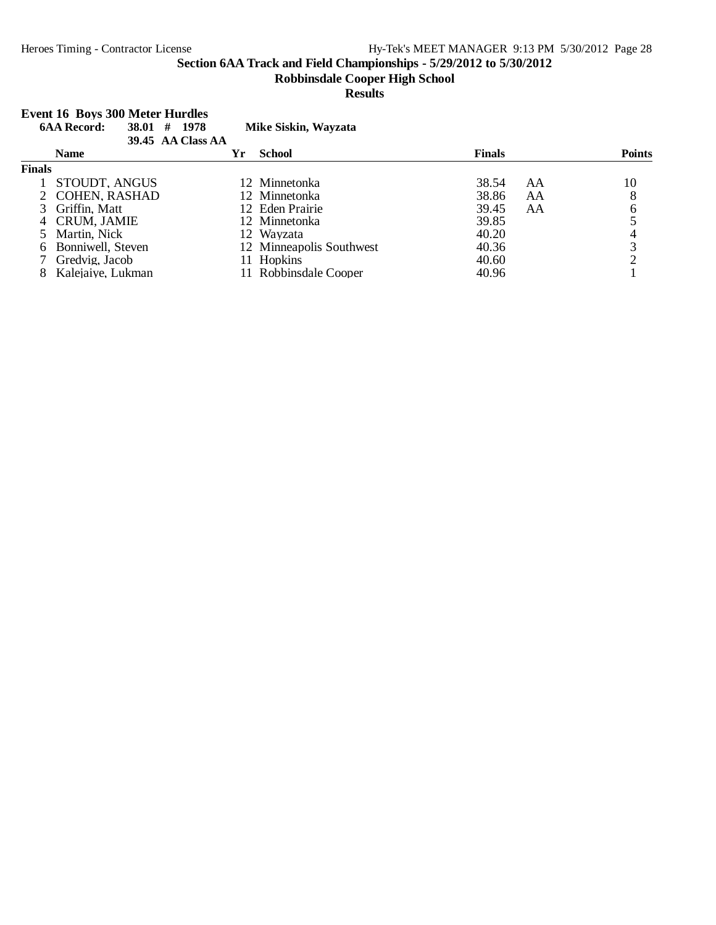#### **Robbinsdale Cooper High School**

#### **Results**

#### **Event 16 Boys 300 Meter Hurdles**

|               |                   | #<br>38.01<br>39.45 AA Class AA | 1978 | Mike Siskin, Wayzata     |               |    |               |
|---------------|-------------------|---------------------------------|------|--------------------------|---------------|----|---------------|
|               | <b>Name</b>       |                                 | Yr   | <b>School</b>            | <b>Finals</b> |    | <b>Points</b> |
| <b>Finals</b> |                   |                                 |      |                          |               |    |               |
|               | STOUDT, ANGUS     |                                 |      | 12 Minnetonka            | 38.54         | AA | 10            |
|               | 2 COHEN, RASHAD   |                                 |      | 12 Minnetonka            | 38.86         | AA | 8             |
|               | 3 Griffin, Matt   |                                 |      | 12 Eden Prairie          | 39.45         | AA | 6             |
|               | 4 CRUM, JAMIE     |                                 |      | 12 Minnetonka            | 39.85         |    |               |
|               | 5 Martin, Nick    |                                 |      | 12 Wayzata               | 40.20         |    |               |
| 6.            | Bonniwell, Steven |                                 |      | 12 Minneapolis Southwest | 40.36         |    | 3             |
|               | Gredvig, Jacob    |                                 |      | 11 Hopkins               | 40.60         |    |               |
| 8             | Kalejaiye, Lukman |                                 |      | 11 Robbinsdale Cooper    | 40.96         |    |               |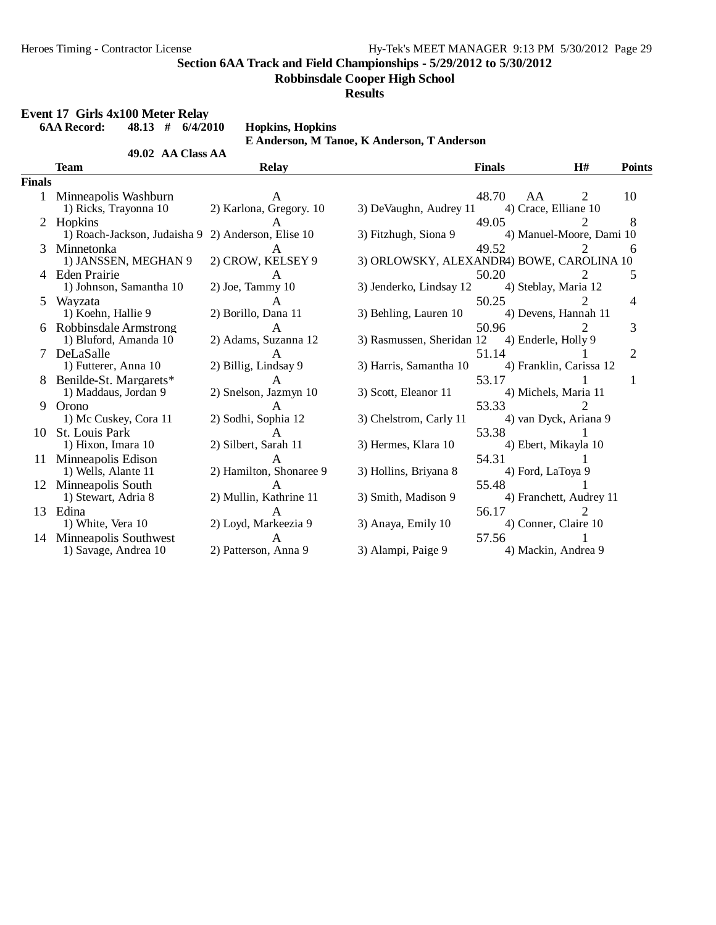**Robbinsdale Cooper High School**

#### **Results**

## **Event 17 Girls 4x100 Meter Relay**

**6AA Record: 48.13 # 6/4/2010 Hopkins, Hopkins**

**49.02 AA Class AA** 

**E Anderson, M Tanoe, K Anderson, T Anderson**

|               | <b>Team</b>                                      | <b>Relay</b>                          |                                               | <b>Finals</b>              | H#                         | <b>Points</b>  |
|---------------|--------------------------------------------------|---------------------------------------|-----------------------------------------------|----------------------------|----------------------------|----------------|
| <b>Finals</b> |                                                  |                                       |                                               |                            |                            |                |
|               | Minneapolis Washburn<br>1) Ricks, Trayonna 10    | A<br>2) Karlona, Gregory. 10          | 3) DeVaughn, Audrey 11                        | 48.70<br>AA                | 2<br>4) Crace, Elliane 10  | 10             |
|               | 2 Hopkins<br>1) Roach-Jackson, Judaisha 9        | A<br>2) Anderson, Elise 10            | 3) Fitzhugh, Siona 9                          | 49.05                      | 4) Manuel-Moore, Dami 10   | 8              |
| 3             | Minnetonka<br>1) JANSSEN, MEGHAN 9               | 2) CROW, KELSEY 9                     | 3) ORLOWSKY, ALEXANDR4) BOWE, CAROLINA 10     | 49.52                      |                            | 6              |
|               | 4 Eden Prairie<br>1) Johnson, Samantha 10        | $2)$ Joe, Tammy $10$                  | 3) Jenderko, Lindsay 12                       | 50.20                      | 4) Steblay, Maria 12       | 5              |
| 5.            | Wayzata<br>1) Koehn, Hallie 9                    | A<br>2) Borillo, Dana 11              | 3) Behling, Lauren 10                         | 50.25                      | 4) Devens, Hannah 11       | 4              |
|               | 6 Robbinsdale Armstrong<br>1) Bluford, Amanda 10 | A<br>2) Adams, Suzanna 12             | 3) Rasmussen, Sheridan 12 4) Enderle, Holly 9 | 50.96                      |                            | 3              |
|               | 7 DeLaSalle<br>1) Futterer, Anna 10              | $\mathsf{A}$<br>2) Billig, Lindsay 9  | 3) Harris, Samantha 10                        | 51.14                      | 4) Franklin, Carissa 12    | $\overline{2}$ |
|               | 8 Benilde-St. Margarets*<br>1) Maddaus, Jordan 9 | $\mathsf{A}$<br>2) Snelson, Jazmyn 10 | 3) Scott, Eleanor 11                          | 53.17                      | 4) Michels, Maria 11       |                |
| 9             | Orono<br>1) Mc Cuskey, Cora 11                   | A<br>2) Sodhi, Sophia 12              | 3) Chelstrom, Carly 11                        | 53.33                      | 2<br>4) van Dyck, Ariana 9 |                |
|               | 10 St. Louis Park<br>1) Hixon, Imara 10          | $\mathsf{A}$<br>2) Silbert, Sarah 11  | 3) Hermes, Klara 10                           | 53.38                      | 4) Ebert, Mikayla 10       |                |
|               | 11 Minneapolis Edison<br>1) Wells, Alante 11     | A<br>2) Hamilton, Shonaree 9          | 3) Hollins, Briyana 8                         | 54.31<br>4) Ford, LaToya 9 |                            |                |
| 12            | Minneapolis South<br>1) Stewart, Adria 8         | 2) Mullin, Kathrine 11                | 3) Smith, Madison 9                           | 55.48                      | 4) Franchett, Audrey 11    |                |
|               | 13 Edina<br>1) White, Vera 10                    | 2) Loyd, Markeezia 9                  | 3) Anaya, Emily 10                            | 56.17                      | 4) Conner, Claire 10       |                |
| 14            | Minneapolis Southwest<br>1) Savage, Andrea 10    | A<br>2) Patterson, Anna 9             | 3) Alampi, Paige 9                            | 57.56                      | 4) Mackin, Andrea 9        |                |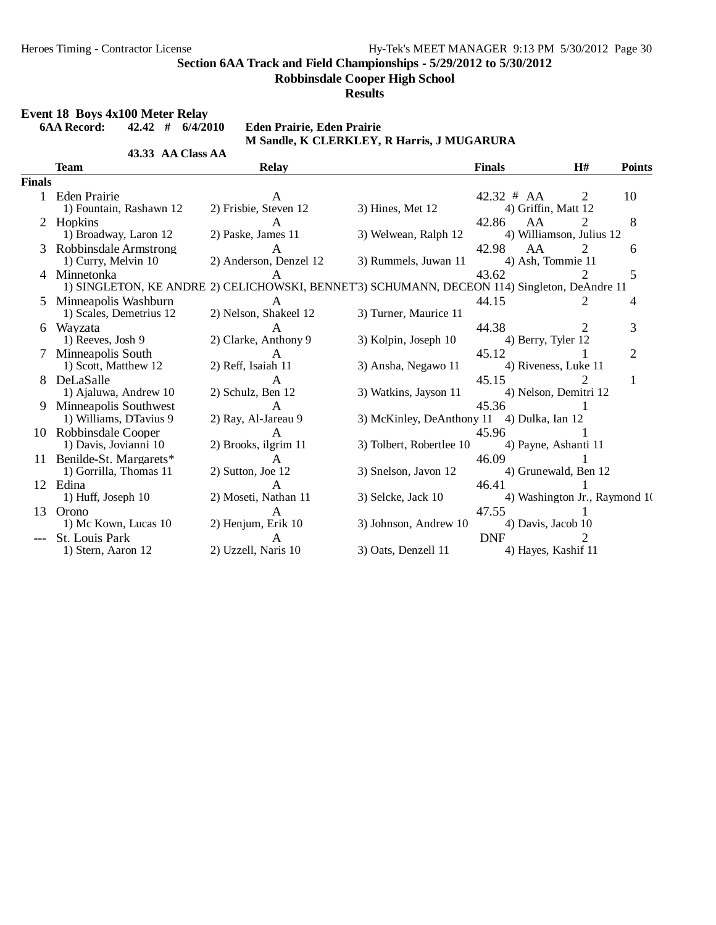**Robbinsdale Cooper High School**

**Results**

# **Event 18 Boys 4x100 Meter Relay**<br>6AA Record: **42.42** # 6/4/2010

**6AA Record: 42.42 # 6/4/2010 Eden Prairie, Eden Prairie**

## **M Sandle, K CLERKLEY, R Harris, J MUGARURA**

|               | 43.33 AA Class AA                                                                                          |                                        |                                            |                                         |                             |               |
|---------------|------------------------------------------------------------------------------------------------------------|----------------------------------------|--------------------------------------------|-----------------------------------------|-----------------------------|---------------|
|               | Team                                                                                                       | <b>Relay</b>                           |                                            | <b>Finals</b>                           | H#                          | <b>Points</b> |
| <b>Finals</b> |                                                                                                            |                                        |                                            |                                         |                             |               |
|               | Eden Prairie<br>1) Fountain, Rashawn 12                                                                    | A<br>2) Frisbie, Steven 12             | $3)$ Hines, Met 12                         | $42.32 \# AA$<br>4) Griffin, Matt 12    | 2                           | 10            |
|               | 2 Hopkins<br>1) Broadway, Laron 12                                                                         | $\mathsf{A}$<br>2) Paske, James 11     | 3) Welwean, Ralph 12                       | AA<br>42.86<br>4) Williamson, Julius 12 | 2                           | 8             |
| 3             | Robbinsdale Armstrong<br>1) Curry, Melvin 10                                                               | $\mathsf{A}$<br>2) Anderson, Denzel 12 | 3) Rummels, Juwan 11                       | 42.98<br>AA<br>4) Ash, Tommie 11        | $\mathcal{D}_{\mathcal{L}}$ | 6             |
| 4             | Minnetonka<br>1) SINGLETON, KE ANDRE 2) CELICHOWSKI, BENNET'3) SCHUMANN, DECEON 114) Singleton, DeAndre 11 | A                                      |                                            | 43.62                                   |                             | 5             |
| 5.            | Minneapolis Washburn<br>1) Scales, Demetrius 12                                                            | A<br>2) Nelson, Shakeel 12             | 3) Turner, Maurice 11                      | 44.15                                   | 2                           | 4             |
|               | 6 Wayzata<br>1) Reeves, Josh 9                                                                             | $\mathsf{A}$<br>2) Clarke, Anthony 9   | 3) Kolpin, Joseph 10                       | 44.38<br>4) Berry, Tyler 12             | 2                           | 3             |
| 7             | Minneapolis South<br>1) Scott, Matthew 12                                                                  | A<br>2) Reff, Isaiah 11                | 3) Ansha, Negawo 11                        | 45.12<br>4) Riveness, Luke 11           |                             | 2             |
| 8             | DeLaSalle<br>1) Ajaluwa, Andrew 10                                                                         | A<br>2) Schulz, Ben 12                 | 3) Watkins, Jayson 11                      | 45.15<br>4) Nelson, Demitri 12          |                             |               |
| 9             | Minneapolis Southwest<br>1) Williams, DTavius 9                                                            | A<br>2) Ray, Al-Jareau 9               | 3) McKinley, DeAnthony 11 4) Dulka, Ian 12 | 45.36                                   |                             |               |
|               | 10 Robbinsdale Cooper<br>1) Davis, Jovianni 10                                                             | $\mathbf{A}$<br>2) Brooks, ilgrim 11   | 3) Tolbert, Robertlee 10                   | 45.96<br>4) Payne, Ashanti 11           |                             |               |
| 11            | Benilde-St. Margarets*<br>1) Gorrilla, Thomas 11                                                           | $\mathsf{A}$<br>2) Sutton, Joe 12      | 3) Snelson, Javon 12                       | 46.09<br>4) Grunewald, Ben 12           |                             |               |
|               | 12 Edina<br>1) Huff, Joseph 10                                                                             | А<br>2) Moseti, Nathan 11              | 3) Selcke, Jack 10                         | 46.41<br>4) Washington Jr., Raymond 10  |                             |               |
| 13            | Orono<br>1) Mc Kown, Lucas 10                                                                              | A<br>2) Henjum, Erik 10                | 3) Johnson, Andrew 10                      | 47.55<br>4) Davis, Jacob 10             |                             |               |
|               | St. Louis Park<br>1) Stern, Aaron 12                                                                       | A<br>2) Uzzell, Naris 10               | 3) Oats, Denzell 11                        | <b>DNF</b><br>4) Hayes, Kashif 11       | $\overline{2}$              |               |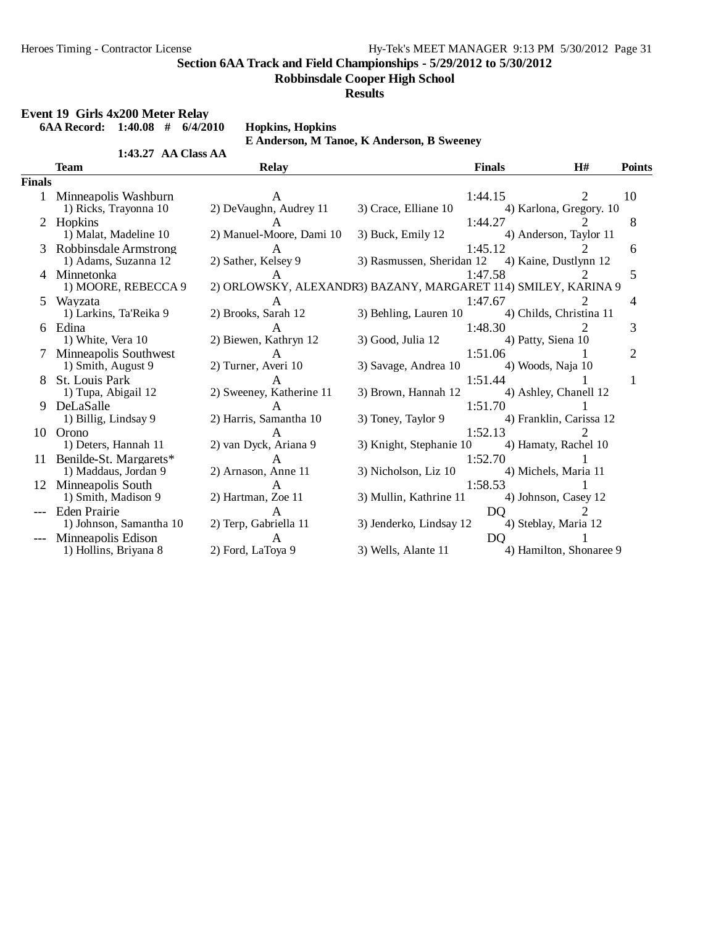**Robbinsdale Cooper High School**

**Results**

## **Event 19 Girls 4x200 Meter Relay**

**6AA Record: 1:40.08 # 6/4/2010 Hopkins, Hopkins**

**1:43.27 AA Class AA** 

**E Anderson, M Tanoe, K Anderson, B Sweeney**

|               | <b>Team</b>                                    | <b>Relay</b>                                                   |                                                 | <b>Finals</b>                 | H#                           | <b>Points</b>  |
|---------------|------------------------------------------------|----------------------------------------------------------------|-------------------------------------------------|-------------------------------|------------------------------|----------------|
| <b>Finals</b> |                                                |                                                                |                                                 |                               |                              |                |
|               | Minneapolis Washburn<br>1) Ricks, Trayonna 10  | A<br>2) DeVaughn, Audrey 11                                    | 3) Crace, Elliane 10                            | 1:44.15                       | 2<br>4) Karlona, Gregory. 10 | 10             |
| 2             | Hopkins<br>1) Malat, Madeline 10               | 2) Manuel-Moore, Dami 10                                       | 3) Buck, Emily 12                               | 1:44.27                       | 4) Anderson, Taylor 11       | 8              |
| 3             | Robbinsdale Armstrong<br>1) Adams, Suzanna 12  | 2) Sather, Kelsey 9                                            | 3) Rasmussen, Sheridan 12 4) Kaine, Dustlynn 12 | 1:45.12                       |                              | 6              |
| 4             | Minnetonka<br>1) MOORE, REBECCA 9              | 2) ORLOWSKY, ALEXANDR3) BAZANY, MARGARET 114) SMILEY, KARINA 9 |                                                 | 1:47.58                       |                              | 5              |
| 5.            | Wavzata<br>1) Larkins, Ta'Reika 9              | A<br>2) Brooks, Sarah 12                                       | 3) Behling, Lauren 10                           | 1:47.67                       | 4) Childs, Christina 11      | 4              |
|               | 6 Edina<br>1) White, Vera 10                   | 2) Biewen, Kathryn 12                                          | 3) Good, Julia 12                               | 1:48.30<br>4) Patty, Siena 10 |                              | 3              |
|               | Minneapolis Southwest<br>1) Smith, August 9    | $\mathsf{A}$<br>2) Turner, Averi 10                            | 3) Savage, Andrea 10                            | 1:51.06<br>4) Woods, Naja 10  |                              | $\overline{2}$ |
| 8             | St. Louis Park<br>1) Tupa, Abigail 12          | 2) Sweeney, Katherine 11                                       | 3) Brown, Hannah 12                             | 1:51.44                       | 4) Ashley, Chanell 12        |                |
| 9             | DeLaSalle<br>1) Billig, Lindsay 9              | 2) Harris, Samantha 10                                         | 3) Toney, Taylor 9 4) Franklin, Carissa 12      | 1:51.70                       |                              |                |
|               | 10 Orono<br>1) Deters, Hannah 11               | 2) van Dyck, Ariana 9                                          | 3) Knight, Stephanie 10                         | 1:52.13                       | 4) Hamaty, Rachel 10         |                |
| 11            | Benilde-St. Margarets*<br>1) Maddaus, Jordan 9 | A<br>2) Arnason, Anne 11                                       | 3) Nicholson, Liz 10                            | 1:52.70                       | 4) Michels, Maria 11         |                |
|               | 12 Minneapolis South<br>1) Smith, Madison 9    | 2) Hartman, Zoe 11                                             | 3) Mullin, Kathrine 11                          | 1:58.53                       | 4) Johnson, Casey 12         |                |
|               | <b>Eden Prairie</b><br>1) Johnson, Samantha 10 | $\mathsf{A}$<br>2) Terp, Gabriella 11                          | 3) Jenderko, Lindsay 12                         | D <sub>O</sub>                | 2<br>4) Steblay, Maria 12    |                |
|               | Minneapolis Edison<br>1) Hollins, Briyana 8    | $\mathsf{A}$<br>2) Ford, LaToya 9                              | 3) Wells, Alante 11                             | D <sub>O</sub>                | 4) Hamilton, Shonaree 9      |                |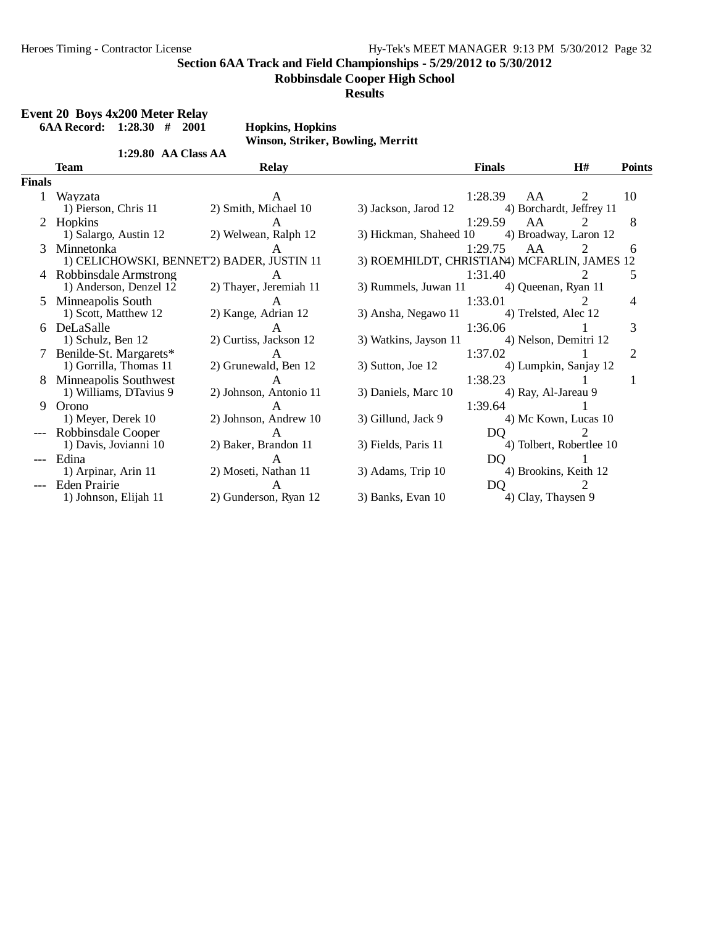**Robbinsdale Cooper High School**

#### **Results**

**Event 20 Boys 4x200 Meter Relay 6AA Record: 1:28.30 # 2001 Hopkins, Hopkins Winson, Striker, Bowling, Merritt 1:29.80 AA Class AA Team Relay Finals H# Points Finals** 1 Wayzata 1:28.39 AA 2 10 1) Pierson, Chris 11 2) Smith, Michael 10 3) Jackson, Jarod 12 4) Borchardt, Jeffrey 11 2 Hopkins **A** 1:29.59 AA 2 8 1) Salargo, Austin 12 2) Welwean, Ralph 12 3) Hickman, Shaheed 10 4) Broadway, Laron 12 3 Minnetonka A 1:29.75 AA 2 6 1) CELICHOWSKI, BENNET<sup>2</sup>) BADER, JUSTIN 11 3) ROEMHILDT, CHRISTIAN4) MCFARLIN, JAMES 12 4 Robbinsdale Armstrong A 1:31.40 2 5<br>1) Anderson, Denzel 12 2) Thayer, Jeremiah 11 3) Rummels, Juwan 11 4) Queenan, Ryan 11 1) Anderson, Denzel 12 5 Minneapolis South A 1:33.01 2 4<br>1) Scott, Matthew 12 2) Kange, Adrian 12 3) Ansha, Negawo 11 4) Trelsted, Alec 12 3) Ansha, Negawo 11 6 DeLaSalle 1:36.06 1 3<br>
1) Schulz, Ben 12 2) Curtiss, Jackson 12 3) Watkins, Jayson 11 4) Nelson, Demitri 12 2) Curtiss, Jackson 12 7 Benilde-St. Margarets\* A 1:37.02 1 2<br>1) Gorrilla, Thomas 11 2) Grunewald, Ben 12 3) Sutton, Joe 12 4) Lumpkin, Sanjay 12 1) Gorrilla, Thomas 11 1 8 Minneapolis Southwest A 1:38.23 1 1 1<br>
1) Williams, DTavius 9 2) Johnson, Antonio 11 3) Daniels, Marc 10 4) Ray, Al-Jareau 9 2) Johnson, Antonio 11 9 Orono A 1:39.64 1 1) Meyer, Derek 10 2) Johnson, Andrew 10 3) Gillund, Jack 9 4) Mc Kown, Lucas 10 --- Robbinsdale Cooper A DQ 2 4) Tolbert, Robertlee 10 --- Edina 1 A DQ 1 1) Arpinar, Arin 11 2) Moseti, Nathan 11 3) Adams, Trip 10 4) Brookins, Keith 12

--- Eden Prairie A DQ 2<br>1) Johnson, Elijah 11 2) Gunderson, Ryan 12 3) Banks, Evan 10 4) Clay, Thaysen 9

2) Gunderson, Ryan 12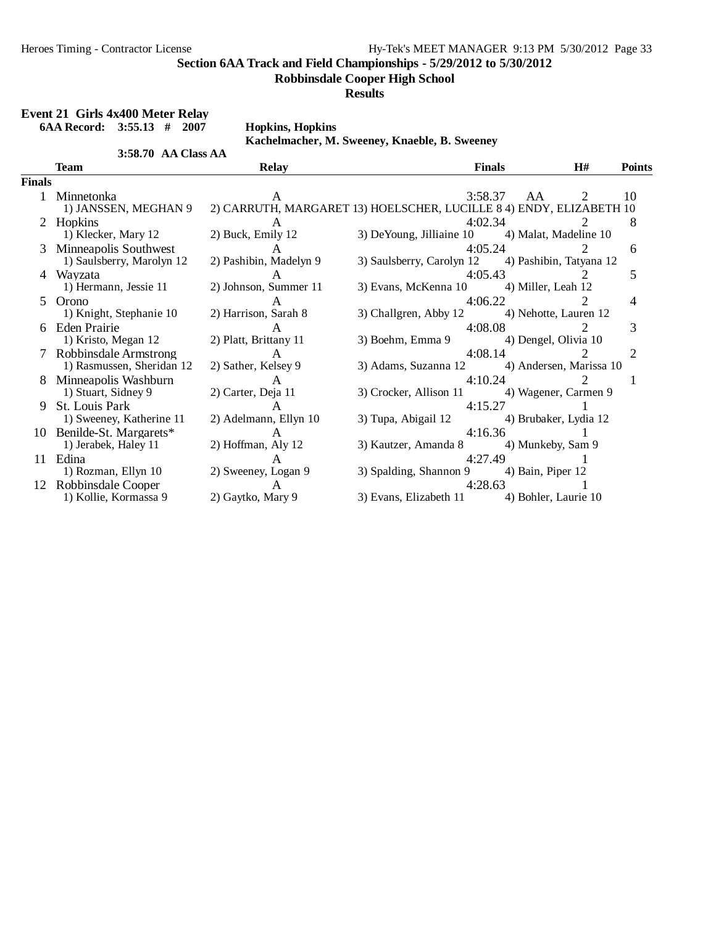**Robbinsdale Cooper High School**

**Results**

|               | Event 21 Girls 4x400 Meter Relay |                         |                                                                     |                         |                             |               |
|---------------|----------------------------------|-------------------------|---------------------------------------------------------------------|-------------------------|-----------------------------|---------------|
|               | $6AA$ Record: $3:55.13$ # 2007   | <b>Hopkins, Hopkins</b> |                                                                     |                         |                             |               |
|               |                                  |                         | Kachelmacher, M. Sweeney, Knaeble, B. Sweeney                       |                         |                             |               |
|               | 3:58.70 AA Class AA              |                         |                                                                     |                         |                             |               |
|               | <b>Team</b>                      | <b>Relay</b>            |                                                                     | <b>Finals</b>           | H#                          | <b>Points</b> |
| <b>Finals</b> |                                  |                         |                                                                     |                         |                             |               |
|               | 1 Minnetonka                     |                         |                                                                     | 3:58.37<br>AA           | 2                           | 10            |
|               | 1) JANSSEN, MEGHAN 9             |                         | 2) CARRUTH, MARGARET 13) HOELSCHER, LUCILLE 8 4) ENDY, ELIZABETH 10 |                         |                             |               |
|               | Hopkins                          |                         |                                                                     | 4:02.34                 |                             | 8             |
|               | 1) Klecker, Mary 12              | 2) Buck, Emily 12       | 3) DeYoung, Jilliaine 10 4) Malat, Madeline 10                      |                         |                             |               |
| 3             | <b>Minneapolis Southwest</b>     | $\mathsf{A}$            |                                                                     | 4:05.24                 | $\mathcal{D}_{\mathcal{L}}$ | 6             |
|               | 1) Saulsberry, Marolyn 12        | 2) Pashibin, Madelyn 9  | 3) Saulsberry, Carolyn 12 (4) Pashibin, Tatyana 12                  |                         |                             |               |
|               | 4 Wayzata                        | A                       |                                                                     | 4:05.43                 | $\overline{2}$              | 5             |
|               | 1) Hermann, Jessie 11            | 2) Johnson, Summer 11   | 3) Evans, McKenna 10 4) Miller, Leah 12                             |                         |                             |               |
|               | 5 Orono                          | $\mathsf{A}$            |                                                                     | 4:06.22                 | $\mathcal{D}_{\mathcal{L}}$ | 4             |
|               | 1) Knight, Stephanie 10          | 2) Harrison, Sarah 8    | 3) Challgren, Abby 12 4) Nehotte, Lauren 12                         |                         |                             |               |
|               | 6 Eden Prairie                   | $\mathsf{A}$            |                                                                     | 4:08.08                 | $\overline{2}$              | 3             |
|               | 1) Kristo, Megan 12              | 2) Platt, Brittany 11   | 3) Boehm, Emma 9 4) Dengel, Olivia 10                               |                         |                             |               |
|               | 7 Robbinsdale Armstrong          | $\mathsf{A}$            |                                                                     | 4:08.14                 | $\mathcal{D}$               | 2             |
|               | 1) Rasmussen, Sheridan 12        | 2) Sather, Kelsey 9     | 3) Adams, Suzanna 12                                                | 4) Andersen, Marissa 10 |                             |               |
|               | 8 Minneapolis Washburn           | A                       |                                                                     | 4:10.24                 | $\mathcal{D}_{\mathcal{L}}$ | 1             |
|               | 1) Stuart, Sidney 9              | 2) Carter, Deja 11      | 3) Crocker, Allison 11 4) Wagener, Carmen 9                         |                         |                             |               |
| 9             | <b>St.</b> Louis Park            | $\mathsf{A}$            |                                                                     | 4:15.27                 |                             |               |
|               | 1) Sweeney, Katherine 11         | 2) Adelmann, Ellyn 10   | 3) Tupa, Abigail 12                                                 | 4) Brubaker, Lydia 12   |                             |               |
|               | 10 Benilde-St. Margarets*        | $\mathsf{A}$            |                                                                     | 4:16.36                 | $\mathbf{1}$                |               |
|               | 1) Jerabek, Haley 11             | 2) Hoffman, Aly 12      | 3) Kautzer, Amanda 8 4) Munkeby, Sam 9                              |                         |                             |               |
|               | 11 Edina                         | $\mathsf{A}$            |                                                                     | 4:27.49                 | $\overline{1}$              |               |
|               | 1) Rozman, Ellyn 10              | 2) Sweeney, Logan 9     | 3) Spalding, Shannon 9 4) Bain, Piper 12                            |                         |                             |               |
|               | 12 Robbinsdale Cooper            | A                       |                                                                     | 4:28.63                 |                             |               |
|               | 1) Kollie, Kormassa 9            | 2) Gaytko, Mary 9       | 3) Evans, Elizabeth 11 4) Bohler, Laurie 10                         |                         |                             |               |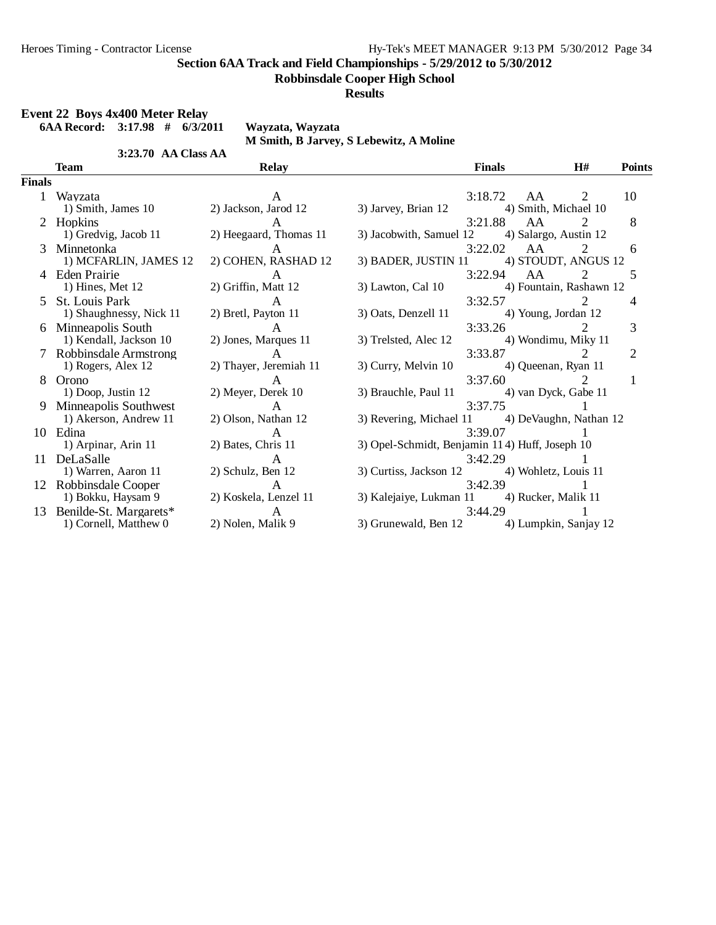**Robbinsdale Cooper High School**

#### **Results**

#### **Event 22 Boys 4x400 Meter Relay**

**6AA Record: 3:17.98 # 6/3/2011 Wayzata, Wayzata**

**3:23.70 AA Class AA** 

**M Smith, B Jarvey, S Lebewitz, A Moline**

| ı<br>н<br>ı |  |
|-------------|--|

|       | 3:23.70 AA Class AA       |                        |                                                |               |                         |                |                |
|-------|---------------------------|------------------------|------------------------------------------------|---------------|-------------------------|----------------|----------------|
|       | <b>Team</b>               | <b>Relay</b>           |                                                | <b>Finals</b> |                         | H#             | <b>Points</b>  |
| inals |                           |                        |                                                |               |                         |                |                |
| 1     | Wavzata                   | A                      |                                                | 3:18.72       | AA                      | 2              | 10             |
|       | 1) Smith, James 10        | 2) Jackson, Jarod 12   | 3) Jarvey, Brian 12                            |               | 4) Smith, Michael 10    |                |                |
| 2     | Hopkins                   | $\mathsf{A}$           |                                                | 3:21.88       | AA                      | $\overline{2}$ | 8              |
|       | 1) Gredvig, Jacob 11      | 2) Heegaard, Thomas 11 | 3) Jacobwith, Samuel 12 4) Salargo, Austin 12  |               |                         |                |                |
| 3     | Minnetonka                | A                      |                                                | 3:22.02       | AA                      | 2              | 6              |
|       | 1) MCFARLIN, JAMES 12     | 2) COHEN, RASHAD 12    | 3) BADER, JUSTIN 11                            |               | 4) STOUDT, ANGUS 12     |                |                |
| 4     | <b>Eden Prairie</b>       | A                      |                                                | 3:22.94       | AA                      | 2              | 5              |
|       | $1)$ Hines, Met $12$      | 2) Griffin, Matt 12    | 3) Lawton, Cal 10                              |               | 4) Fountain, Rashawn 12 |                |                |
|       | 5 St. Louis Park          | $\mathsf{A}$           |                                                | 3:32.57       |                         | 2              | 4              |
|       | 1) Shaughnessy, Nick 11   | 2) Bretl, Payton 11    | 3) Oats, Denzell 11                            |               | 4) Young, Jordan 12     |                |                |
|       | 6 Minneapolis South       | A                      |                                                |               | 3:33.26                 | $\mathcal{L}$  | 3              |
|       | 1) Kendall, Jackson 10    | 2) Jones, Marques 11   | 3) Trelsted, Alec 12                           |               | 4) Wondimu, Miky 11     |                |                |
|       | 7 Robbinsdale Armstrong   | $\mathsf{A}$           |                                                |               | 3:33.87                 | $\overline{2}$ | $\overline{2}$ |
|       | 1) Rogers, Alex 12        | 2) Thayer, Jeremiah 11 | 3) Curry, Melvin 10                            |               | 4) Queenan, Ryan 11     |                |                |
|       | 8 Orono                   | $\mathsf{A}$           |                                                |               | 3:37.60                 | $\overline{2}$ | 1              |
|       | 1) Doop, Justin 12        | 2) Meyer, Derek 10     | 3) Brauchle, Paul 11                           |               | 4) van Dyck, Gabe 11    |                |                |
| 9     | Minneapolis Southwest     | $\mathbf{A}$           |                                                | 3:37.75       |                         |                |                |
|       | 1) Akerson, Andrew 11     | 2) Olson, Nathan 12    | 3) Revering, Michael 11 4) DeVaughn, Nathan 12 |               |                         |                |                |
|       | 10 Edina                  | A                      |                                                | 3:39.07       |                         |                |                |
|       | 1) Arpinar, Arin 11       | 2) Bates, Chris 11     | 3) Opel-Schmidt, Benjamin 114) Huff, Joseph 10 |               |                         |                |                |
| 11    | DeLaSalle                 | $\mathsf{A}$           |                                                | 3:42.29       |                         |                |                |
|       | 1) Warren, Aaron 11       | 2) Schulz, Ben 12      | 3) Curtiss, Jackson 12                         |               | 4) Wohletz, Louis 11    |                |                |
|       | 12 Robbinsdale Cooper     | A                      |                                                | 3:42.39       |                         |                |                |
|       | 1) Bokku, Haysam 9        | 2) Koskela, Lenzel 11  | 3) Kalejaiye, Lukman 11 4) Rucker, Malik 11    |               |                         |                |                |
|       | 13 Benilde-St. Margarets* | $\mathsf{A}$           |                                                | 3:44.29       |                         |                |                |
|       | 1) Cornell, Matthew 0     | 2) Nolen, Malik 9      | 3) Grunewald, Ben 12 4) Lumpkin, Sanjay 12     |               |                         |                |                |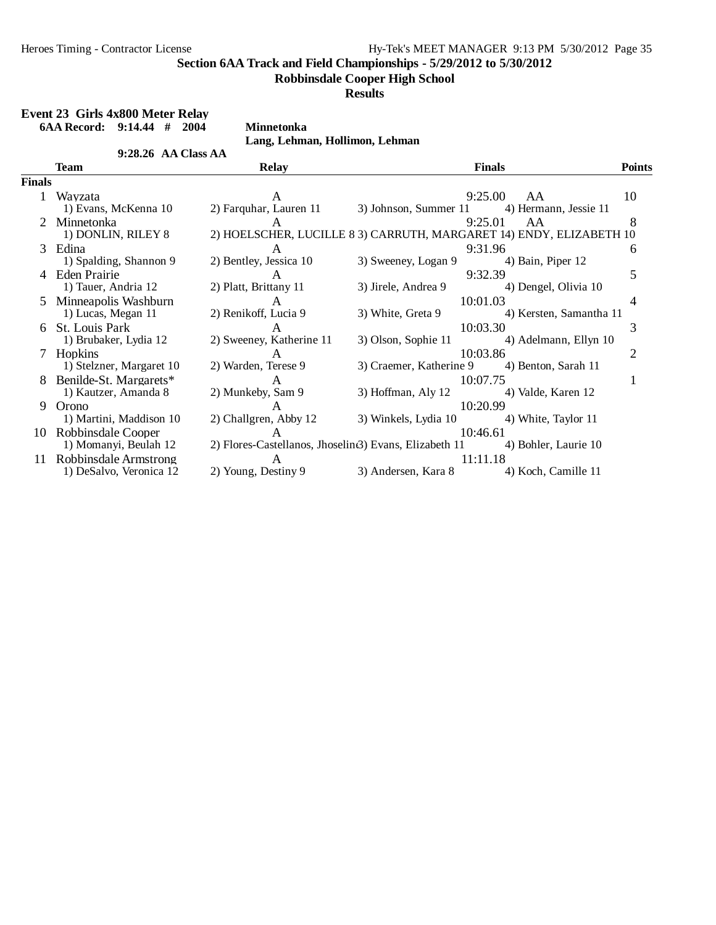#### **Robbinsdale Cooper High School**

**Results**

|               | Event 23 Girls 4x800 Meter Relay |                                |                                                                     |                         |               |
|---------------|----------------------------------|--------------------------------|---------------------------------------------------------------------|-------------------------|---------------|
|               | 6AA Record: $9:14.44$ # 2004     | <b>Minnetonka</b>              |                                                                     |                         |               |
|               |                                  | Lang, Lehman, Hollimon, Lehman |                                                                     |                         |               |
|               | $9:28.26$ AA Class AA            |                                |                                                                     |                         |               |
|               | Team                             | <b>Relay</b>                   |                                                                     | <b>Finals</b>           | <b>Points</b> |
| <b>Finals</b> |                                  |                                |                                                                     |                         |               |
|               | Wavzata                          | A                              | 9:25.00                                                             | AA                      | 10            |
|               | 1) Evans, McKenna 10             | 2) Farquhar, Lauren 11         | 3) Johnson, Summer 11                                               | 4) Hermann, Jessie 11   |               |
|               | 2 Minnetonka                     | A                              | 9:25.01                                                             | AA                      | 8             |
|               | 1) DONLIN, RILEY 8               |                                | 2) HOELSCHER, LUCILLE 8 3) CARRUTH, MARGARET 14) ENDY, ELIZABETH 10 |                         |               |
|               | 3 Edina                          | A                              | 9:31.96                                                             |                         | 6             |
|               | 1) Spalding, Shannon 9           | 2) Bentley, Jessica 10         | 3) Sweeney, Logan 9                                                 | 4) Bain, Piper 12       |               |
|               | Eden Prairie                     | A                              | 9:32.39                                                             |                         | 5             |
|               | 1) Tauer, Andria 12              | 2) Platt, Brittany 11          | 3) Jirele, Andrea 9                                                 | 4) Dengel, Olivia 10    |               |
|               | 5 Minneapolis Washburn           | A                              | 10:01.03                                                            |                         | 4             |
|               | 1) Lucas, Megan 11               | 2) Renikoff, Lucia 9           | 3) White, Greta 9                                                   | 4) Kersten, Samantha 11 |               |
|               | 6 St. Louis Park                 | A                              | 10:03.30                                                            |                         | 3             |
|               | 1) Brubaker, Lydia 12            | 2) Sweeney, Katherine 11       | 3) Olson, Sophie 11                                                 | 4) Adelmann, Ellyn 10   |               |
|               | <b>Hopkins</b>                   | A                              | 10:03.86                                                            |                         | 2             |
|               | 1) Stelzner, Margaret 10         | 2) Warden, Terese 9            | 3) Craemer, Katherine 9 4) Benton, Sarah 11                         |                         |               |
|               | Benilde-St. Margarets*           | A                              | 10:07.75                                                            |                         | 1             |
|               | 1) Kautzer, Amanda 8             | 2) Munkeby, Sam 9              | 3) Hoffman, Aly 12                                                  | 4) Valde, Karen 12      |               |
| 9             | Orono                            | A                              | 10:20.99                                                            |                         |               |
|               | 1) Martini, Maddison 10          | 2) Challgren, Abby 12          | 3) Winkels, Lydia 10                                                | 4) White, Taylor 11     |               |
| 10            | Robbinsdale Cooper               | $\mathsf{A}$                   | 10:46.61                                                            |                         |               |
|               | 1) Momanyi, Beulah 12            |                                | 2) Flores-Castellanos, Jhoselin <sub>3</sub> ) Evans, Elizabeth 11  | 4) Bohler, Laurie 10    |               |
| 11            | Robbinsdale Armstrong            | A                              | 11:11.18                                                            |                         |               |
|               | 1) DeSalvo, Veronica 12          | 2) Young, Destiny 9            | 3) Andersen, Kara 8                                                 | 4) Koch, Camille 11     |               |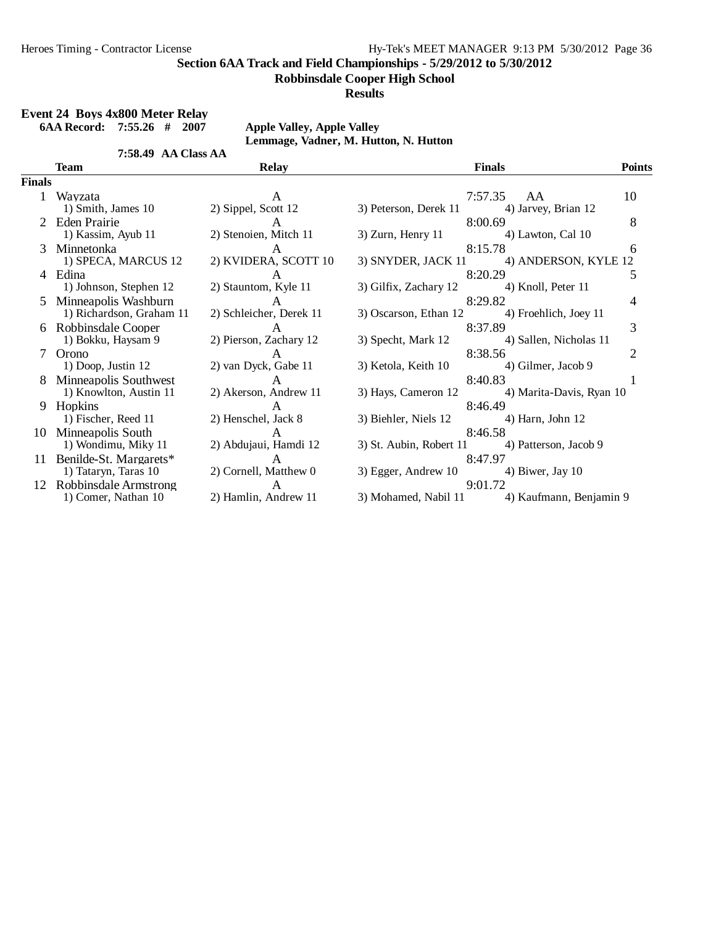**Robbinsdale Cooper High School**

**Results**

### **Event 24 Boys 4x800 Meter Relay**

**6AA Record: 7:55.26 # 2007 Apple Valley, Apple Valley**

7:58.49 AA Class AA

**Lemmage, Vadner, M. Hutton, N. Hutton**

|        | <b>Team</b>                                      | <b>Relay</b>                            | <b>Finals</b>                                              |                           | <b>Points</b>  |
|--------|--------------------------------------------------|-----------------------------------------|------------------------------------------------------------|---------------------------|----------------|
| Finals |                                                  |                                         |                                                            |                           |                |
|        | Wayzata<br>1) Smith, James 10                    | A<br>2) Sippel, Scott 12                | 7:57.35<br>3) Peterson, Derek 11                           | AA<br>4) Jarvey, Brian 12 | 10             |
|        | 2 Eden Prairie<br>1) Kassim, Ayub 11             | A<br>2) Stenoien, Mitch 11              | 8:00.69<br>3) Zurn, Henry 11                               | 4) Lawton, Cal 10         | 8              |
| 3      | Minnetonka<br>1) SPECA, MARCUS 12                | A<br>2) KVIDERA, SCOTT 10               | 8:15.78<br>3) SNYDER, JACK 11 4) ANDERSON, KYLE 12         |                           | 6              |
|        | 4 Edina<br>1) Johnson, Stephen 12                | 2) Stauntom, Kyle 11                    | 8:20.29<br>3) Gilfix, Zachary 12 4) Knoll, Peter 11        |                           | 5              |
| 5.     | Minneapolis Washburn<br>1) Richardson, Graham 11 | $\mathsf{A}$<br>2) Schleicher, Derek 11 | 8:29.82<br>3) Oscarson, Ethan 12 4) Froehlich, Joey 11     |                           | 4              |
|        | Robbinsdale Cooper<br>1) Bokku, Haysam 9         | $\mathsf{A}$<br>2) Pierson, Zachary 12  | 8:37.89<br>3) Specht, Mark 12                              | 4) Sallen, Nicholas 11    | 3              |
|        | Orono<br>$1)$ Doop, Justin $12$                  | A<br>2) van Dyck, Gabe 11               | 8:38.56<br>3) Ketola, Keith 10                             | 4) Gilmer, Jacob 9        | $\overline{2}$ |
| 8      | Minneapolis Southwest<br>1) Knowlton, Austin 11  | $\mathsf{A}$<br>2) Akerson, Andrew 11   | 8:40.83<br>3) Hays, Cameron 12                             | 4) Marita-Davis, Ryan 10  |                |
| 9      | Hopkins<br>1) Fischer, Reed 11                   | A<br>2) Henschel, Jack 8                | 8:46.49<br>3) Biehler, Niels 12                            | 4) Harn, John 12          |                |
| 10     | Minneapolis South<br>1) Wondimu, Miky 11         | A<br>2) Abdujaui, Hamdi 12              | 8:46.58<br>3) St. Aubin, Robert 11 4) Patterson, Jacob 9   |                           |                |
| 11     | Benilde-St. Margarets*<br>1) Tataryn, Taras 10   | $\mathsf{A}$<br>2) Cornell, Matthew 0   | 8:47.97<br>$3)$ Egger, Andrew 10 $\qquad$ 4) Biwer, Jay 10 |                           |                |
| 12     | Robbinsdale Armstrong<br>1) Comer, Nathan 10     | $\mathsf{A}$<br>2) Hamlin, Andrew 11    | 9:01.72<br>3) Mohamed, Nabil 11 4) Kaufmann, Benjamin 9    |                           |                |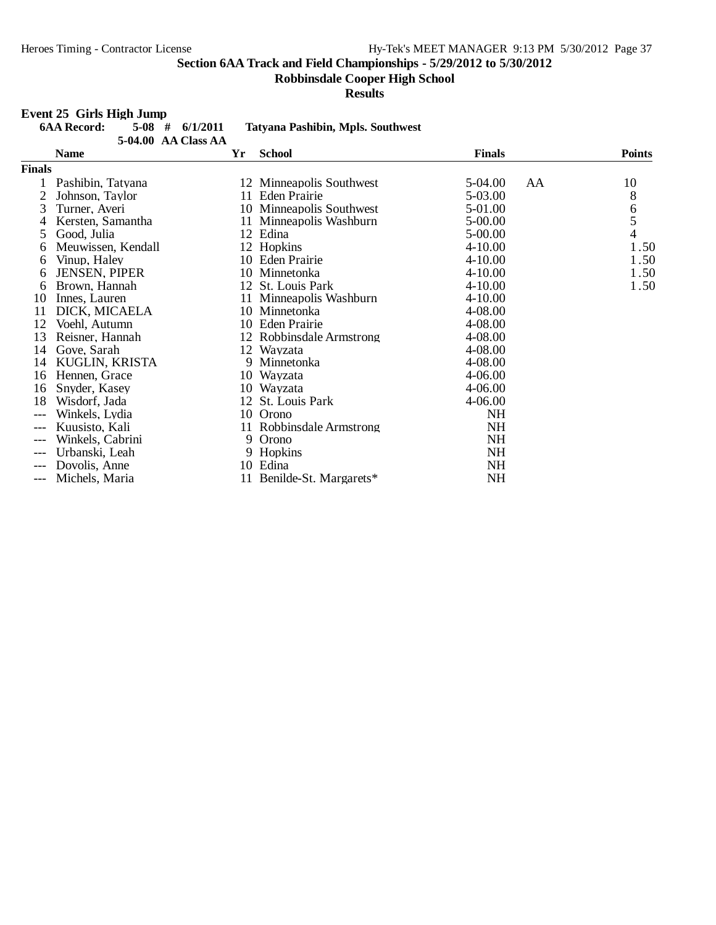**Robbinsdale Cooper High School**

**Results**

### **Event 25 Girls High Jump**

| <u>зуслуар оллу таңын осинр</u> |  |                     |                                          |
|---------------------------------|--|---------------------|------------------------------------------|
| <b>6AA Record:</b>              |  | $5-08$ # $6/1/2011$ | <b>Tatyana Pashibin, Mpls. Southwest</b> |
|                                 |  | 5-04.00 AA Class AA |                                          |

|               | <b>Name</b>          | Yr | <b>School</b>            | <b>Finals</b> |    | <b>Points</b>                         |
|---------------|----------------------|----|--------------------------|---------------|----|---------------------------------------|
| <b>Finals</b> |                      |    |                          |               |    |                                       |
|               | Pashibin, Tatyana    |    | 12 Minneapolis Southwest | 5-04.00       | AA | 10                                    |
| 2             | Johnson, Taylor      |    | 11 Eden Prairie          | 5-03.00       |    | 8                                     |
| 3             | Turner, Averi        |    | 10 Minneapolis Southwest | 5-01.00       |    |                                       |
| 4             | Kersten, Samantha    |    | 11 Minneapolis Washburn  | 5-00.00       |    | $\begin{array}{c} 6 \\ 5 \end{array}$ |
| 5             | Good, Julia          |    | 12 Edina                 | 5-00.00       |    | $\overline{4}$                        |
| 6             | Meuwissen, Kendall   |    | 12 Hopkins               | $4 - 10.00$   |    | 1.50                                  |
| 6             | Vinup, Haley         |    | 10 Eden Prairie          | $4 - 10.00$   |    | 1.50                                  |
| 6             | <b>JENSEN, PIPER</b> |    | 10 Minnetonka            | $4 - 10.00$   |    | 1.50                                  |
| 6             | Brown, Hannah        |    | 12 St. Louis Park        | $4 - 10.00$   |    | 1.50                                  |
| 10            | Innes, Lauren        |    | 11 Minneapolis Washburn  | $4 - 10.00$   |    |                                       |
| 11            | DICK, MICAELA        |    | 10 Minnetonka            | 4-08.00       |    |                                       |
| 12            | Voehl, Autumn        |    | 10 Eden Prairie          | 4-08.00       |    |                                       |
| 13            | Reisner, Hannah      |    | 12 Robbinsdale Armstrong | 4-08.00       |    |                                       |
| 14            | Gove, Sarah          |    | 12 Wayzata               | 4-08.00       |    |                                       |
| 14            | KUGLIN, KRISTA       |    | 9 Minnetonka             | 4-08.00       |    |                                       |
| 16            | Hennen, Grace        |    | 10 Wayzata               | 4-06.00       |    |                                       |
| 16            | Snyder, Kasey        |    | 10 Wayzata               | 4-06.00       |    |                                       |
| 18            | Wisdorf, Jada        |    | 12 St. Louis Park        | 4-06.00       |    |                                       |
| $---$         | Winkels, Lydia       | 10 | Orono                    | <b>NH</b>     |    |                                       |
| $---$         | Kuusisto, Kali       |    | 11 Robbinsdale Armstrong | NH            |    |                                       |
| $---$         | Winkels, Cabrini     | 9  | Orono                    | <b>NH</b>     |    |                                       |
| $---$         | Urbanski, Leah       |    | 9 Hopkins                | <b>NH</b>     |    |                                       |
| $---$         | Dovolis, Anne        |    | 10 Edina                 | <b>NH</b>     |    |                                       |
| $---$         | Michels, Maria       | 11 | Benilde-St. Margarets*   | NH            |    |                                       |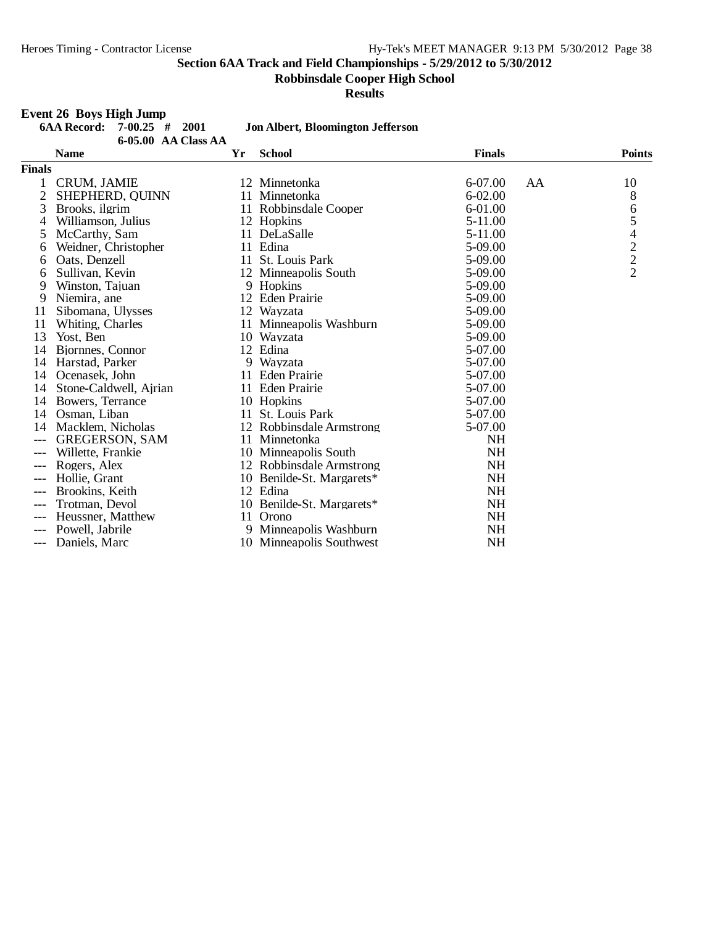**Robbinsdale Cooper High School**

**Results**

#### **Event 26 Boys High Jump**

|                | <b>6AA Record:</b><br>$7 - 00.25$<br>#<br>2001 |    | <b>Jon Albert, Bloomington Jefferson</b> |               |                          |
|----------------|------------------------------------------------|----|------------------------------------------|---------------|--------------------------|
|                | 6-05.00 AA Class AA<br><b>Name</b>             | Yr | <b>School</b>                            | <b>Finals</b> | <b>Points</b>            |
| <b>Finals</b>  |                                                |    |                                          |               |                          |
| 1              | CRUM, JAMIE                                    |    | 12 Minnetonka                            | 6-07.00<br>AA | 10                       |
| $\overline{2}$ | SHEPHERD, QUINN                                |    | 11 Minnetonka                            | $6 - 02.00$   | 8                        |
| 3              | Brooks, ilgrim                                 |    | 11 Robbinsdale Cooper                    | 6-01.00       | 6                        |
| 4              | Williamson, Julius                             |    | 12 Hopkins                               | 5-11.00       | 5                        |
| 5              | McCarthy, Sam                                  |    | 11 DeLaSalle                             | 5-11.00       | $\overline{\mathcal{L}}$ |
| 6              | Weidner, Christopher                           |    | 11 Edina                                 | 5-09.00       |                          |
| 6              | Oats, Denzell                                  |    | 11 St. Louis Park                        | 5-09.00       | $\frac{2}{2}$            |
| 6              | Sullivan, Kevin                                |    | 12 Minneapolis South                     | 5-09.00       |                          |
| 9              | Winston, Tajuan                                |    | 9 Hopkins                                | 5-09.00       |                          |
| 9              | Niemira, ane                                   |    | 12 Eden Prairie                          | 5-09.00       |                          |
| 11             | Sibomana, Ulysses                              |    | 12 Wayzata                               | 5-09.00       |                          |
| 11             | Whiting, Charles                               |    | 11 Minneapolis Washburn                  | 5-09.00       |                          |
| 13             | Yost, Ben                                      |    | 10 Wayzata                               | 5-09.00       |                          |
| 14             | Bjornnes, Connor                               |    | 12 Edina                                 | 5-07.00       |                          |
| 14             | Harstad, Parker                                |    | 9 Wayzata                                | 5-07.00       |                          |
| 14             | Ocenasek, John                                 |    | 11 Eden Prairie                          | 5-07.00       |                          |
| 14             | Stone-Caldwell, Airian                         |    | 11 Eden Prairie                          | 5-07.00       |                          |
| 14             | Bowers, Terrance                               |    | 10 Hopkins                               | 5-07.00       |                          |
| 14             | Osman, Liban                                   |    | 11 St. Louis Park                        | 5-07.00       |                          |
| 14             | Macklem, Nicholas                              |    | 12 Robbinsdale Armstrong                 | 5-07.00       |                          |
| $---$          | <b>GREGERSON, SAM</b>                          |    | 11 Minnetonka                            | NH            |                          |
|                | Willette, Frankie                              |    | 10 Minneapolis South                     | <b>NH</b>     |                          |
|                | Rogers, Alex                                   |    | 12 Robbinsdale Armstrong                 | <b>NH</b>     |                          |
| $---$          | Hollie. Grant                                  |    | 10 Benilde-St. Margarets*                | <b>NH</b>     |                          |
|                | Brookins, Keith                                |    | 12 Edina                                 | NH            |                          |
|                | Trotman, Devol                                 |    | 10 Benilde-St. Margarets*                | <b>NH</b>     |                          |
|                | Heussner, Matthew                              | 11 | Orono                                    | <b>NH</b>     |                          |
| $---$          | Powell, Jabrile                                |    | 9 Minneapolis Washburn                   | <b>NH</b>     |                          |
| $---$          | Daniels, Marc                                  |    | 10 Minneapolis Southwest                 | <b>NH</b>     |                          |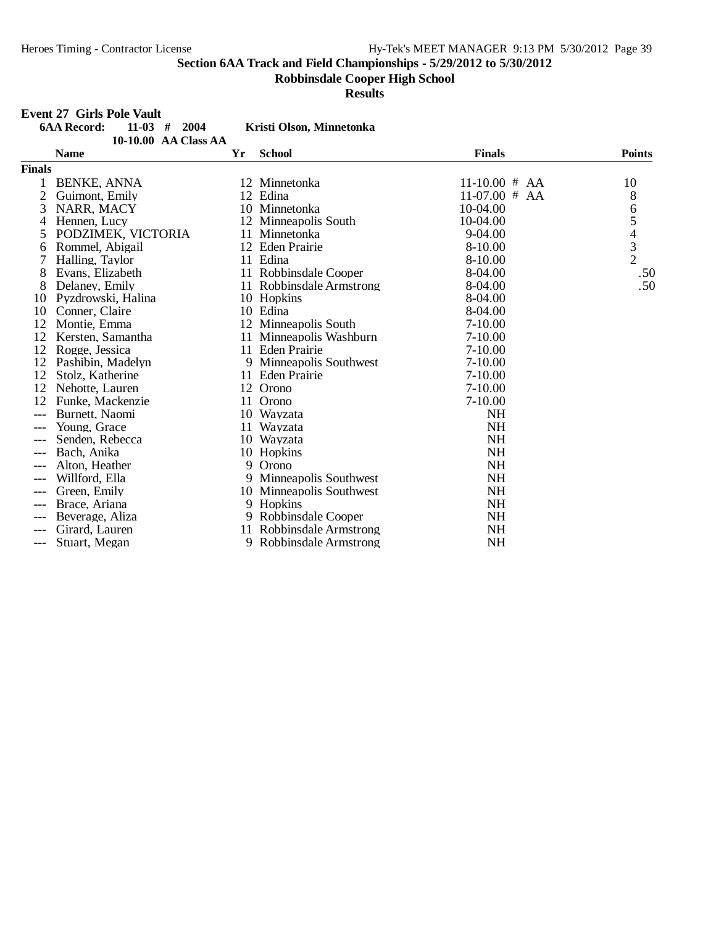**Robbinsdale Cooper High School**

**Results**

|               | <b>Event 27 Girls Pole Vault</b>     |    |                          |                 |               |
|---------------|--------------------------------------|----|--------------------------|-----------------|---------------|
|               | <b>6AA Record:</b><br>$11-03$ # 2004 |    | Kristi Olson, Minnetonka |                 |               |
|               | 10-10.00 AA Class AA                 |    |                          |                 |               |
|               | <b>Name</b>                          | Yr | <b>School</b>            | <b>Finals</b>   | <b>Points</b> |
| <b>Finals</b> |                                      |    |                          |                 |               |
|               | <b>BENKE, ANNA</b>                   |    | 12 Minnetonka            | $11-10.00$ # AA | 10            |
|               | Guimont, Emily                       |    | 12 Edina                 | $11-07.00$ # AA | 8             |
| 3             | NARR, MACY                           |    | 10 Minnetonka            | $10-04.00$      |               |
| 4             | Hennen, Lucy                         |    | 12 Minneapolis South     | 10-04.00        |               |
| 5             | PODZIMEK, VICTORIA                   |    | 11 Minnetonka            | 9-04.00         | 65432         |
| 6             | Rommel, Abigail                      |    | 12 Eden Prairie          | 8-10.00         |               |
|               | Halling, Taylor                      |    | 11 Edina                 | 8-10.00         |               |
| 8             | Evans, Elizabeth                     |    | 11 Robbinsdale Cooper    | 8-04.00         | .50           |
| 8             | Delaney, Emily                       |    | 11 Robbinsdale Armstrong | 8-04.00         | .50           |
| 10            | Pyzdrowski, Halina                   |    | 10 Hopkins               | 8-04.00         |               |
| 10            | Conner, Claire                       |    | 10 Edina                 | 8-04.00         |               |
| 12            | Montie, Emma                         |    | 12 Minneapolis South     | $7 - 10.00$     |               |
| 12            | Kersten, Samantha                    |    | 11 Minneapolis Washburn  | $7 - 10.00$     |               |
| 12            | Rogge, Jessica                       |    | 11 Eden Prairie          | $7 - 10.00$     |               |
| 12            | Pashibin, Madelyn                    |    | 9 Minneapolis Southwest  | $7 - 10.00$     |               |
| 12            | Stolz, Katherine                     |    | 11 Eden Prairie          | $7 - 10.00$     |               |
| 12            | Nehotte, Lauren                      |    | 12 Orono                 | $7 - 10.00$     |               |
| 12            | Funke, Mackenzie                     |    | 11 Orono                 | $7 - 10.00$     |               |
| ---           | Burnett, Naomi                       |    | 10 Wayzata               | <b>NH</b>       |               |
| $---$         | Young, Grace                         |    | 11 Wayzata               | <b>NH</b>       |               |
|               | Senden, Rebecca                      |    | 10 Wayzata               | <b>NH</b>       |               |
| $---$         | Bach, Anika                          |    | 10 Hopkins               | <b>NH</b>       |               |
| $---$         | Alton, Heather                       |    | 9 Orono                  | <b>NH</b>       |               |
|               | Willford, Ella                       |    | 9 Minneapolis Southwest  | <b>NH</b>       |               |
| $---$         | Green, Emily                         |    | 10 Minneapolis Southwest | <b>NH</b>       |               |
| $---$         | Brace, Ariana                        |    | 9 Hopkins                | <b>NH</b>       |               |
| ---           | Beverage, Aliza                      |    | 9 Robbinsdale Cooper     | <b>NH</b>       |               |
| ---           | Girard, Lauren                       |    | 11 Robbinsdale Armstrong | <b>NH</b>       |               |
| $---$         | Stuart, Megan                        |    | 9 Robbinsdale Armstrong  | <b>NH</b>       |               |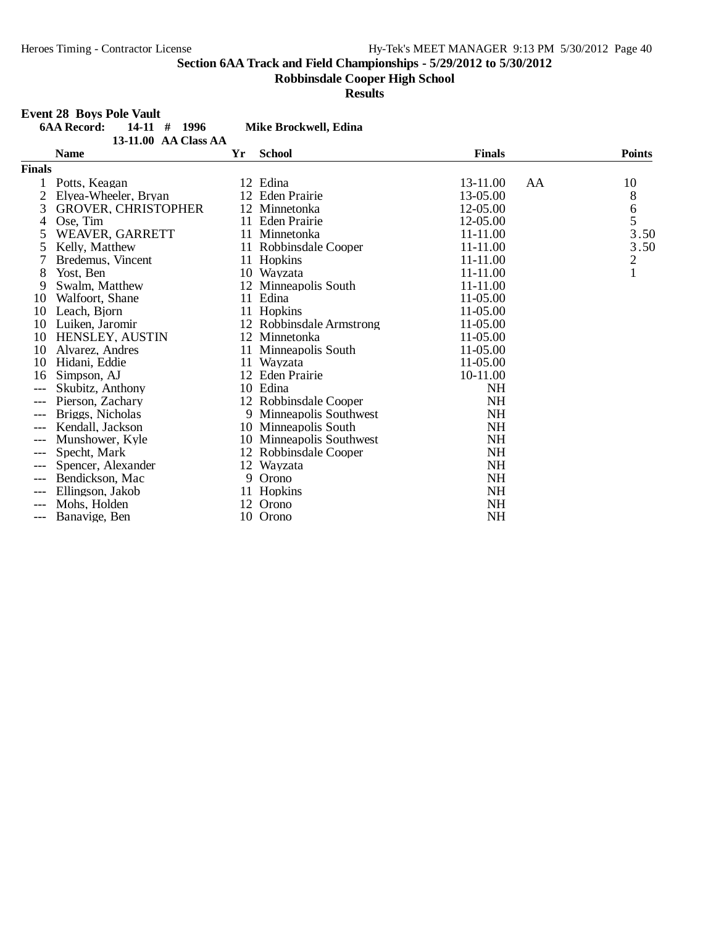**Robbinsdale Cooper High School**

**Results**

|               | <b>Event 28 Boys Pole Vault</b>      |    |                          |                |                                       |
|---------------|--------------------------------------|----|--------------------------|----------------|---------------------------------------|
|               | $14-11$ # 1996<br><b>6AA Record:</b> |    | Mike Brockwell, Edina    |                |                                       |
|               | 13-11.00 AA Class AA                 |    |                          |                |                                       |
|               | <b>Name</b>                          | Yr | <b>School</b>            | <b>Finals</b>  | <b>Points</b>                         |
| <b>Finals</b> |                                      |    |                          |                |                                       |
|               | Potts, Keagan                        |    | 12 Edina                 | 13-11.00<br>AA | 10                                    |
|               | Elyea-Wheeler, Bryan                 |    | 12 Eden Prairie          | 13-05.00       | 8                                     |
| 3             | <b>GROVER, CHRISTOPHER</b>           |    | 12 Minnetonka            | 12-05.00       | $\begin{array}{c} 6 \\ 5 \end{array}$ |
| 4             | Ose, Tim                             |    | 11 Eden Prairie          | 12-05.00       |                                       |
| 5             | WEAVER, GARRETT                      |    | 11 Minnetonka            | 11-11.00       | 3.50                                  |
| 5             | Kelly, Matthew                       |    | 11 Robbinsdale Cooper    | 11-11.00       | 3.50                                  |
| 7             | Bredemus, Vincent                    |    | 11 Hopkins               | 11-11.00       | $\overline{c}$                        |
| 8             | Yost, Ben                            |    | 10 Wayzata               | 11-11.00       | $\mathbf{1}$                          |
| 9             | Swalm, Matthew                       |    | 12 Minneapolis South     | 11-11.00       |                                       |
| 10            | Walfoort, Shane                      |    | 11 Edina                 | 11-05.00       |                                       |
| 10            | Leach, Biorn                         |    | 11 Hopkins               | 11-05.00       |                                       |
| 10            | Luiken, Jaromir                      |    | 12 Robbinsdale Armstrong | 11-05.00       |                                       |
| 10            | <b>HENSLEY, AUSTIN</b>               |    | 12 Minnetonka            | 11-05.00       |                                       |
| 10            | Alvarez, Andres                      |    | 11 Minneapolis South     | 11-05.00       |                                       |
| 10            | Hidani, Eddie                        |    | 11 Wayzata               | 11-05.00       |                                       |
| 16            | Simpson, AJ                          |    | 12 Eden Prairie          | 10-11.00       |                                       |
| $---$         | Skubitz, Anthony                     |    | 10 Edina                 | <b>NH</b>      |                                       |
| $---$         | Pierson, Zachary                     |    | 12 Robbinsdale Cooper    | <b>NH</b>      |                                       |
|               | Briggs, Nicholas                     |    | 9 Minneapolis Southwest  | <b>NH</b>      |                                       |
| ---           | Kendall, Jackson                     |    | 10 Minneapolis South     | <b>NH</b>      |                                       |
| $---$         | Munshower, Kyle                      |    | 10 Minneapolis Southwest | <b>NH</b>      |                                       |
| $---$         | Specht, Mark                         |    | 12 Robbinsdale Cooper    | <b>NH</b>      |                                       |
|               | Spencer, Alexander                   |    | 12 Wayzata               | <b>NH</b>      |                                       |
|               | Bendickson, Mac                      | 9  | Orono                    | <b>NH</b>      |                                       |
| $---$         | Ellingson, Jakob                     |    | 11 Hopkins               | <b>NH</b>      |                                       |
| ---           | Mohs, Holden                         |    | 12 Orono                 | <b>NH</b>      |                                       |
| $---$         | Banavige, Ben                        |    | 10 Orono                 | <b>NH</b>      |                                       |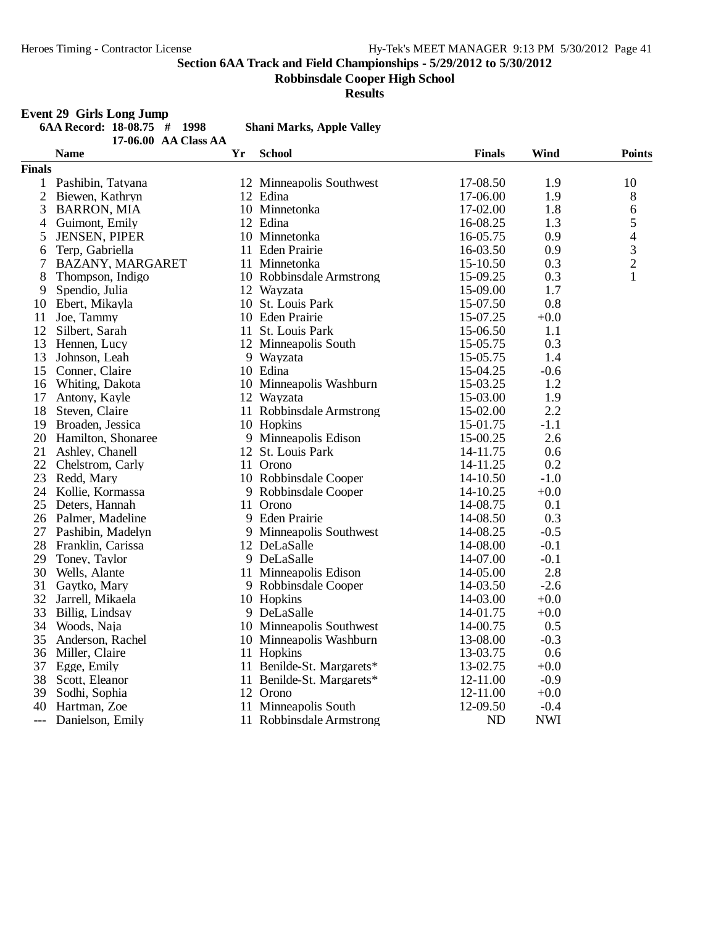**Robbinsdale Cooper High School**

**Results**

## **Event 29 Girls Long Jump**

| 6AA Record: $18-08.75$ # 1998 |  |                      | <b>Shani Marks, Apple Valley</b> |
|-------------------------------|--|----------------------|----------------------------------|
|                               |  | 17-06.00 AA Class AA |                                  |

|                | <b>Name</b>          | Yr | <b>School</b>             | <b>Finals</b> | <b>Wind</b> | <b>Points</b>  |
|----------------|----------------------|----|---------------------------|---------------|-------------|----------------|
| <b>Finals</b>  |                      |    |                           |               |             |                |
| $\mathbf{1}$   | Pashibin, Tatyana    |    | 12 Minneapolis Southwest  | 17-08.50      | 1.9         | 10             |
| $\mathfrak{2}$ | Biewen, Kathryn      |    | 12 Edina                  | 17-06.00      | 1.9         | 8              |
| 3              | <b>BARRON, MIA</b>   |    | 10 Minnetonka             | 17-02.00      | 1.8         | $\sqrt{6}$     |
| 4              | Guimont, Emily       |    | 12 Edina                  | 16-08.25      | 1.3         | 5              |
| 5              | <b>JENSEN, PIPER</b> |    | 10 Minnetonka             | 16-05.75      | 0.9         | $\overline{4}$ |
| 6              | Terp, Gabriella      |    | 11 Eden Prairie           | 16-03.50      | 0.9         | $\frac{3}{2}$  |
| 7              | BAZANY, MARGARET     |    | 11 Minnetonka             | 15-10.50      | 0.3         |                |
| 8              | Thompson, Indigo     |    | 10 Robbinsdale Armstrong  | 15-09.25      | 0.3         | 1              |
| 9              | Spendio, Julia       |    | 12 Wayzata                | 15-09.00      | 1.7         |                |
| 10             | Ebert, Mikayla       |    | 10 St. Louis Park         | 15-07.50      | 0.8         |                |
| 11             | Joe, Tammy           |    | 10 Eden Prairie           | 15-07.25      | $+0.0$      |                |
| 12             | Silbert, Sarah       |    | 11 St. Louis Park         | 15-06.50      | 1.1         |                |
| 13             | Hennen, Lucy         |    | 12 Minneapolis South      | 15-05.75      | 0.3         |                |
| 13             | Johnson, Leah        |    | 9 Wayzata                 | 15-05.75      | 1.4         |                |
| 15             | Conner, Claire       |    | 10 Edina                  | 15-04.25      | $-0.6$      |                |
| 16             | Whiting, Dakota      |    | 10 Minneapolis Washburn   | 15-03.25      | 1.2         |                |
| 17             | Antony, Kayle        |    | 12 Wayzata                | 15-03.00      | 1.9         |                |
| 18             | Steven, Claire       |    | 11 Robbinsdale Armstrong  | 15-02.00      | 2.2         |                |
| 19             | Broaden, Jessica     |    | 10 Hopkins                | 15-01.75      | $-1.1$      |                |
| 20             | Hamilton, Shonaree   |    | 9 Minneapolis Edison      | 15-00.25      | 2.6         |                |
| 21             | Ashley, Chanell      |    | 12 St. Louis Park         | 14-11.75      | 0.6         |                |
| 22             | Chelstrom, Carly     |    | 11 Orono                  | 14-11.25      | 0.2         |                |
| 23             | Redd, Mary           |    | 10 Robbinsdale Cooper     | 14-10.50      | $-1.0$      |                |
|                | 24 Kollie, Kormassa  |    | 9 Robbinsdale Cooper      | 14-10.25      | $+0.0$      |                |
| 25             | Deters, Hannah       |    | 11 Orono                  | 14-08.75      | 0.1         |                |
| 26             | Palmer, Madeline     |    | 9 Eden Prairie            | 14-08.50      | 0.3         |                |
| 27             | Pashibin, Madelyn    |    | 9 Minneapolis Southwest   | 14-08.25      | $-0.5$      |                |
| 28             | Franklin, Carissa    |    | 12 DeLaSalle              | 14-08.00      | $-0.1$      |                |
| 29             | Toney, Taylor        |    | 9 DeLaSalle               | 14-07.00      | $-0.1$      |                |
| 30             | Wells, Alante        |    | 11 Minneapolis Edison     | 14-05.00      | 2.8         |                |
| 31             | Gaytko, Mary         |    | 9 Robbinsdale Cooper      | 14-03.50      | $-2.6$      |                |
| 32             | Jarrell, Mikaela     |    | 10 Hopkins                | 14-03.00      | $+0.0$      |                |
| 33             | Billig, Lindsay      |    | 9 DeLaSalle               | 14-01.75      | $+0.0$      |                |
| 34             | Woods, Naja          |    | 10 Minneapolis Southwest  | 14-00.75      | 0.5         |                |
| 35             | Anderson, Rachel     |    | 10 Minneapolis Washburn   | 13-08.00      | $-0.3$      |                |
| 36             | Miller, Claire       |    | 11 Hopkins                | 13-03.75      | 0.6         |                |
| 37             | Egge, Emily          |    | 11 Benilde-St. Margarets* | 13-02.75      | $+0.0$      |                |
| 38             | Scott, Eleanor       |    | 11 Benilde-St. Margarets* | 12-11.00      | $-0.9$      |                |
| 39             | Sodhi, Sophia        |    | 12 Orono                  | 12-11.00      | $+0.0$      |                |
| 40             | Hartman, Zoe         |    | 11 Minneapolis South      | 12-09.50      | $-0.4$      |                |
| ---            | Danielson, Emily     |    | 11 Robbinsdale Armstrong  | <b>ND</b>     | <b>NWI</b>  |                |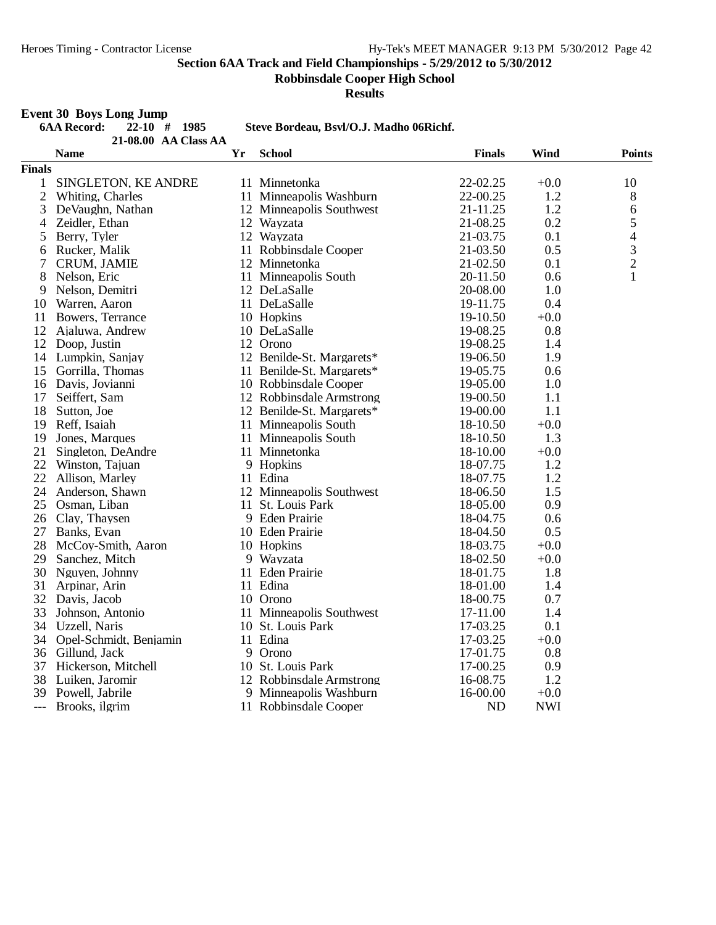**Event 30 Boys Long Jump**

**Section 6AA Track and Field Championships - 5/29/2012 to 5/30/2012**

**Robbinsdale Cooper High School**

**Results**

## **6AA Record: 22-10 # 1985 Steve Bordeau, Bsvl/O.J. Madho 06Richf. AA Class AA21-08.00 Name Yr School Finals Wind Points Finals** 1 SINGLETON, KE ANDRE 11 Minnetonka 22-02.25 +0.0 10 2 Whiting, Charles 11 Minneapolis Washburn 22-00.25 1.2 8<br>3 DeVaughn, Nathan 12 Minneapolis Southwest 21-11.25 1.2 6 12 Minneapolis Southwest 21-11.25 1.2 6<br>12 Wayzata 21-08.25 0.2 5 4 Zeidler, Ethan 12 Wayzata 21-08.25 0.2 5<br>5 Berry. Tyler 12 Wayzata 21-03.75 0.1 4 5 Berry, Tyler 12 Wayzata 21-03.75 0.1 4<br>6 Rucker, Malik 11 Robbinsdale Cooper 21-03.50 0.5 3 6 Rucker, Malik 11 Robbinsdale Cooper 21-03.50 0.5 3<br>
7 CRUM, JAMIE 12 Minnetonka 21-02.50 0.1 2 12 Minnetonka 21-02.50 0.1

| 8  | Nelson, Eric       | 11 Minneapolis South      | 20-11.50 | 0.6    | 1 |
|----|--------------------|---------------------------|----------|--------|---|
| 9  | Nelson, Demitri    | 12 DeLaSalle              | 20-08.00 | 1.0    |   |
| 10 | Warren, Aaron      | 11 DeLaSalle              | 19-11.75 | 0.4    |   |
| 11 | Bowers, Terrance   | 10 Hopkins                | 19-10.50 | $+0.0$ |   |
| 12 | Ajaluwa, Andrew    | 10 DeLaSalle              | 19-08.25 | 0.8    |   |
| 12 | Doop, Justin       | 12 Orono                  | 19-08.25 | 1.4    |   |
|    | 14 Lumpkin, Sanjay | 12 Benilde-St. Margarets* | 19-06.50 | 1.9    |   |
| 15 | Gorrilla, Thomas   | 11 Benilde-St. Margarets* | 19-05.75 | 0.6    |   |
| 16 | Davis, Jovianni    | 10 Robbinsdale Cooper     | 19-05.00 | 1.0    |   |
| 17 | Seiffert, Sam      | 12 Robbinsdale Armstrong  | 19-00.50 | 1.1    |   |
| 18 | Sutton, Joe        | 12 Benilde-St. Margarets* | 19-00.00 | 1.1    |   |
| 19 | Reff, Isaiah       | 11 Minneapolis South      | 18-10.50 | $+0.0$ |   |
| 19 | Jones, Marques     | 11 Minneapolis South      | 18-10.50 | 1.3    |   |
| 21 | Singleton, DeAndre | 11 Minnetonka             | 18-10.00 | $+0.0$ |   |
| 22 | Winston, Tajuan    | 9 Hopkins                 | 18-07.75 | 1.2    |   |
| 22 | Allison, Marley    | 11 Edina                  | 18-07.75 | 1.2    |   |
| 24 | Anderson, Shawn    | 12 Minneapolis Southwest  | 18-06.50 | 1.5    |   |
| 25 | Osman, Liban       | 11 St. Louis Park         | 18-05.00 | 0.9    |   |
| 26 | Clay, Thaysen      | 9 Eden Prairie            | 18-04.75 | 0.6    |   |
| 27 | Banks, Evan        | 10 Eden Prairie           | 18-04.50 | 0.5    |   |
| 28 | McCoy-Smith, Aaron | 10 Hopkins                | 18-03.75 | $+0.0$ |   |
| 29 | Sanchez, Mitch     | 9 Wayzata                 | 18-02.50 | $+0.0$ |   |
|    | 30 Nguyen, Johnny  | 11 Eden Prairie           | 18-01.75 | 1.8    |   |
|    | 31 Arpinar, Arin   | 11 Edina                  | 18-01.00 | 1.4    |   |

11 Minneapolis Southwest 17-11.00 1.4

11 Robbinsdale Cooper ND

- 
- 32 Davis, Jacob 10 Orono 18-00.75 0.7<br>33 Johnson, Antonio 11 Minneapolis Southwest 17-11.00 1.4
- 34 Uzzell, Naris 10 St. Louis Park 17-03.25 0.1
- 34 Opel-Schmidt, Benjamin 11 Edina 17-03.25 +0.0
- 
- 36 Gillund, Jack 9 Orono 17-01.75 0.8<br>37 Hickerson, Mitchell 10 St. Louis Park 17-00.25 0.9
- 37 Hickerson, Mitchell 10 St. Louis Park 17-00.25 0.9<br>38 Luiken, Jaromir 12 Robbinsdale Armstrong 16-08.75 1.2
- 38 Luiken, Jaromir 12 Robbinsdale Armstrong 16-08.75 1.2
- 
- 39 Powell, Jabrile 9 Minneapolis Washburn 16-00.00 +0.0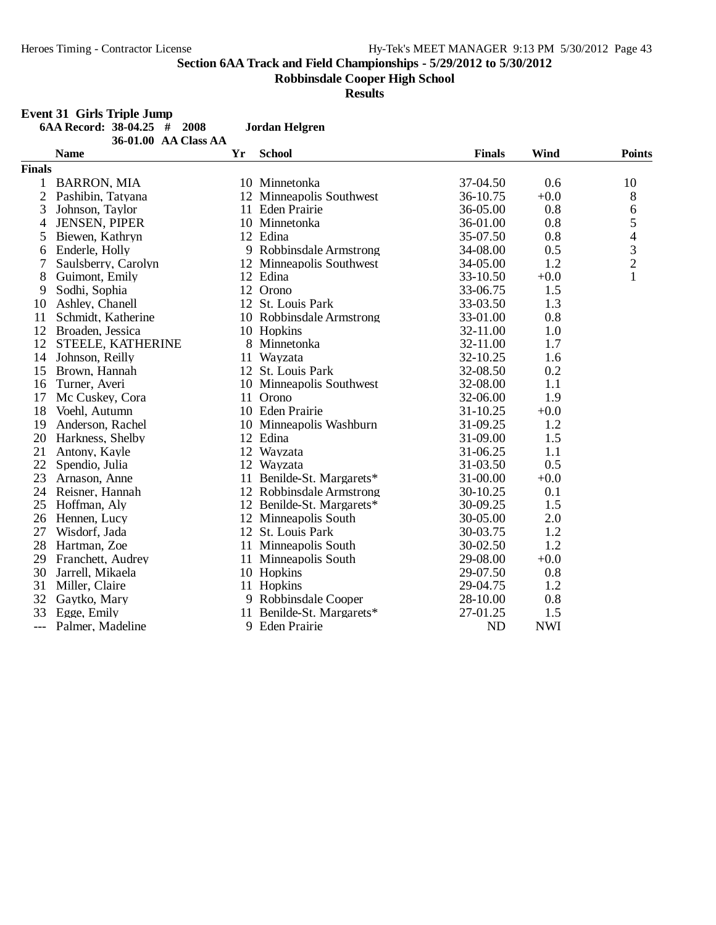**Event 31 Girls Triple Jump**

**Section 6AA Track and Field Championships - 5/29/2012 to 5/30/2012**

**Robbinsdale Cooper High School**

**Results**

|                | 6AA Record: 38-04.25 # 2008         |    | <b>Jordan Helgren</b>     |               |            |                |
|----------------|-------------------------------------|----|---------------------------|---------------|------------|----------------|
|                | 36-01.00 AA Class AA<br><b>Name</b> | Yr | <b>School</b>             | <b>Finals</b> | Wind       | <b>Points</b>  |
| <b>Finals</b>  |                                     |    |                           |               |            |                |
| 1              | <b>BARRON, MIA</b>                  |    | 10 Minnetonka             | 37-04.50      | 0.6        | 10             |
| $\overline{2}$ | Pashibin, Tatyana                   |    | 12 Minneapolis Southwest  | 36-10.75      | $+0.0$     | $8\,$          |
| 3              | Johnson, Taylor                     |    | 11 Eden Prairie           | 36-05.00      | 0.8        | 6              |
| 4              | <b>JENSEN, PIPER</b>                |    | 10 Minnetonka             | 36-01.00      | 0.8        | 5              |
| 5              | Biewen, Kathryn                     |    | 12 Edina                  | 35-07.50      | 0.8        | 4              |
| 6              | Enderle, Holly                      |    | 9 Robbinsdale Armstrong   | 34-08.00      | 0.5        | 3              |
| 7              | Saulsberry, Carolyn                 |    | 12 Minneapolis Southwest  | 34-05.00      | 1.2        | $\overline{c}$ |
| 8              | Guimont, Emily                      |    | 12 Edina                  | 33-10.50      | $+0.0$     | $\mathbf{1}$   |
| 9              | Sodhi, Sophia                       |    | 12 Orono                  | 33-06.75      | 1.5        |                |
| 10             | Ashley, Chanell                     |    | 12 St. Louis Park         | 33-03.50      | 1.3        |                |
| 11             | Schmidt, Katherine                  |    | 10 Robbinsdale Armstrong  | 33-01.00      | 0.8        |                |
| 12             | Broaden, Jessica                    |    | 10 Hopkins                | 32-11.00      | 1.0        |                |
| 12             | STEELE, KATHERINE                   |    | 8 Minnetonka              | 32-11.00      | 1.7        |                |
| 14             | Johnson, Reilly                     |    | 11 Wayzata                | 32-10.25      | 1.6        |                |
| 15             | Brown, Hannah                       |    | 12 St. Louis Park         | 32-08.50      | 0.2        |                |
| 16             | Turner, Averi                       |    | 10 Minneapolis Southwest  | 32-08.00      | 1.1        |                |
| 17             | Mc Cuskey, Cora                     |    | 11 Orono                  | 32-06.00      | 1.9        |                |
| 18             | Voehl, Autumn                       |    | 10 Eden Prairie           | 31-10.25      | $+0.0$     |                |
| 19             | Anderson, Rachel                    |    | 10 Minneapolis Washburn   | 31-09.25      | 1.2        |                |
| 20             | Harkness, Shelby                    |    | 12 Edina                  | 31-09.00      | 1.5        |                |
| 21             | Antony, Kayle                       |    | 12 Wayzata                | 31-06.25      | 1.1        |                |
| 22             | Spendio, Julia                      |    | 12 Wayzata                | 31-03.50      | 0.5        |                |
| 23             | Arnason, Anne                       |    | 11 Benilde-St. Margarets* | 31-00.00      | $+0.0$     |                |
| 24             | Reisner, Hannah                     |    | 12 Robbinsdale Armstrong  | 30-10.25      | 0.1        |                |
| 25             | Hoffman, Aly                        |    | 12 Benilde-St. Margarets* | 30-09.25      | 1.5        |                |
| 26             | Hennen, Lucy                        |    | 12 Minneapolis South      | 30-05.00      | 2.0        |                |
| 27             | Wisdorf, Jada                       |    | 12 St. Louis Park         | 30-03.75      | 1.2        |                |
| 28             | Hartman, Zoe                        |    | 11 Minneapolis South      | 30-02.50      | 1.2        |                |
| 29             | Franchett, Audrey                   |    | 11 Minneapolis South      | 29-08.00      | $+0.0$     |                |
| 30             | Jarrell, Mikaela                    |    | 10 Hopkins                | 29-07.50      | 0.8        |                |
| 31             | Miller, Claire                      |    | 11 Hopkins                | 29-04.75      | 1.2        |                |
| 32             | Gaytko, Mary                        |    | 9 Robbinsdale Cooper      | 28-10.00      | 0.8        |                |
| 33             | Egge, Emily                         |    | 11 Benilde-St. Margarets* | 27-01.25      | 1.5        |                |
| $---$          | Palmer, Madeline                    |    | 9 Eden Prairie            | <b>ND</b>     | <b>NWI</b> |                |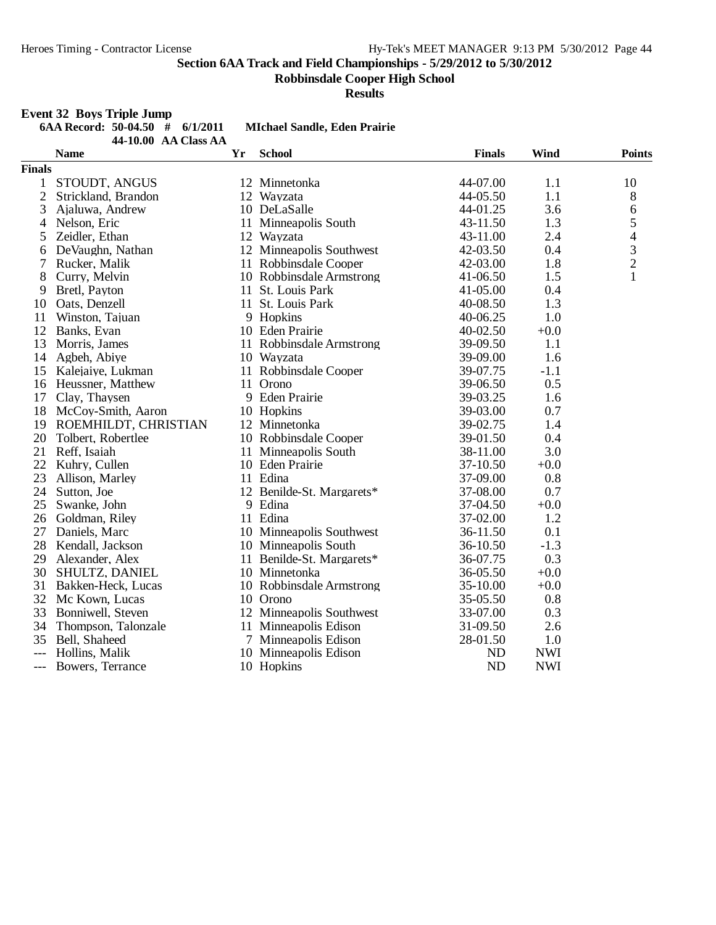**Robbinsdale Cooper High School**

**Results**

## **Event 32 Boys Triple Jump**

| 6AA Record: 50-04.50 $\#$ 6/1/2011 |  |                                               |
|------------------------------------|--|-----------------------------------------------|
|                                    |  | $44.1000 \Delta \Delta$ Class $\Delta \Delta$ |

**6AA Record: 50-04.50 # 6/1/2011 MIchael Sandle, Eden Prairie**

|                | TU.UU - AA UIASS AA<br><b>Name</b> | Yr | <b>School</b>             | <b>Finals</b> | <b>Wind</b> | <b>Points</b>            |
|----------------|------------------------------------|----|---------------------------|---------------|-------------|--------------------------|
| <b>Finals</b>  |                                    |    |                           |               |             |                          |
| $\mathbf{1}$   | STOUDT, ANGUS                      |    | 12 Minnetonka             | 44-07.00      | 1.1         | 10                       |
| $\overline{2}$ | Strickland, Brandon                |    | 12 Wayzata                | 44-05.50      | 1.1         | 8                        |
| 3              | Ajaluwa, Andrew                    |    | 10 DeLaSalle              | 44-01.25      | 3.6         | $\sqrt{6}$               |
| 4              | Nelson, Eric                       |    | 11 Minneapolis South      | 43-11.50      | 1.3         | 5                        |
| 5              | Zeidler, Ethan                     |    | 12 Wayzata                | 43-11.00      | 2.4         | $\overline{\mathcal{A}}$ |
| 6              | DeVaughn, Nathan                   |    | 12 Minneapolis Southwest  | 42-03.50      | 0.4         | $\mathfrak{Z}$           |
| 7              | Rucker, Malik                      |    | 11 Robbinsdale Cooper     | 42-03.00      | 1.8         | $\overline{c}$           |
| 8              | Curry, Melvin                      |    | 10 Robbinsdale Armstrong  | 41-06.50      | 1.5         | $\mathbf{1}$             |
| 9              | Bretl, Payton                      |    | 11 St. Louis Park         | 41-05.00      | 0.4         |                          |
| 10             | Oats, Denzell                      |    | 11 St. Louis Park         | 40-08.50      | 1.3         |                          |
| 11             | Winston, Tajuan                    |    | 9 Hopkins                 | 40-06.25      | 1.0         |                          |
| 12             | Banks, Evan                        |    | 10 Eden Prairie           | 40-02.50      | $+0.0$      |                          |
| 13             | Morris, James                      |    | 11 Robbinsdale Armstrong  | 39-09.50      | 1.1         |                          |
| 14             | Agbeh, Abiye                       |    | 10 Wayzata                | 39-09.00      | 1.6         |                          |
| 15             | Kalejaiye, Lukman                  |    | 11 Robbinsdale Cooper     | 39-07.75      | $-1.1$      |                          |
| 16             | Heussner, Matthew                  |    | 11 Orono                  | 39-06.50      | 0.5         |                          |
| 17             | Clay, Thaysen                      |    | 9 Eden Prairie            | 39-03.25      | 1.6         |                          |
| 18             | McCoy-Smith, Aaron                 |    | 10 Hopkins                | 39-03.00      | 0.7         |                          |
| 19             | ROEMHILDT, CHRISTIAN               |    | 12 Minnetonka             | 39-02.75      | 1.4         |                          |
| 20             | Tolbert, Robertlee                 |    | 10 Robbinsdale Cooper     | 39-01.50      | 0.4         |                          |
| 21             | Reff, Isaiah                       |    | 11 Minneapolis South      | 38-11.00      | 3.0         |                          |
| 22             | Kuhry, Cullen                      |    | 10 Eden Prairie           | 37-10.50      | $+0.0$      |                          |
| 23             | Allison, Marley                    |    | 11 Edina                  | 37-09.00      | 0.8         |                          |
| 24             | Sutton, Joe                        |    | 12 Benilde-St. Margarets* | 37-08.00      | 0.7         |                          |
| 25             | Swanke, John                       |    | 9 Edina                   | 37-04.50      | $+0.0$      |                          |
| 26             | Goldman, Riley                     |    | 11 Edina                  | 37-02.00      | 1.2         |                          |
| 27             | Daniels, Marc                      |    | 10 Minneapolis Southwest  | 36-11.50      | 0.1         |                          |
| 28             | Kendall, Jackson                   |    | 10 Minneapolis South      | 36-10.50      | $-1.3$      |                          |
| 29             | Alexander, Alex                    |    | 11 Benilde-St. Margarets* | 36-07.75      | 0.3         |                          |
| 30             | SHULTZ, DANIEL                     |    | 10 Minnetonka             | 36-05.50      | $+0.0$      |                          |
| 31             | Bakken-Heck, Lucas                 |    | 10 Robbinsdale Armstrong  | 35-10.00      | $+0.0$      |                          |
|                | 32 Mc Kown, Lucas                  |    | 10 Orono                  | 35-05.50      | 0.8         |                          |
| 33             | Bonniwell, Steven                  |    | 12 Minneapolis Southwest  | 33-07.00      | 0.3         |                          |
| 34             | Thompson, Talonzale                |    | 11 Minneapolis Edison     | 31-09.50      | 2.6         |                          |
| 35             | Bell, Shaheed                      |    | 7 Minneapolis Edison      | 28-01.50      | 1.0         |                          |
|                | Hollins, Malik                     |    | 10 Minneapolis Edison     | ND            | <b>NWI</b>  |                          |
| $---$          | Bowers, Terrance                   |    | 10 Hopkins                | <b>ND</b>     | <b>NWI</b>  |                          |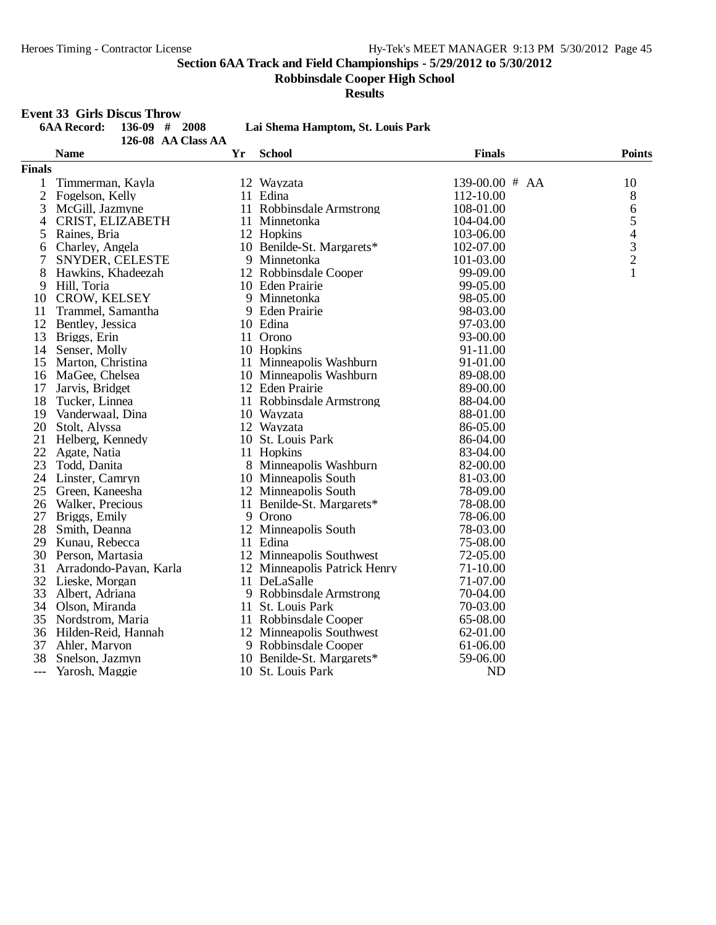**Robbinsdale Cooper High School**

**Results**

## **Event 33 Girls Discus Throw**

|                | <b>6AA Record:</b><br>136-09<br># 2008<br>126-08 AA Class AA |    | Lai Shema Hamptom, St. Louis Park |                |                         |
|----------------|--------------------------------------------------------------|----|-----------------------------------|----------------|-------------------------|
|                | <b>Name</b>                                                  | Yr | <b>School</b>                     | <b>Finals</b>  | <b>Points</b>           |
| <b>Finals</b>  |                                                              |    |                                   |                |                         |
| 1              | Timmerman, Kayla                                             |    | 12 Wayzata                        | 139-00.00 # AA | 10                      |
| $\overline{c}$ | Fogelson, Kelly                                              |    | 11 Edina                          | 112-10.00      | 8                       |
| 3              | McGill, Jazmyne                                              |    | 11 Robbinsdale Armstrong          | 108-01.00      | 6                       |
| 4              | CRIST, ELIZABETH                                             |    | 11 Minnetonka                     | 104-04.00      | 5                       |
| 5              | Raines, Bria                                                 |    | 12 Hopkins                        | 103-06.00      | 4                       |
| 6              | Charley, Angela                                              |    | 10 Benilde-St. Margarets*         | 102-07.00      | $\overline{\mathbf{3}}$ |
| 7              | SNYDER, CELESTE                                              | 9  | Minnetonka                        | 101-03.00      | $\overline{c}$          |
| 8              | Hawkins, Khadeezah                                           |    | 12 Robbinsdale Cooper             | 99-09.00       | 1                       |
| 9              | Hill, Toria                                                  |    | 10 Eden Prairie                   | 99-05.00       |                         |
|                | 10 CROW, KELSEY                                              |    | 9 Minnetonka                      | 98-05.00       |                         |
| 11             | Trammel, Samantha                                            |    | 9 Eden Prairie                    | 98-03.00       |                         |
| 12             | Bentley, Jessica                                             |    | 10 Edina                          | 97-03.00       |                         |
| 13             | Briggs, Erin                                                 |    | 11 Orono                          | 93-00.00       |                         |
| 14             | Senser, Molly                                                |    | 10 Hopkins                        | 91-11.00       |                         |
| 15             | Marton, Christina                                            |    | 11 Minneapolis Washburn           | 91-01.00       |                         |
|                | 16 MaGee, Chelsea                                            |    | 10 Minneapolis Washburn           | 89-08.00       |                         |
| 17             | Jarvis, Bridget                                              |    | 12 Eden Prairie                   | 89-00.00       |                         |
| 18             | Tucker, Linnea                                               |    | 11 Robbinsdale Armstrong          | 88-04.00       |                         |
| 19             | Vanderwaal, Dina                                             |    | 10 Wayzata                        | 88-01.00       |                         |
| 20             | Stolt, Alyssa                                                |    | 12 Wayzata                        | 86-05.00       |                         |
| 21             | Helberg, Kennedy                                             |    | 10 St. Louis Park                 | 86-04.00       |                         |
| 22             | Agate, Natia                                                 |    | 11 Hopkins                        | 83-04.00       |                         |
| 23             | Todd, Danita                                                 |    | 8 Minneapolis Washburn            | 82-00.00       |                         |
| 24             | Linster, Camryn                                              |    | 10 Minneapolis South              | 81-03.00       |                         |
| 25             | Green, Kaneesha                                              |    | 12 Minneapolis South              | 78-09.00       |                         |
| 26             | Walker, Precious                                             |    | 11 Benilde-St. Margarets*         | 78-08.00       |                         |
| 27             | Briggs, Emily                                                |    | 9 Orono                           | 78-06.00       |                         |
| 28             | Smith, Deanna                                                |    | 12 Minneapolis South              | 78-03.00       |                         |
| 29             | Kunau, Rebecca                                               |    | 11 Edina                          | 75-08.00       |                         |
|                | 30 Person, Martasia                                          |    | 12 Minneapolis Southwest          | 72-05.00       |                         |
| 31             | Arradondo-Payan, Karla                                       |    | 12 Minneapolis Patrick Henry      | 71-10.00       |                         |
|                | 32 Lieske, Morgan                                            |    | 11 DeLaSalle                      | 71-07.00       |                         |
| 33             | Albert, Adriana                                              |    | 9 Robbinsdale Armstrong           | 70-04.00       |                         |
| 34             | Olson, Miranda                                               |    | 11 St. Louis Park                 | 70-03.00       |                         |
| 35             | Nordstrom, Maria                                             |    | 11 Robbinsdale Cooper             | 65-08.00       |                         |
|                | 36 Hilden-Reid, Hannah                                       |    | 12 Minneapolis Southwest          | 62-01.00       |                         |
| 37             | Ahler, Maryon                                                |    | 9 Robbinsdale Cooper              | 61-06.00       |                         |
| 38             | Snelson, Jazmyn                                              |    | 10 Benilde-St. Margarets*         | 59-06.00       |                         |
| $---$          | Yarosh, Maggie                                               |    | 10 St. Louis Park                 | <b>ND</b>      |                         |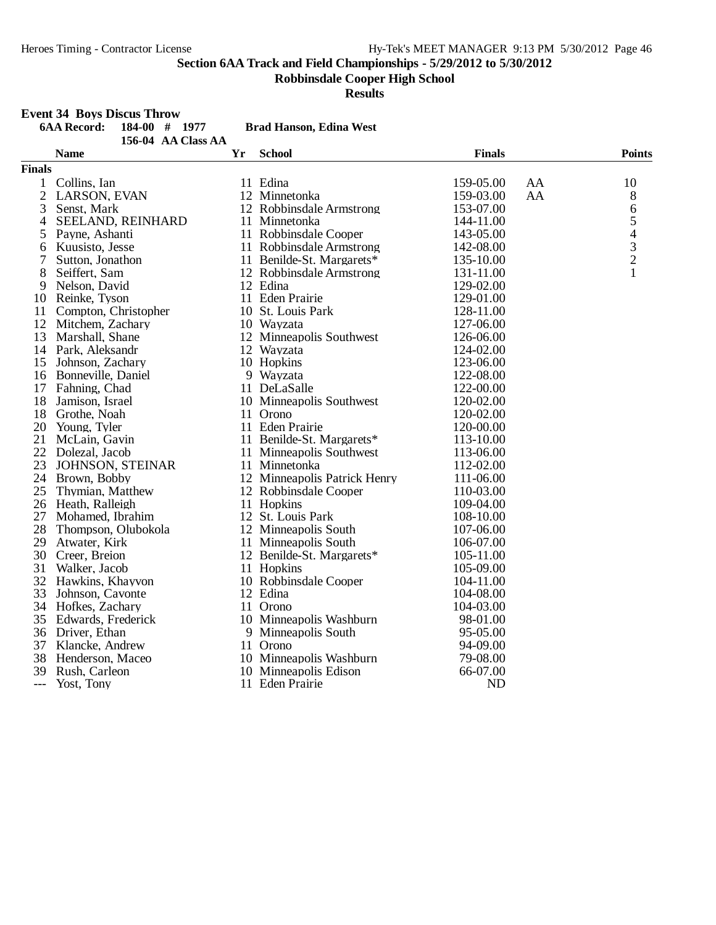**Robbinsdale Cooper High School**

**Results**

#### **6AA Record: 184-00 # 1977 Brad Hanson, Edina West 156-04 AA Class AA Name Yr School Finals Points Finals** 1 Collins, Ian 11 Edina 11 Edina 159-05.00 AA 10 2 LARSON, EVAN 12 Minnetonka 159-03.00 AA 8<br>3 Senst, Mark 12 Robbinsdale Armstrong 153-07.00 6 12 Robbinsdale Armstrong 153-07.00 6<br>11 Minnetonka 144-11.00 5 4 SEELAND, REINHARD 11 Minnetonka 144-11.00 5<br>5 Pavne. Ashanti 11 Robbinsdale Cooper 143-05.00 4 5 Payne, Ashanti 11 Robbinsdale Cooper 143-05.00 4<br>
6 Kuusisto, Jesse 11 Robbinsdale Armstrong 142-08.00 3<br>
7 Sutton, Jonathon 11 Benilde-St. Margarets\* 135-10.00 2 6 Kuusisto, Jesse 11 Robbinsdale Armstrong 142-08.00<br>
11 Benilde-St. Margarets<sup>\*</sup> 135-10.00 7 Sutton, Jonathon 11 Benilde-St. Margarets\* 135-10.00 2<br>8 Seiffert. Sam 12 Robbinsdale Armstrong 131-11.00 1 12 Robbinsdale Armstrong 131-11.00<br>12 Edina 129-02.00 9 Nelson, David 12 Edina 12 Edina 129-02.00<br>
129-02.00 129-01.00 129-01.00 10 Reinke, Tyson 11 Eden Prairie 129-01.00 11 Compton, Christopher 10 St. Louis Park 128-11.00 12 Mitchem, Zachary 10 Wayzata 127-06.00<br>13 Marshall, Shane 12 Minneapolis Southwest 126-06.00 12 Minneapolis Southwest<br>12 Wayzata 14 Park, Aleksandr 12 Wayzata 124-02.00 15 Johnson, Zachary 10 Hopkins 123-06.00<br>16 Bonneville, Daniel 122-08.00 16 Bonneville, Daniel 9 9 Wayzata 122-08.00<br>17 Fahning Chad 11 DeLaSalle 122-00.00 17 Fahning, Chad 11 DeLaSalle 122-00.00<br>18 Jamison, Israel 10 Minneapolis Southwest 120-02.00 18 Jamison, Israel 10 Minneapolis Southwest 120-02.00<br>18 Grothe. Noah 11 Orono 120-02.00 France Crothe, Noah 11 Orono 11 Orono 11 Orono 11 Orono 11 Orono 120-02.000 20 Young, Tyler 11 Eden Prairie 120-00.00<br>
21 McLain, Gavin 11 Benilde-St. Margarets\* 113-10.00 21 McLain, Gavin 11 Benilde-St. Margarets\* 113-10.00 22 Dolezal, Jacob 11 Minneapolis Southwest 113-06.00 23 JOHNSON, STEINAR 11 Minnetonka 112-02.00 24 Brown, Bobby 12 Minneapolis Patrick Henry 111-06.00<br>
25 Thymian. Matthew 12 Robbinsdale Cooper 110-03.00 12 Robbinsdale Cooper<br>11 Hopkins 26 Heath, Ralleigh 11 Hopkins 109-04.00<br>27 Mohamed. Ibrahim 12 St. Louis Park 108-10.00 27 Mohamed, Ibrahim 12 St. Louis Park 108-10.00<br>
28 Thompson, Olubokola 12 Minneapolis South 107-06.00 28 Thompson, Olubokola 12 Minneapolis South 107-06.00 29 Atwater, Kirk 11 Minneapolis South 106-07.00<br>
20 Creer, Breion 12 Benilde-St, Margarets\* 105-11.00 12 Benilde-St. Margarets\* 105-11.00<br>11 Hopkins 105-09.00 31 Walker, Jacob<br>32 Hawkins, Khayvon 10 Robbinsdale Cooper 104-11.00<br>12 Edina 104-08.00 33 Johnson, Cavonte 12 Edina 104-08.00 34 Hofkes, Zachary 11 Orono 104-03.00 35 Edwards, Frederick 10 Minneapolis Washburn 98-01.00<br>36 Driver, Ethan 9 Minneapolis South 95-05.00 9 Minneapolis South 95-05.00<br>11 Orono 94-09.00 37 Klancke, Andrew 11 Orono 11 Orono 94-09.00<br>38 Henderson, Maceo 10 Minneapolis Washburn 79-08.00 38 Henderson, Maceo 10 Minneapolis Washburn 39 Rush. Carleon 10 Minneapolis Edison Push, Carleon 10 Minneapolis Edison 66-07.00<br>
39 Yost, Tony 11 Eden Prairie 11 MD 11 Eden Prairie ND

**Event 34 Boys Discus Throw**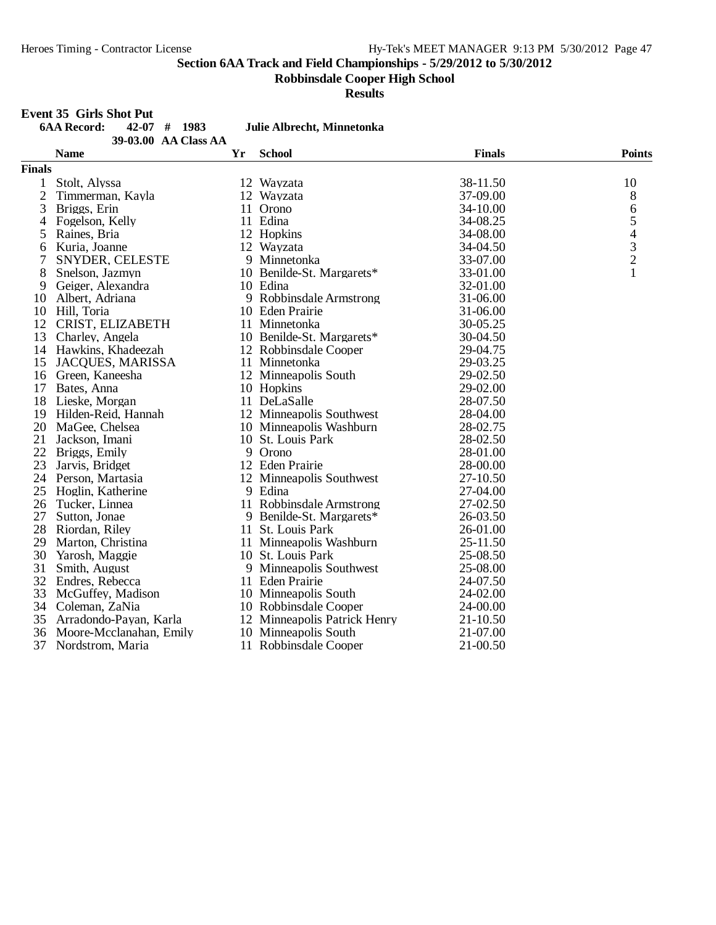**Robbinsdale Cooper High School**

**Results**

#### **Event 35 Girls Shot Put**

| 6AA Record:    | $42-07$ # 1983       | .Tu |
|----------------|----------------------|-----|
|                | 39-03.00 AA Class AA |     |
| $\blacksquare$ |                      |     |

## **6AA Record: 42-07 # 1983 Julie Albrecht, Minnetonka**

|                | <b>Name</b>             | Yr | <b>School</b>                | <b>Finals</b> | <b>Points</b>            |
|----------------|-------------------------|----|------------------------------|---------------|--------------------------|
| <b>Finals</b>  |                         |    |                              |               |                          |
| 1              | Stolt, Alyssa           |    | 12 Wayzata                   | 38-11.50      | 10                       |
| $\overline{c}$ | Timmerman, Kayla        |    | 12 Wayzata                   | 37-09.00      | 8                        |
| 3              | Briggs, Erin            | 11 | Orono                        | 34-10.00      | 6                        |
| 4              | Fogelson, Kelly         |    | 11 Edina                     | 34-08.25      | 5                        |
| 5              | Raines, Bria            |    | 12 Hopkins                   | 34-08.00      | $\overline{\mathcal{L}}$ |
| 6              | Kuria, Joanne           |    | 12 Wayzata                   | 34-04.50      | $\frac{3}{2}$            |
| 7              | SNYDER, CELESTE         |    | 9 Minnetonka                 | 33-07.00      |                          |
| 8              | Snelson, Jazmyn         |    | 10 Benilde-St. Margarets*    | 33-01.00      | 1                        |
| 9              | Geiger, Alexandra       |    | 10 Edina                     | 32-01.00      |                          |
| 10             | Albert, Adriana         |    | 9 Robbinsdale Armstrong      | 31-06.00      |                          |
| 10             | Hill, Toria             |    | 10 Eden Prairie              | 31-06.00      |                          |
| 12             | CRIST, ELIZABETH        |    | 11 Minnetonka                | 30-05.25      |                          |
| 13             | Charley, Angela         |    | 10 Benilde-St. Margarets*    | 30-04.50      |                          |
| 14             | Hawkins, Khadeezah      |    | 12 Robbinsdale Cooper        | 29-04.75      |                          |
| 15             | JACQUES, MARISSA        |    | 11 Minnetonka                | 29-03.25      |                          |
| 16             | Green, Kaneesha         |    | 12 Minneapolis South         | 29-02.50      |                          |
| 17             | Bates, Anna             |    | 10 Hopkins                   | 29-02.00      |                          |
| 18             | Lieske, Morgan          |    | 11 DeLaSalle                 | 28-07.50      |                          |
| 19             | Hilden-Reid, Hannah     |    | 12 Minneapolis Southwest     | 28-04.00      |                          |
| 20             | MaGee, Chelsea          |    | 10 Minneapolis Washburn      | 28-02.75      |                          |
| 21             | Jackson, Imani          |    | 10 St. Louis Park            | 28-02.50      |                          |
| 22             | Briggs, Emily           |    | 9 Orono                      | 28-01.00      |                          |
| 23             | Jarvis, Bridget         |    | 12 Eden Prairie              | 28-00.00      |                          |
| 24             | Person, Martasia        |    | 12 Minneapolis Southwest     | 27-10.50      |                          |
| 25             | Hoglin, Katherine       |    | 9 Edina                      | 27-04.00      |                          |
| 26             | Tucker, Linnea          |    | 11 Robbinsdale Armstrong     | 27-02.50      |                          |
| 27             | Sutton, Jonae           |    | 9 Benilde-St. Margarets*     | 26-03.50      |                          |
| 28             | Riordan, Riley          |    | 11 St. Louis Park            | 26-01.00      |                          |
| 29             | Marton, Christina       |    | 11 Minneapolis Washburn      | 25-11.50      |                          |
| 30             | Yarosh, Maggie          |    | 10 St. Louis Park            | 25-08.50      |                          |
| 31             | Smith, August           |    | 9 Minneapolis Southwest      | 25-08.00      |                          |
| 32             | Endres, Rebecca         |    | 11 Eden Prairie              | 24-07.50      |                          |
| 33             | McGuffey, Madison       |    | 10 Minneapolis South         | 24-02.00      |                          |
| 34             | Coleman, ZaNia          |    | 10 Robbinsdale Cooper        | 24-00.00      |                          |
| 35             | Arradondo-Payan, Karla  |    | 12 Minneapolis Patrick Henry | $21 - 10.50$  |                          |
| 36             | Moore-Mcclanahan, Emily |    | 10 Minneapolis South         | 21-07.00      |                          |
| 37             | Nordstrom, Maria        |    | 11 Robbinsdale Cooper        | 21-00.50      |                          |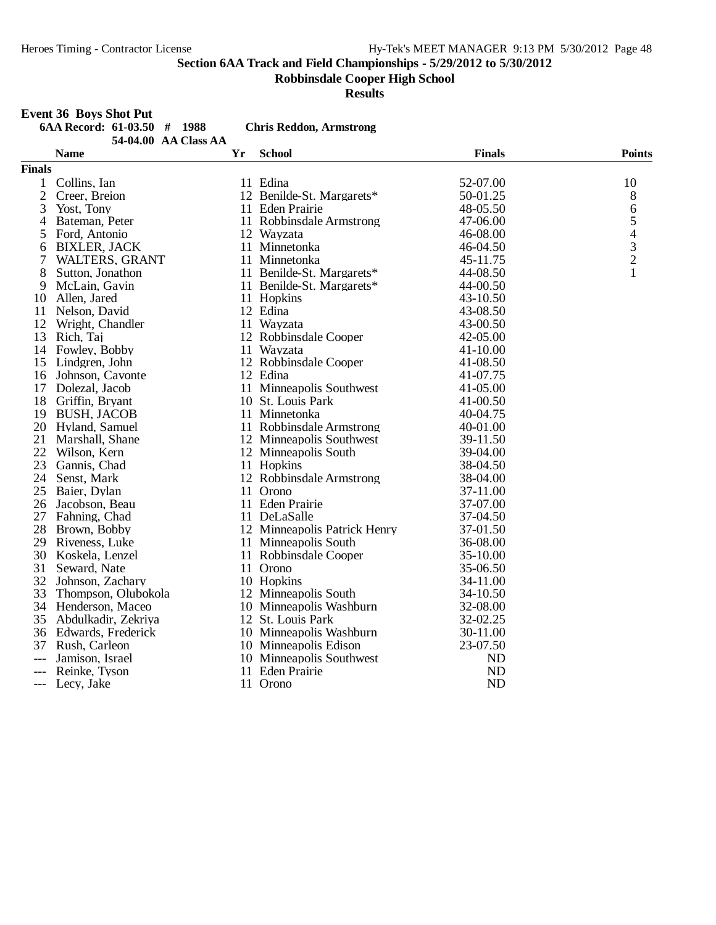**Robbinsdale Cooper High School**

**Results**

#### **Event 36 Boys Shot Put**

| 6AA Record: $61-03.50$ # 1988 |  |                                                                |
|-------------------------------|--|----------------------------------------------------------------|
|                               |  | 54.04.00 $\triangle$ $\triangle$ Class $\triangle$ $\triangle$ |

 $Reddon, Armstrong$ 

|                | AA CIASS AA<br><b>Name</b> | Yr | <b>School</b>                | <b>Finals</b> | <b>Points</b>                              |
|----------------|----------------------------|----|------------------------------|---------------|--------------------------------------------|
| <b>Finals</b>  |                            |    |                              |               |                                            |
| 1              | Collins, Ian               |    | 11 Edina                     | 52-07.00      | 10                                         |
| $\overline{c}$ | Creer, Breion              |    | 12 Benilde-St. Margarets*    | 50-01.25      | 8                                          |
| 3              | Yost, Tony                 |    | 11 Eden Prairie              | 48-05.50      | $\sqrt{6}$                                 |
| 4              | Bateman, Peter             |    | 11 Robbinsdale Armstrong     | 47-06.00      | 5                                          |
| 5              | Ford, Antonio              |    | 12 Wayzata                   | 46-08.00      |                                            |
| 6              | <b>BIXLER, JACK</b>        |    | 11 Minnetonka                | 46-04.50      | $\begin{array}{c} 4 \\ 3 \\ 2 \end{array}$ |
| 7              | <b>WALTERS, GRANT</b>      |    | 11 Minnetonka                | 45-11.75      |                                            |
| 8              | Sutton, Jonathon           |    | 11 Benilde-St. Margarets*    | 44-08.50      | $\mathbf{1}$                               |
| 9              | McLain, Gavin              |    | 11 Benilde-St. Margarets*    | 44-00.50      |                                            |
| 10             | Allen, Jared               |    | 11 Hopkins                   | 43-10.50      |                                            |
| 11             | Nelson, David              |    | 12 Edina                     | 43-08.50      |                                            |
| 12             | Wright, Chandler           |    | 11 Wayzata                   | 43-00.50      |                                            |
| 13             | Rich, Taj                  |    | 12 Robbinsdale Cooper        | 42-05.00      |                                            |
| 14             | Fowley, Bobby              |    | 11 Wayzata                   | 41-10.00      |                                            |
| 15             | Lindgren, John             |    | 12 Robbinsdale Cooper        | 41-08.50      |                                            |
| 16             | Johnson, Cavonte           |    | 12 Edina                     | 41-07.75      |                                            |
| 17             | Dolezal, Jacob             |    | 11 Minneapolis Southwest     | 41-05.00      |                                            |
| 18             | Griffin, Bryant            |    | 10 St. Louis Park            | 41-00.50      |                                            |
| 19             | <b>BUSH, JACOB</b>         |    | 11 Minnetonka                | 40-04.75      |                                            |
| 20             | Hyland, Samuel             |    | 11 Robbinsdale Armstrong     | 40-01.00      |                                            |
| 21             | Marshall, Shane            |    | 12 Minneapolis Southwest     | 39-11.50      |                                            |
| 22             | Wilson, Kern               |    | 12 Minneapolis South         | 39-04.00      |                                            |
| 23             | Gannis, Chad               |    | 11 Hopkins                   | 38-04.50      |                                            |
| 24             | Senst, Mark                |    | 12 Robbinsdale Armstrong     | 38-04.00      |                                            |
| 25             | Baier, Dylan               |    | 11 Orono                     | 37-11.00      |                                            |
| 26             | Jacobson, Beau             |    | 11 Eden Prairie              | 37-07.00      |                                            |
| 27             | Fahning, Chad              |    | 11 DeLaSalle                 | 37-04.50      |                                            |
| 28             | Brown, Bobby               |    | 12 Minneapolis Patrick Henry | 37-01.50      |                                            |
| 29             | Riveness, Luke             |    | 11 Minneapolis South         | 36-08.00      |                                            |
| 30             | Koskela, Lenzel            |    | 11 Robbinsdale Cooper        | 35-10.00      |                                            |
| 31             | Seward, Nate               |    | 11 Orono                     | 35-06.50      |                                            |
| 32             | Johnson, Zachary           |    | 10 Hopkins                   | 34-11.00      |                                            |
| 33             | Thompson, Olubokola        |    | 12 Minneapolis South         | 34-10.50      |                                            |
| 34             | Henderson, Maceo           |    | 10 Minneapolis Washburn      | 32-08.00      |                                            |
| 35             | Abdulkadir, Zekriya        |    | 12 St. Louis Park            | 32-02.25      |                                            |
| 36             | Edwards, Frederick         |    | 10 Minneapolis Washburn      | 30-11.00      |                                            |
| 37             | Rush, Carleon              |    | 10 Minneapolis Edison        | 23-07.50      |                                            |
|                | Jamison, Israel            |    | 10 Minneapolis Southwest     | ND            |                                            |
|                | Reinke, Tyson              |    | 11 Eden Prairie              | <b>ND</b>     |                                            |
| $---$          | Lecy, Jake                 |    | 11 Orono                     | <b>ND</b>     |                                            |